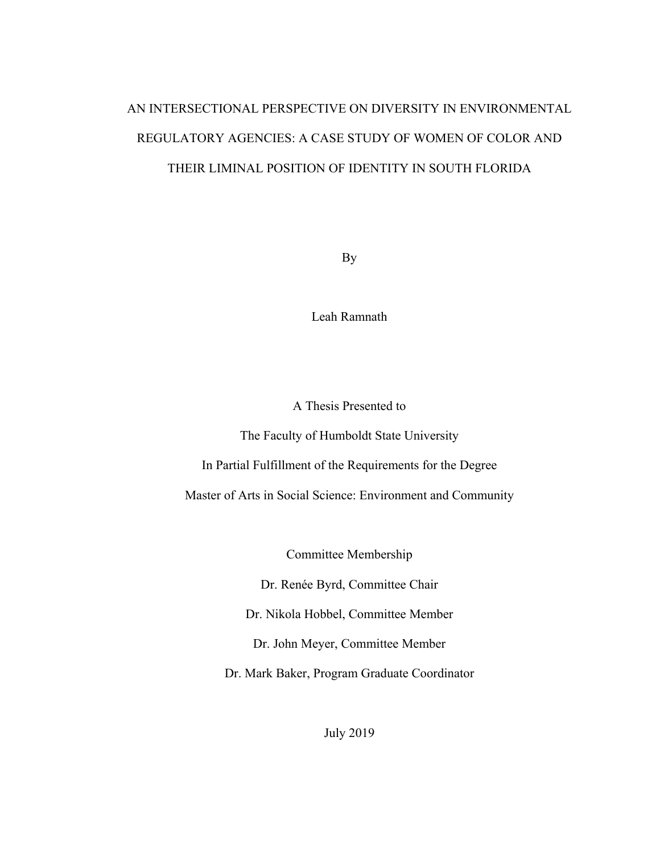# AN INTERSECTIONAL PERSPECTIVE ON DIVERSITY IN ENVIRONMENTAL REGULATORY AGENCIES: A CASE STUDY OF WOMEN OF COLOR AND THEIR LIMINAL POSITION OF IDENTITY IN SOUTH FLORIDA

By

Leah Ramnath

A Thesis Presented to

The Faculty of Humboldt State University

In Partial Fulfillment of the Requirements for the Degree

Master of Arts in Social Science: Environment and Community

Committee Membership

Dr. Renée Byrd, Committee Chair

Dr. Nikola Hobbel, Committee Member

Dr. John Meyer, Committee Member

Dr. Mark Baker, Program Graduate Coordinator

July 2019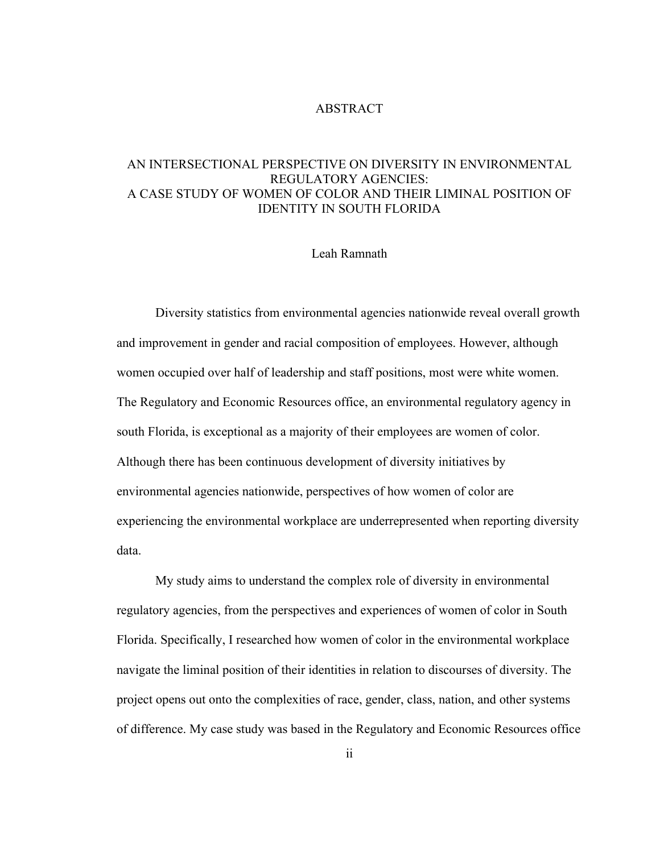# ABSTRACT

# AN INTERSECTIONAL PERSPECTIVE ON DIVERSITY IN ENVIRONMENTAL REGULATORY AGENCIES: A CASE STUDY OF WOMEN OF COLOR AND THEIR LIMINAL POSITION OF IDENTITY IN SOUTH FLORIDA

#### Leah Ramnath

Diversity statistics from environmental agencies nationwide reveal overall growth and improvement in gender and racial composition of employees. However, although women occupied over half of leadership and staff positions, most were white women. The Regulatory and Economic Resources office, an environmental regulatory agency in south Florida, is exceptional as a majority of their employees are women of color. Although there has been continuous development of diversity initiatives by environmental agencies nationwide, perspectives of how women of color are experiencing the environmental workplace are underrepresented when reporting diversity data.

 My study aims to understand the complex role of diversity in environmental regulatory agencies, from the perspectives and experiences of women of color in South Florida. Specifically, I researched how women of color in the environmental workplace navigate the liminal position of their identities in relation to discourses of diversity. The project opens out onto the complexities of race, gender, class, nation, and other systems of difference. My case study was based in the Regulatory and Economic Resources office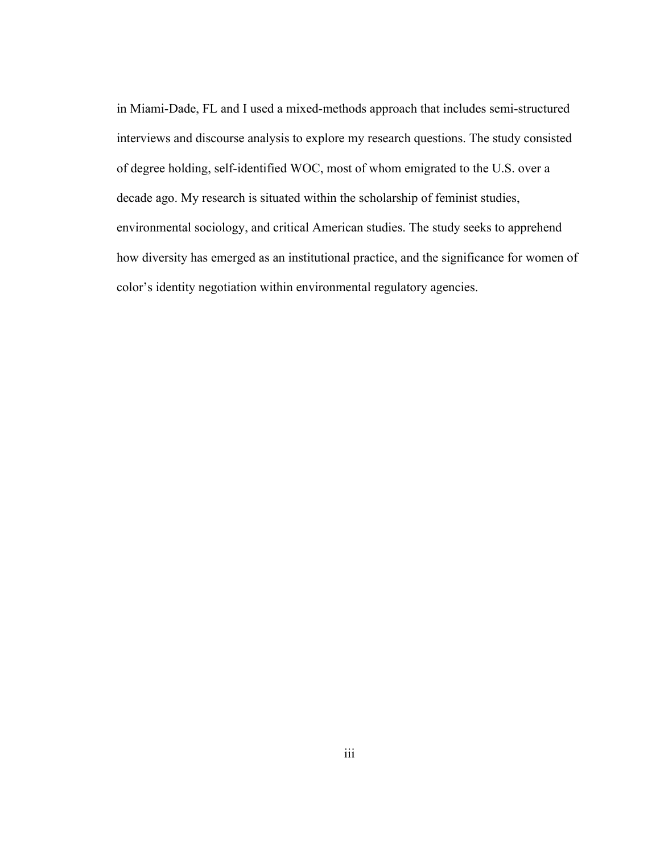in Miami-Dade, FL and I used a mixed-methods approach that includes semi-structured interviews and discourse analysis to explore my research questions. The study consisted of degree holding, self-identified WOC, most of whom emigrated to the U.S. over a decade ago. My research is situated within the scholarship of feminist studies, environmental sociology, and critical American studies. The study seeks to apprehend how diversity has emerged as an institutional practice, and the significance for women of color's identity negotiation within environmental regulatory agencies.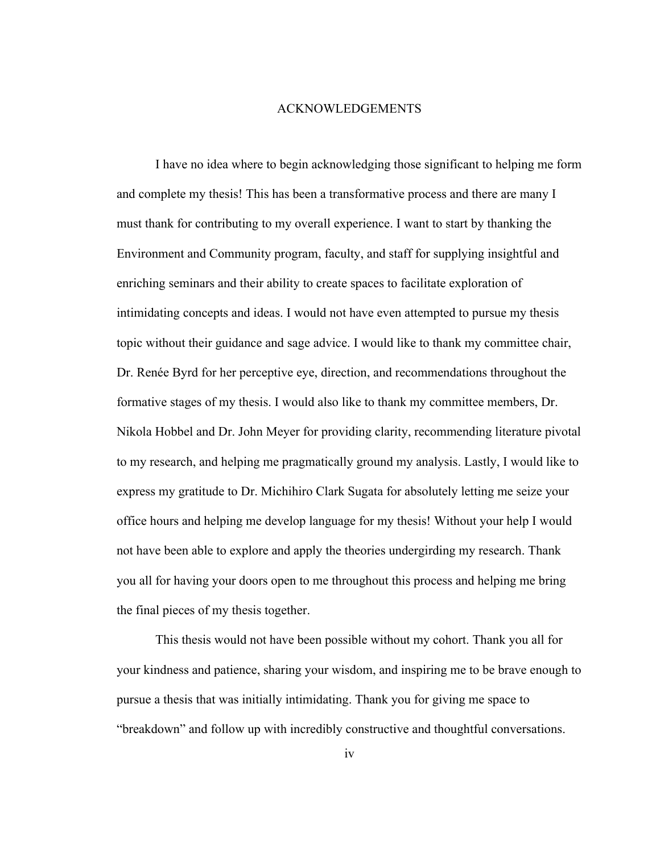#### ACKNOWLEDGEMENTS

I have no idea where to begin acknowledging those significant to helping me form and complete my thesis! This has been a transformative process and there are many I must thank for contributing to my overall experience. I want to start by thanking the Environment and Community program, faculty, and staff for supplying insightful and enriching seminars and their ability to create spaces to facilitate exploration of intimidating concepts and ideas. I would not have even attempted to pursue my thesis topic without their guidance and sage advice. I would like to thank my committee chair, Dr. Renée Byrd for her perceptive eye, direction, and recommendations throughout the formative stages of my thesis. I would also like to thank my committee members, Dr. Nikola Hobbel and Dr. John Meyer for providing clarity, recommending literature pivotal to my research, and helping me pragmatically ground my analysis. Lastly, I would like to express my gratitude to Dr. Michihiro Clark Sugata for absolutely letting me seize your office hours and helping me develop language for my thesis! Without your help I would not have been able to explore and apply the theories undergirding my research. Thank you all for having your doors open to me throughout this process and helping me bring the final pieces of my thesis together.

This thesis would not have been possible without my cohort. Thank you all for your kindness and patience, sharing your wisdom, and inspiring me to be brave enough to pursue a thesis that was initially intimidating. Thank you for giving me space to "breakdown" and follow up with incredibly constructive and thoughtful conversations.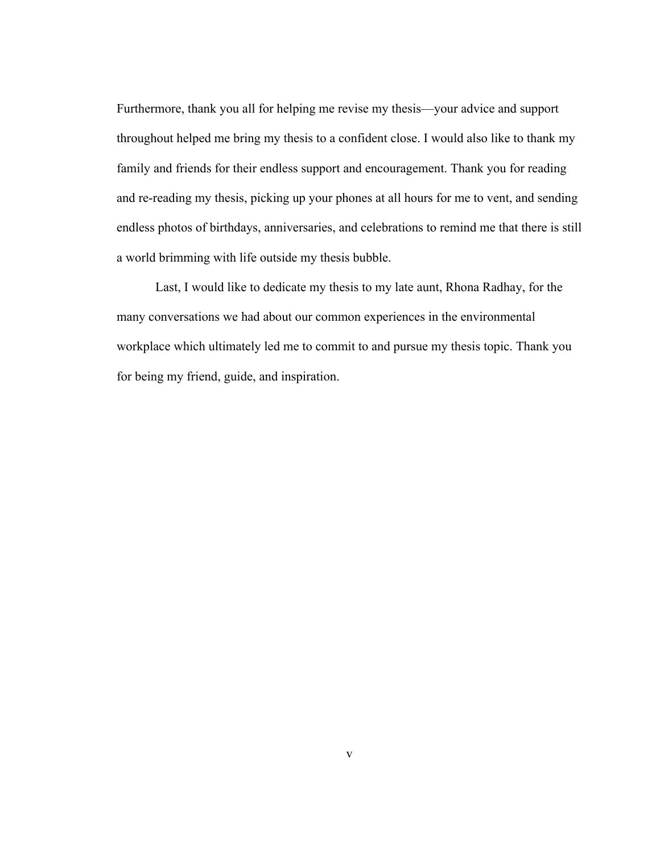Furthermore, thank you all for helping me revise my thesis—your advice and support throughout helped me bring my thesis to a confident close. I would also like to thank my family and friends for their endless support and encouragement. Thank you for reading and re-reading my thesis, picking up your phones at all hours for me to vent, and sending endless photos of birthdays, anniversaries, and celebrations to remind me that there is still a world brimming with life outside my thesis bubble.

Last, I would like to dedicate my thesis to my late aunt, Rhona Radhay, for the many conversations we had about our common experiences in the environmental workplace which ultimately led me to commit to and pursue my thesis topic. Thank you for being my friend, guide, and inspiration.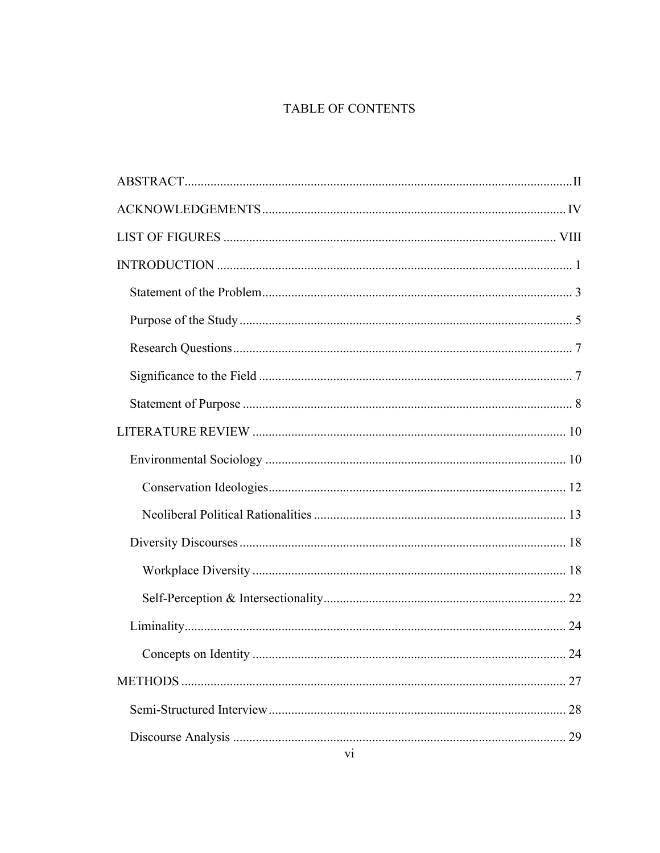# TABLE OF CONTENTS

| 27 |
|----|
| 28 |
| 29 |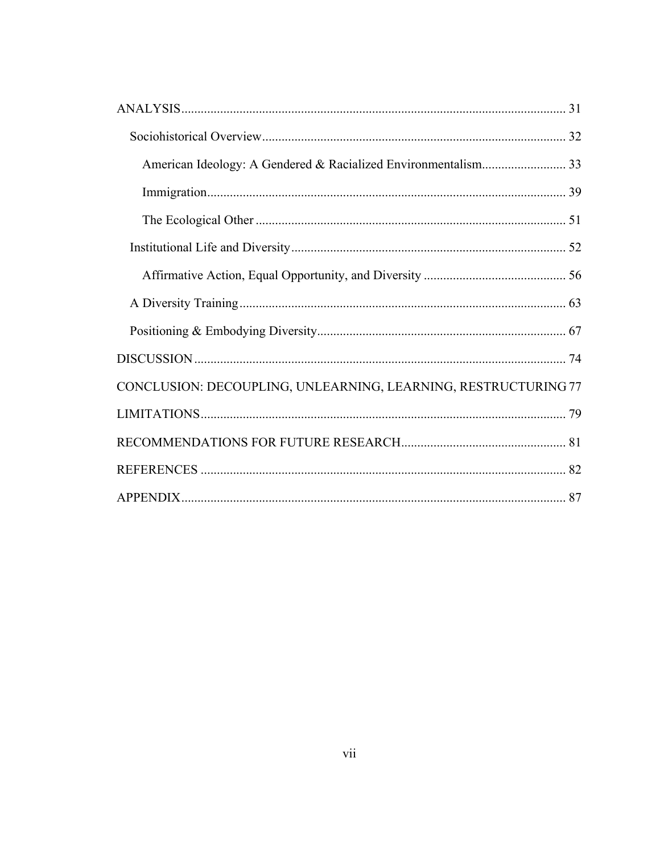| CONCLUSION: DECOUPLING, UNLEARNING, LEARNING, RESTRUCTURING 77 |  |
|----------------------------------------------------------------|--|
|                                                                |  |
|                                                                |  |
|                                                                |  |
|                                                                |  |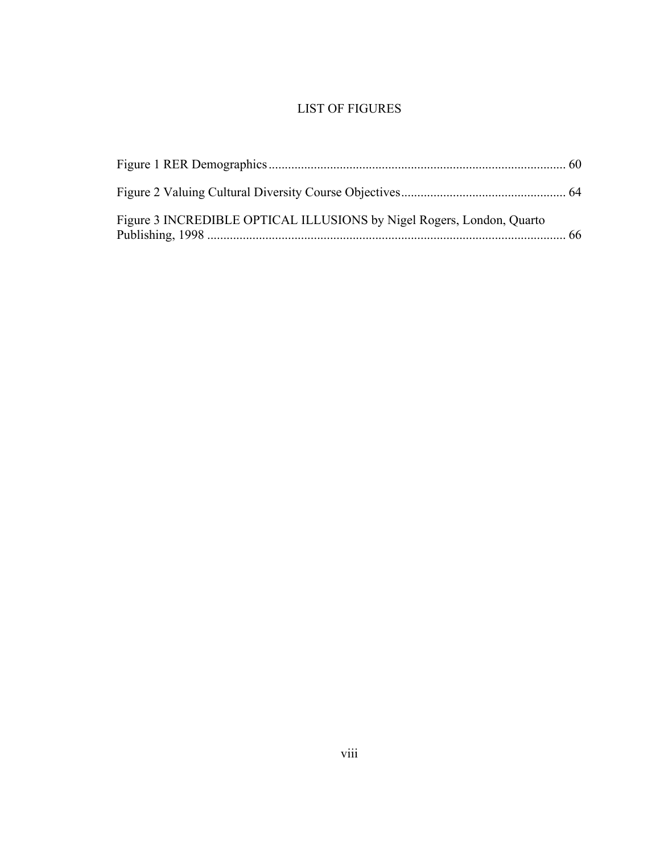# LIST OF FIGURES

| Figure 3 INCREDIBLE OPTICAL ILLUSIONS by Nigel Rogers, London, Quarto |  |
|-----------------------------------------------------------------------|--|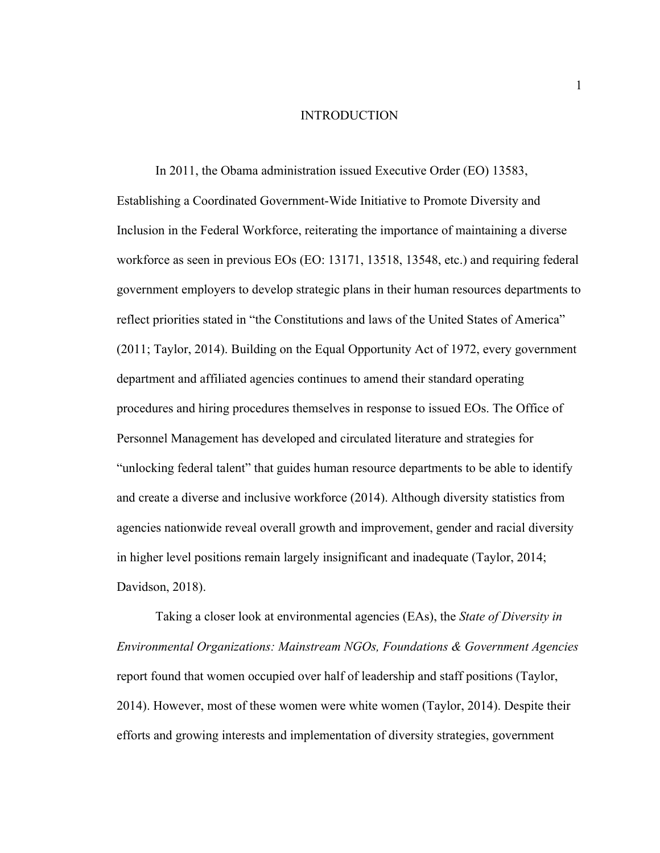#### INTRODUCTION

In 2011, the Obama administration issued Executive Order (EO) 13583, Establishing a Coordinated Government-Wide Initiative to Promote Diversity and Inclusion in the Federal Workforce, reiterating the importance of maintaining a diverse workforce as seen in previous EOs (EO: 13171, 13518, 13548, etc.) and requiring federal government employers to develop strategic plans in their human resources departments to reflect priorities stated in "the Constitutions and laws of the United States of America" (2011; Taylor, 2014). Building on the Equal Opportunity Act of 1972, every government department and affiliated agencies continues to amend their standard operating procedures and hiring procedures themselves in response to issued EOs. The Office of Personnel Management has developed and circulated literature and strategies for "unlocking federal talent" that guides human resource departments to be able to identify and create a diverse and inclusive workforce (2014). Although diversity statistics from agencies nationwide reveal overall growth and improvement, gender and racial diversity in higher level positions remain largely insignificant and inadequate (Taylor, 2014; Davidson, 2018).

Taking a closer look at environmental agencies (EAs), the *State of Diversity in Environmental Organizations: Mainstream NGOs, Foundations & Government Agencies*  report found that women occupied over half of leadership and staff positions (Taylor, 2014). However, most of these women were white women (Taylor, 2014). Despite their efforts and growing interests and implementation of diversity strategies, government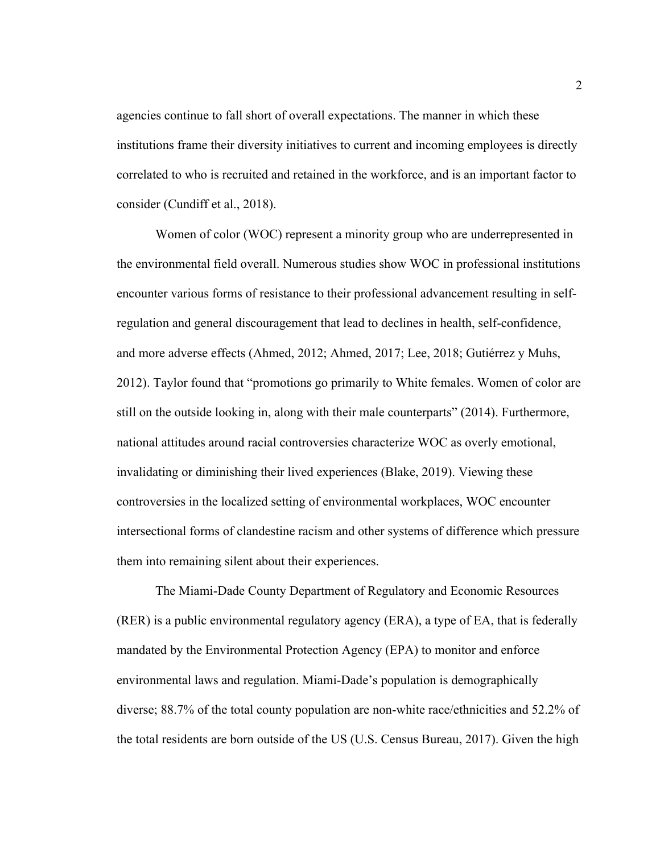agencies continue to fall short of overall expectations. The manner in which these institutions frame their diversity initiatives to current and incoming employees is directly correlated to who is recruited and retained in the workforce, and is an important factor to consider (Cundiff et al., 2018).

Women of color (WOC) represent a minority group who are underrepresented in the environmental field overall. Numerous studies show WOC in professional institutions encounter various forms of resistance to their professional advancement resulting in selfregulation and general discouragement that lead to declines in health, self-confidence, and more adverse effects (Ahmed, 2012; Ahmed, 2017; Lee, 2018; Gutiérrez y Muhs, 2012). Taylor found that "promotions go primarily to White females. Women of color are still on the outside looking in, along with their male counterparts" (2014). Furthermore, national attitudes around racial controversies characterize WOC as overly emotional, invalidating or diminishing their lived experiences (Blake, 2019). Viewing these controversies in the localized setting of environmental workplaces, WOC encounter intersectional forms of clandestine racism and other systems of difference which pressure them into remaining silent about their experiences.

The Miami-Dade County Department of Regulatory and Economic Resources (RER) is a public environmental regulatory agency (ERA), a type of EA, that is federally mandated by the Environmental Protection Agency (EPA) to monitor and enforce environmental laws and regulation. Miami-Dade's population is demographically diverse; 88.7% of the total county population are non-white race/ethnicities and 52.2% of the total residents are born outside of the US (U.S. Census Bureau, 2017). Given the high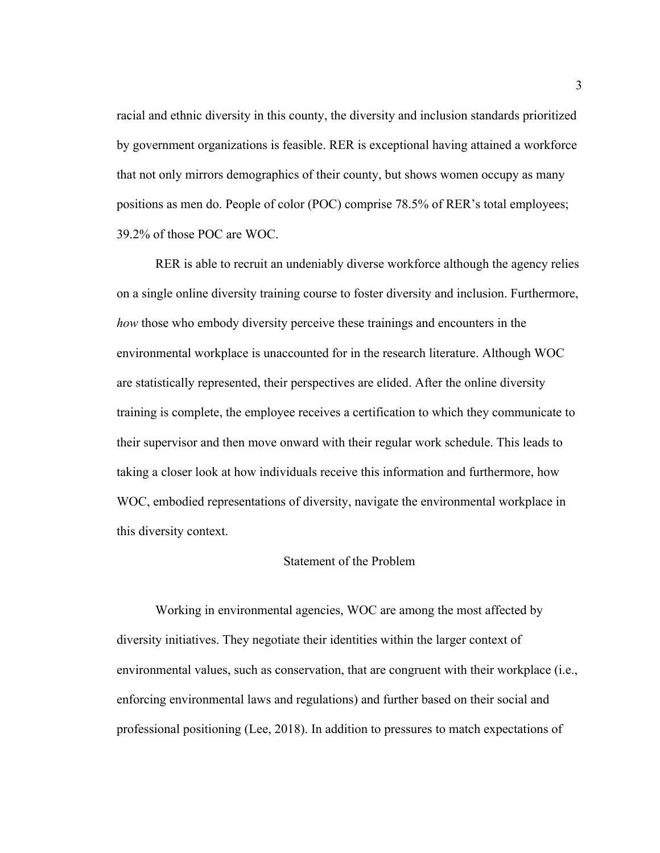racial and ethnic diversity in this county, the diversity and inclusion standards prioritized by government organizations is feasible. RER is exceptional having attained a workforce that not only mirrors demographics of their county, but shows women occupy as many positions as men do. People of color (POC) comprise 78.5% of RER's total employees; 39.2% of those POC are WOC.

RER is able to recruit an undeniably diverse workforce although the agency relies on a single online diversity training course to foster diversity and inclusion. Furthermore, *how* those who embody diversity perceive these trainings and encounters in the environmental workplace is unaccounted for in the research literature. Although WOC are statistically represented, their perspectives are elided. After the online diversity training is complete, the employee receives a certification to which they communicate to their supervisor and then move onward with their regular work schedule. This leads to taking a closer look at how individuals receive this information and furthermore, how WOC, embodied representations of diversity, navigate the environmental workplace in this diversity context.

# Statement of the Problem

Working in environmental agencies, WOC are among the most affected by diversity initiatives. They negotiate their identities within the larger context of environmental values, such as conservation, that are congruent with their workplace (i.e., enforcing environmental laws and regulations) and further based on their social and professional positioning (Lee, 2018). In addition to pressures to match expectations of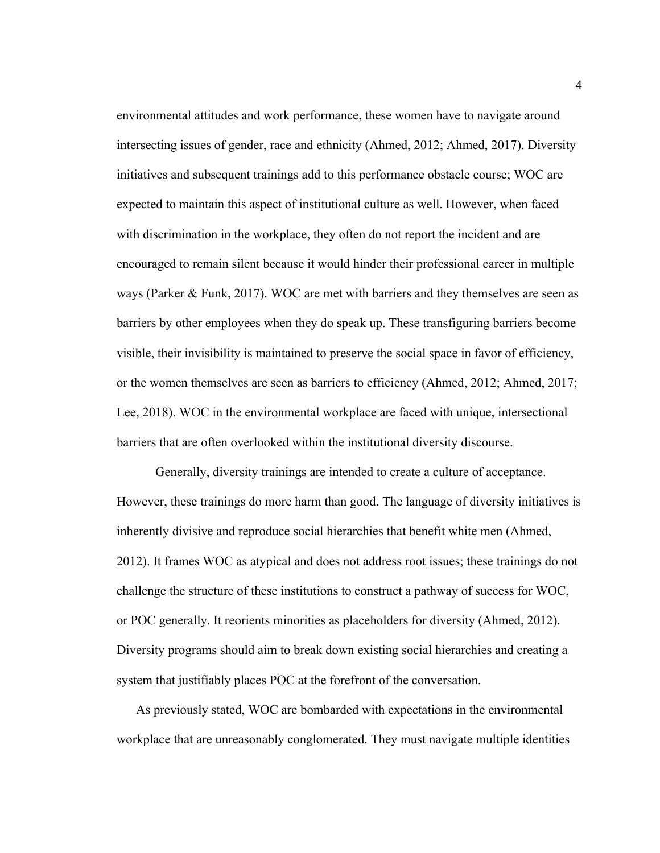environmental attitudes and work performance, these women have to navigate around intersecting issues of gender, race and ethnicity (Ahmed, 2012; Ahmed, 2017). Diversity initiatives and subsequent trainings add to this performance obstacle course; WOC are expected to maintain this aspect of institutional culture as well. However, when faced with discrimination in the workplace, they often do not report the incident and are encouraged to remain silent because it would hinder their professional career in multiple ways (Parker & Funk, 2017). WOC are met with barriers and they themselves are seen as barriers by other employees when they do speak up. These transfiguring barriers become visible, their invisibility is maintained to preserve the social space in favor of efficiency, or the women themselves are seen as barriers to efficiency (Ahmed, 2012; Ahmed, 2017; Lee, 2018). WOC in the environmental workplace are faced with unique, intersectional barriers that are often overlooked within the institutional diversity discourse.

Generally, diversity trainings are intended to create a culture of acceptance. However, these trainings do more harm than good. The language of diversity initiatives is inherently divisive and reproduce social hierarchies that benefit white men (Ahmed, 2012). It frames WOC as atypical and does not address root issues; these trainings do not challenge the structure of these institutions to construct a pathway of success for WOC, or POC generally. It reorients minorities as placeholders for diversity (Ahmed, 2012). Diversity programs should aim to break down existing social hierarchies and creating a system that justifiably places POC at the forefront of the conversation.

As previously stated, WOC are bombarded with expectations in the environmental workplace that are unreasonably conglomerated. They must navigate multiple identities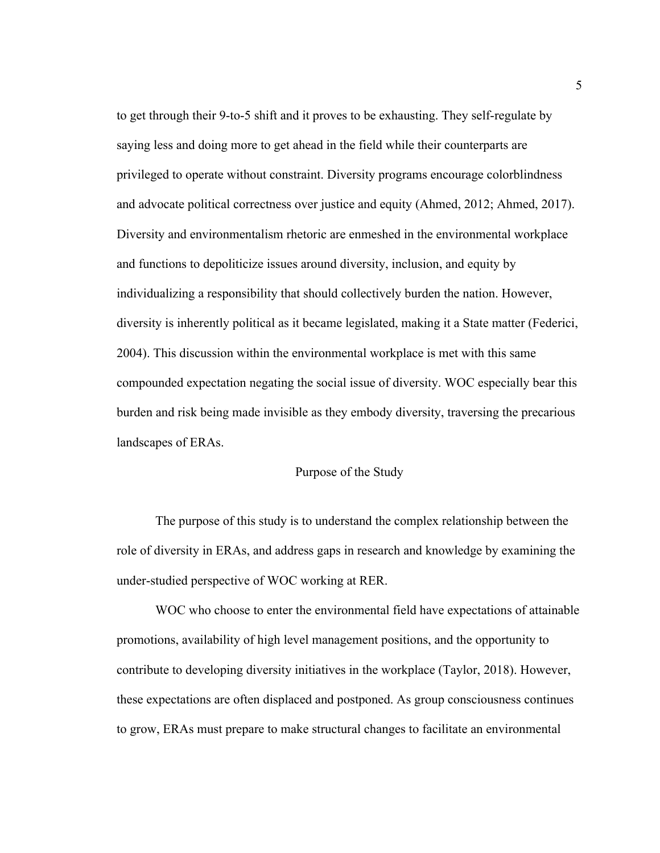to get through their 9-to-5 shift and it proves to be exhausting. They self-regulate by saying less and doing more to get ahead in the field while their counterparts are privileged to operate without constraint. Diversity programs encourage colorblindness and advocate political correctness over justice and equity (Ahmed, 2012; Ahmed, 2017). Diversity and environmentalism rhetoric are enmeshed in the environmental workplace and functions to depoliticize issues around diversity, inclusion, and equity by individualizing a responsibility that should collectively burden the nation. However, diversity is inherently political as it became legislated, making it a State matter (Federici, 2004). This discussion within the environmental workplace is met with this same compounded expectation negating the social issue of diversity. WOC especially bear this burden and risk being made invisible as they embody diversity, traversing the precarious landscapes of ERAs.

# Purpose of the Study

The purpose of this study is to understand the complex relationship between the role of diversity in ERAs, and address gaps in research and knowledge by examining the under-studied perspective of WOC working at RER.

WOC who choose to enter the environmental field have expectations of attainable promotions, availability of high level management positions, and the opportunity to contribute to developing diversity initiatives in the workplace (Taylor, 2018). However, these expectations are often displaced and postponed. As group consciousness continues to grow, ERAs must prepare to make structural changes to facilitate an environmental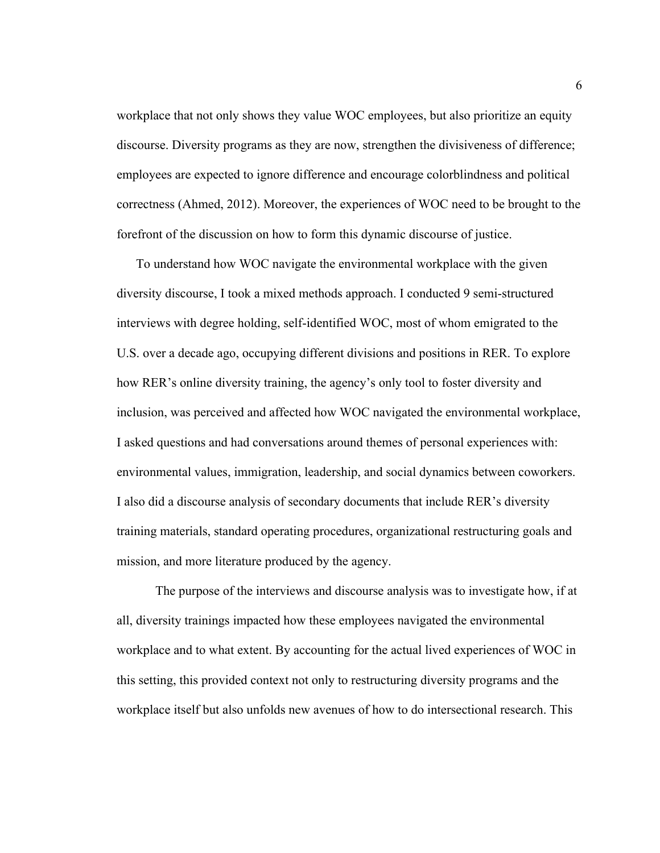workplace that not only shows they value WOC employees, but also prioritize an equity discourse. Diversity programs as they are now, strengthen the divisiveness of difference; employees are expected to ignore difference and encourage colorblindness and political correctness (Ahmed, 2012). Moreover, the experiences of WOC need to be brought to the forefront of the discussion on how to form this dynamic discourse of justice.

To understand how WOC navigate the environmental workplace with the given diversity discourse, I took a mixed methods approach. I conducted 9 semi-structured interviews with degree holding, self-identified WOC, most of whom emigrated to the U.S. over a decade ago, occupying different divisions and positions in RER. To explore how RER's online diversity training, the agency's only tool to foster diversity and inclusion, was perceived and affected how WOC navigated the environmental workplace, I asked questions and had conversations around themes of personal experiences with: environmental values, immigration, leadership, and social dynamics between coworkers. I also did a discourse analysis of secondary documents that include RER's diversity training materials, standard operating procedures, organizational restructuring goals and mission, and more literature produced by the agency.

The purpose of the interviews and discourse analysis was to investigate how, if at all, diversity trainings impacted how these employees navigated the environmental workplace and to what extent. By accounting for the actual lived experiences of WOC in this setting, this provided context not only to restructuring diversity programs and the workplace itself but also unfolds new avenues of how to do intersectional research. This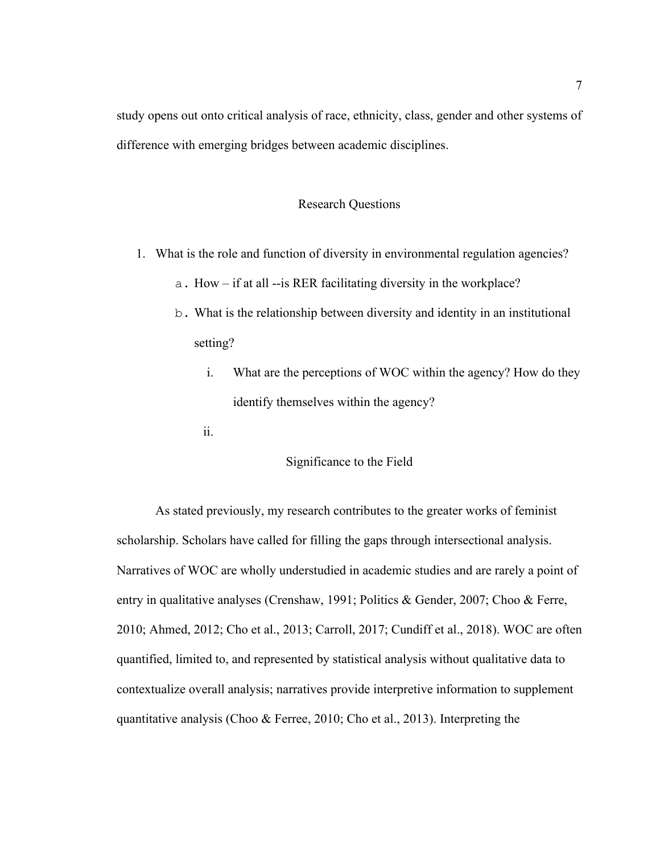study opens out onto critical analysis of race, ethnicity, class, gender and other systems of difference with emerging bridges between academic disciplines.

# Research Questions

- 1. What is the role and function of diversity in environmental regulation agencies?
	- a. How if at all --is RER facilitating diversity in the workplace?
	- b. What is the relationship between diversity and identity in an institutional setting?
		- i. What are the perceptions of WOC within the agency? How do they identify themselves within the agency?
		- ii.

# Significance to the Field

As stated previously, my research contributes to the greater works of feminist scholarship. Scholars have called for filling the gaps through intersectional analysis. Narratives of WOC are wholly understudied in academic studies and are rarely a point of entry in qualitative analyses (Crenshaw, 1991; Politics & Gender, 2007; Choo & Ferre, 2010; Ahmed, 2012; Cho et al., 2013; Carroll, 2017; Cundiff et al., 2018). WOC are often quantified, limited to, and represented by statistical analysis without qualitative data to contextualize overall analysis; narratives provide interpretive information to supplement quantitative analysis (Choo & Ferree, 2010; Cho et al., 2013). Interpreting the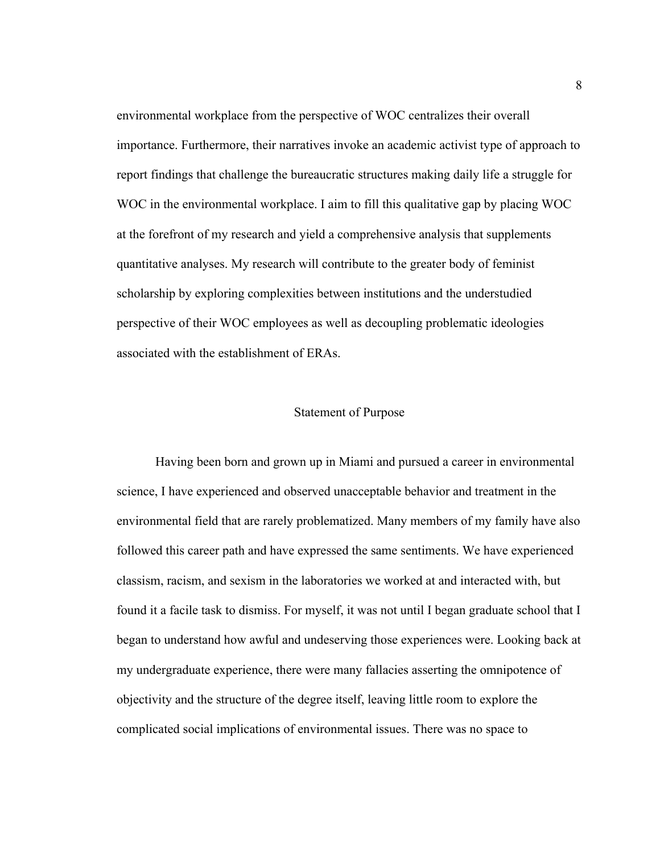environmental workplace from the perspective of WOC centralizes their overall importance. Furthermore, their narratives invoke an academic activist type of approach to report findings that challenge the bureaucratic structures making daily life a struggle for WOC in the environmental workplace. I aim to fill this qualitative gap by placing WOC at the forefront of my research and yield a comprehensive analysis that supplements quantitative analyses. My research will contribute to the greater body of feminist scholarship by exploring complexities between institutions and the understudied perspective of their WOC employees as well as decoupling problematic ideologies associated with the establishment of ERAs.

#### Statement of Purpose

Having been born and grown up in Miami and pursued a career in environmental science, I have experienced and observed unacceptable behavior and treatment in the environmental field that are rarely problematized. Many members of my family have also followed this career path and have expressed the same sentiments. We have experienced classism, racism, and sexism in the laboratories we worked at and interacted with, but found it a facile task to dismiss. For myself, it was not until I began graduate school that I began to understand how awful and undeserving those experiences were. Looking back at my undergraduate experience, there were many fallacies asserting the omnipotence of objectivity and the structure of the degree itself, leaving little room to explore the complicated social implications of environmental issues. There was no space to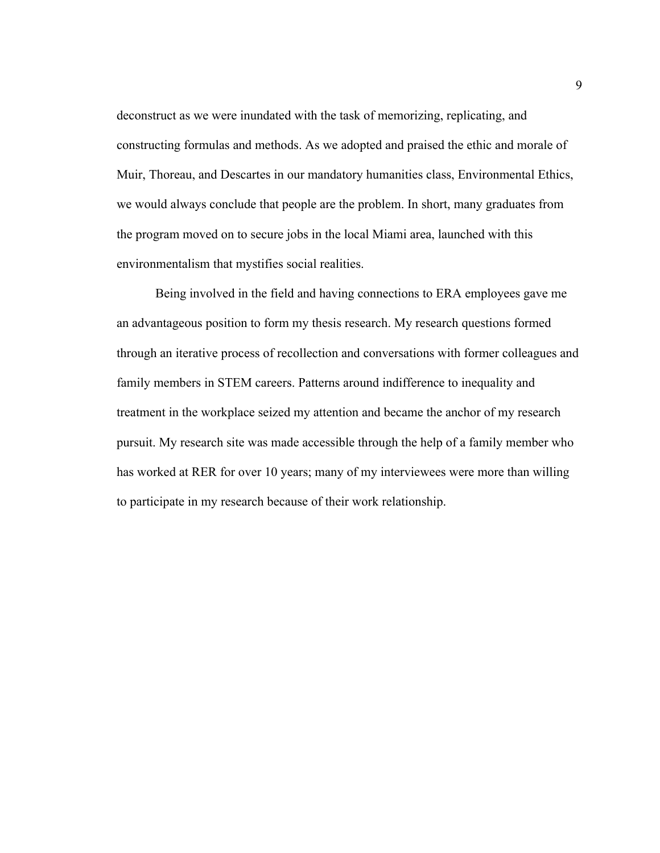deconstruct as we were inundated with the task of memorizing, replicating, and constructing formulas and methods. As we adopted and praised the ethic and morale of Muir, Thoreau, and Descartes in our mandatory humanities class, Environmental Ethics, we would always conclude that people are the problem. In short, many graduates from the program moved on to secure jobs in the local Miami area, launched with this environmentalism that mystifies social realities.

Being involved in the field and having connections to ERA employees gave me an advantageous position to form my thesis research. My research questions formed through an iterative process of recollection and conversations with former colleagues and family members in STEM careers. Patterns around indifference to inequality and treatment in the workplace seized my attention and became the anchor of my research pursuit. My research site was made accessible through the help of a family member who has worked at RER for over 10 years; many of my interviewees were more than willing to participate in my research because of their work relationship.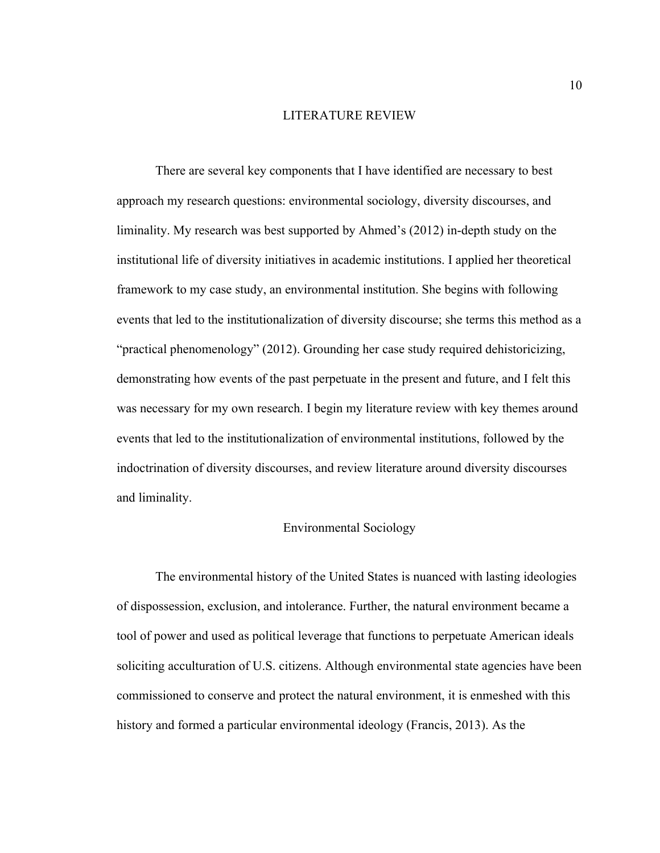#### LITERATURE REVIEW

There are several key components that I have identified are necessary to best approach my research questions: environmental sociology, diversity discourses, and liminality. My research was best supported by Ahmed's (2012) in-depth study on the institutional life of diversity initiatives in academic institutions. I applied her theoretical framework to my case study, an environmental institution. She begins with following events that led to the institutionalization of diversity discourse; she terms this method as a "practical phenomenology" (2012). Grounding her case study required dehistoricizing, demonstrating how events of the past perpetuate in the present and future, and I felt this was necessary for my own research. I begin my literature review with key themes around events that led to the institutionalization of environmental institutions, followed by the indoctrination of diversity discourses, and review literature around diversity discourses and liminality.

# Environmental Sociology

The environmental history of the United States is nuanced with lasting ideologies of dispossession, exclusion, and intolerance. Further, the natural environment became a tool of power and used as political leverage that functions to perpetuate American ideals soliciting acculturation of U.S. citizens. Although environmental state agencies have been commissioned to conserve and protect the natural environment, it is enmeshed with this history and formed a particular environmental ideology (Francis, 2013). As the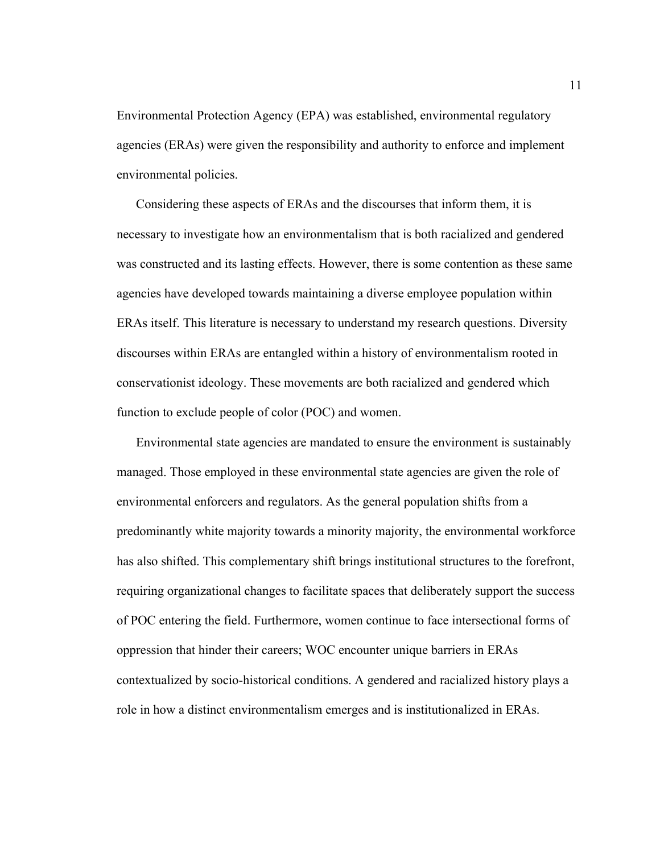Environmental Protection Agency (EPA) was established, environmental regulatory agencies (ERAs) were given the responsibility and authority to enforce and implement environmental policies.

Considering these aspects of ERAs and the discourses that inform them, it is necessary to investigate how an environmentalism that is both racialized and gendered was constructed and its lasting effects. However, there is some contention as these same agencies have developed towards maintaining a diverse employee population within ERAs itself. This literature is necessary to understand my research questions. Diversity discourses within ERAs are entangled within a history of environmentalism rooted in conservationist ideology. These movements are both racialized and gendered which function to exclude people of color (POC) and women.

Environmental state agencies are mandated to ensure the environment is sustainably managed. Those employed in these environmental state agencies are given the role of environmental enforcers and regulators. As the general population shifts from a predominantly white majority towards a minority majority, the environmental workforce has also shifted. This complementary shift brings institutional structures to the forefront, requiring organizational changes to facilitate spaces that deliberately support the success of POC entering the field. Furthermore, women continue to face intersectional forms of oppression that hinder their careers; WOC encounter unique barriers in ERAs contextualized by socio-historical conditions. A gendered and racialized history plays a role in how a distinct environmentalism emerges and is institutionalized in ERAs.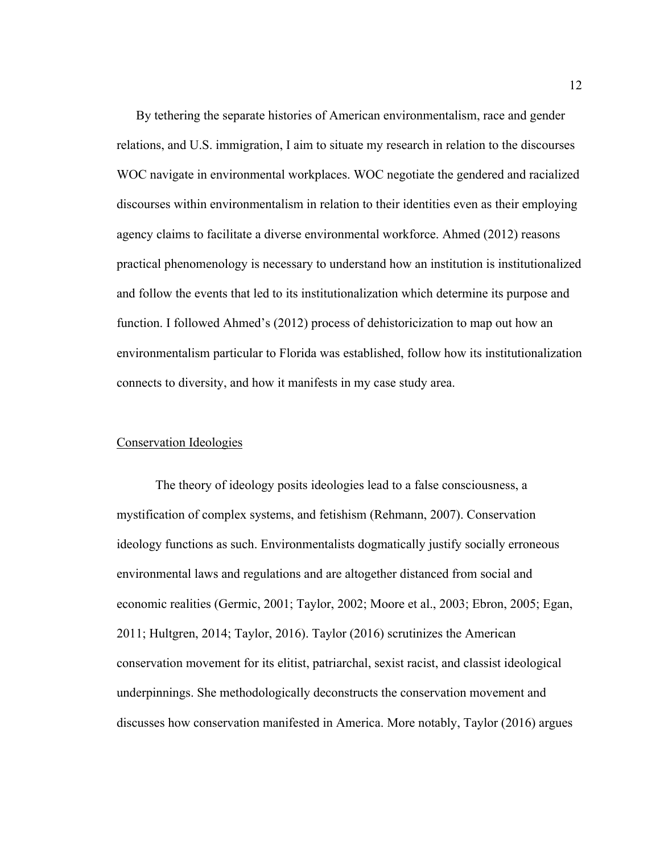By tethering the separate histories of American environmentalism, race and gender relations, and U.S. immigration, I aim to situate my research in relation to the discourses WOC navigate in environmental workplaces. WOC negotiate the gendered and racialized discourses within environmentalism in relation to their identities even as their employing agency claims to facilitate a diverse environmental workforce. Ahmed (2012) reasons practical phenomenology is necessary to understand how an institution is institutionalized and follow the events that led to its institutionalization which determine its purpose and function. I followed Ahmed's (2012) process of dehistoricization to map out how an environmentalism particular to Florida was established, follow how its institutionalization connects to diversity, and how it manifests in my case study area.

# Conservation Ideologies

The theory of ideology posits ideologies lead to a false consciousness, a mystification of complex systems, and fetishism (Rehmann, 2007). Conservation ideology functions as such. Environmentalists dogmatically justify socially erroneous environmental laws and regulations and are altogether distanced from social and economic realities (Germic, 2001; Taylor, 2002; Moore et al., 2003; Ebron, 2005; Egan, 2011; Hultgren, 2014; Taylor, 2016). Taylor (2016) scrutinizes the American conservation movement for its elitist, patriarchal, sexist racist, and classist ideological underpinnings. She methodologically deconstructs the conservation movement and discusses how conservation manifested in America. More notably, Taylor (2016) argues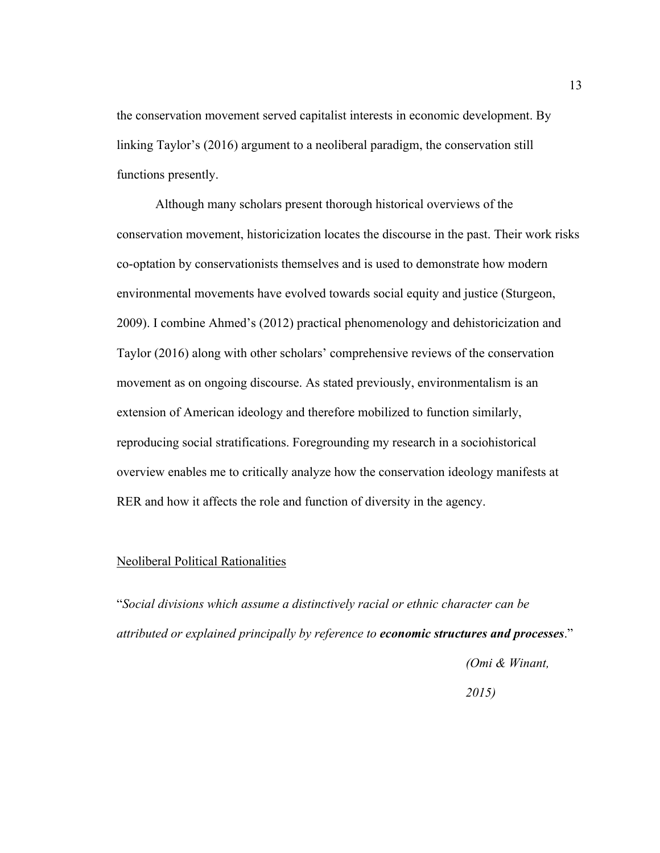the conservation movement served capitalist interests in economic development. By linking Taylor's (2016) argument to a neoliberal paradigm, the conservation still functions presently.

Although many scholars present thorough historical overviews of the conservation movement, historicization locates the discourse in the past. Their work risks co-optation by conservationists themselves and is used to demonstrate how modern environmental movements have evolved towards social equity and justice (Sturgeon, 2009). I combine Ahmed's (2012) practical phenomenology and dehistoricization and Taylor (2016) along with other scholars' comprehensive reviews of the conservation movement as on ongoing discourse. As stated previously, environmentalism is an extension of American ideology and therefore mobilized to function similarly, reproducing social stratifications. Foregrounding my research in a sociohistorical overview enables me to critically analyze how the conservation ideology manifests at RER and how it affects the role and function of diversity in the agency.

# Neoliberal Political Rationalities

"*Social divisions which assume a distinctively racial or ethnic character can be attributed or explained principally by reference to economic structures and processes*."

*(Omi & Winant,* 

*2015)*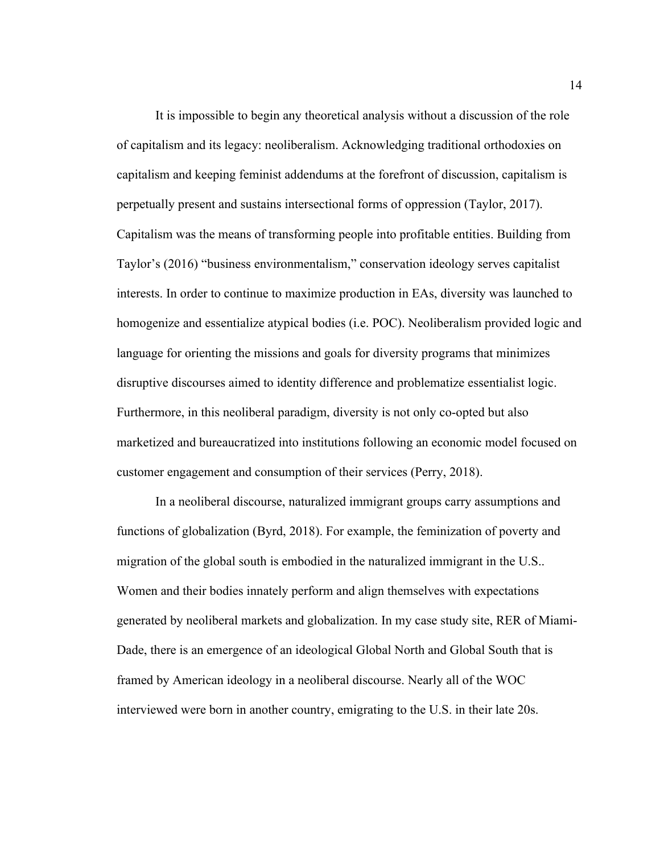It is impossible to begin any theoretical analysis without a discussion of the role of capitalism and its legacy: neoliberalism. Acknowledging traditional orthodoxies on capitalism and keeping feminist addendums at the forefront of discussion, capitalism is perpetually present and sustains intersectional forms of oppression (Taylor, 2017). Capitalism was the means of transforming people into profitable entities. Building from Taylor's (2016) "business environmentalism," conservation ideology serves capitalist interests. In order to continue to maximize production in EAs, diversity was launched to homogenize and essentialize atypical bodies (i.e. POC). Neoliberalism provided logic and language for orienting the missions and goals for diversity programs that minimizes disruptive discourses aimed to identity difference and problematize essentialist logic. Furthermore, in this neoliberal paradigm, diversity is not only co-opted but also marketized and bureaucratized into institutions following an economic model focused on customer engagement and consumption of their services (Perry, 2018).

In a neoliberal discourse, naturalized immigrant groups carry assumptions and functions of globalization (Byrd, 2018). For example, the feminization of poverty and migration of the global south is embodied in the naturalized immigrant in the U.S.. Women and their bodies innately perform and align themselves with expectations generated by neoliberal markets and globalization. In my case study site, RER of Miami-Dade, there is an emergence of an ideological Global North and Global South that is framed by American ideology in a neoliberal discourse. Nearly all of the WOC interviewed were born in another country, emigrating to the U.S. in their late 20s.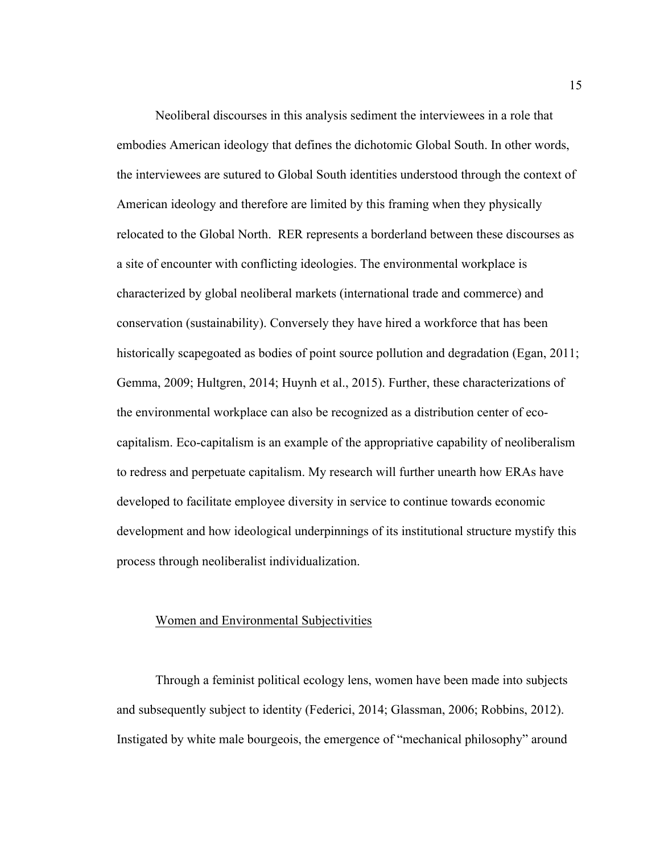Neoliberal discourses in this analysis sediment the interviewees in a role that embodies American ideology that defines the dichotomic Global South. In other words, the interviewees are sutured to Global South identities understood through the context of American ideology and therefore are limited by this framing when they physically relocated to the Global North. RER represents a borderland between these discourses as a site of encounter with conflicting ideologies. The environmental workplace is characterized by global neoliberal markets (international trade and commerce) and conservation (sustainability). Conversely they have hired a workforce that has been historically scapegoated as bodies of point source pollution and degradation (Egan, 2011; Gemma, 2009; Hultgren, 2014; Huynh et al., 2015). Further, these characterizations of the environmental workplace can also be recognized as a distribution center of ecocapitalism. Eco-capitalism is an example of the appropriative capability of neoliberalism to redress and perpetuate capitalism. My research will further unearth how ERAs have developed to facilitate employee diversity in service to continue towards economic development and how ideological underpinnings of its institutional structure mystify this process through neoliberalist individualization.

#### Women and Environmental Subjectivities

Through a feminist political ecology lens, women have been made into subjects and subsequently subject to identity (Federici, 2014; Glassman, 2006; Robbins, 2012). Instigated by white male bourgeois, the emergence of "mechanical philosophy" around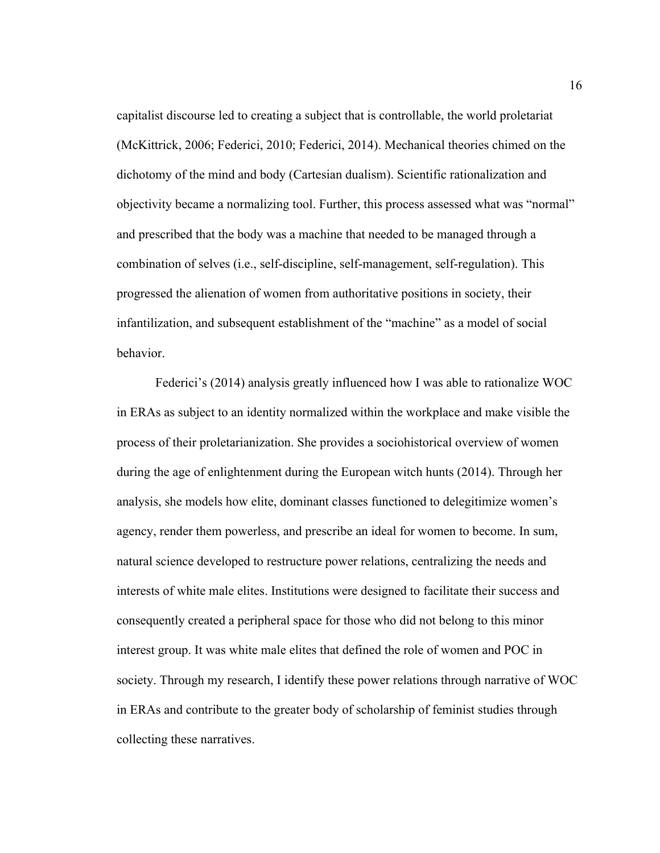capitalist discourse led to creating a subject that is controllable, the world proletariat (McKittrick, 2006; Federici, 2010; Federici, 2014). Mechanical theories chimed on the dichotomy of the mind and body (Cartesian dualism). Scientific rationalization and objectivity became a normalizing tool. Further, this process assessed what was "normal" and prescribed that the body was a machine that needed to be managed through a combination of selves (i.e., self-discipline, self-management, self-regulation). This progressed the alienation of women from authoritative positions in society, their infantilization, and subsequent establishment of the "machine" as a model of social behavior.

Federici's (2014) analysis greatly influenced how I was able to rationalize WOC in ERAs as subject to an identity normalized within the workplace and make visible the process of their proletarianization. She provides a sociohistorical overview of women during the age of enlightenment during the European witch hunts (2014). Through her analysis, she models how elite, dominant classes functioned to delegitimize women's agency, render them powerless, and prescribe an ideal for women to become. In sum, natural science developed to restructure power relations, centralizing the needs and interests of white male elites. Institutions were designed to facilitate their success and consequently created a peripheral space for those who did not belong to this minor interest group. It was white male elites that defined the role of women and POC in society. Through my research, I identify these power relations through narrative of WOC in ERAs and contribute to the greater body of scholarship of feminist studies through collecting these narratives.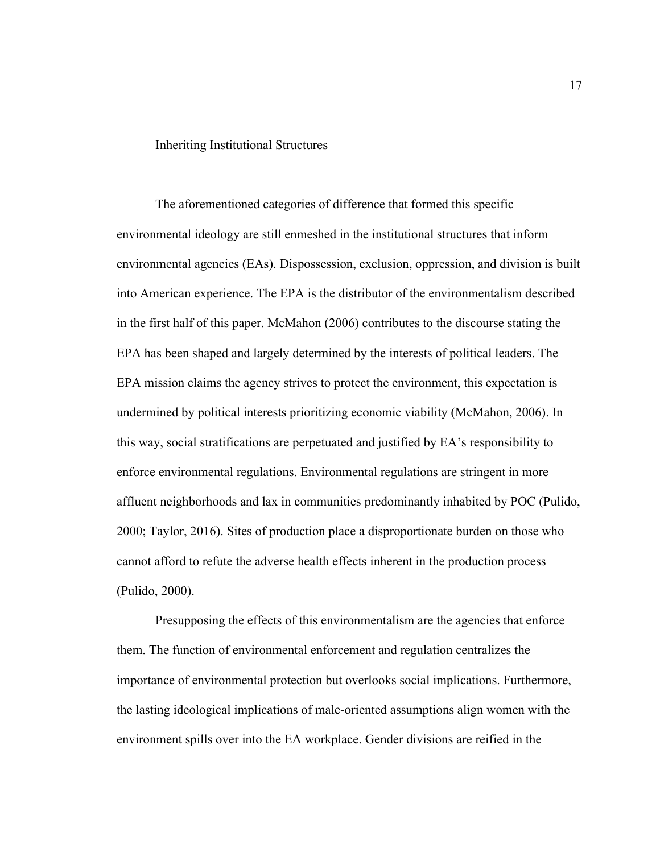# Inheriting Institutional Structures

The aforementioned categories of difference that formed this specific environmental ideology are still enmeshed in the institutional structures that inform environmental agencies (EAs). Dispossession, exclusion, oppression, and division is built into American experience. The EPA is the distributor of the environmentalism described in the first half of this paper. McMahon (2006) contributes to the discourse stating the EPA has been shaped and largely determined by the interests of political leaders. The EPA mission claims the agency strives to protect the environment, this expectation is undermined by political interests prioritizing economic viability (McMahon, 2006). In this way, social stratifications are perpetuated and justified by EA's responsibility to enforce environmental regulations. Environmental regulations are stringent in more affluent neighborhoods and lax in communities predominantly inhabited by POC (Pulido, 2000; Taylor, 2016). Sites of production place a disproportionate burden on those who cannot afford to refute the adverse health effects inherent in the production process (Pulido, 2000).

Presupposing the effects of this environmentalism are the agencies that enforce them. The function of environmental enforcement and regulation centralizes the importance of environmental protection but overlooks social implications. Furthermore, the lasting ideological implications of male-oriented assumptions align women with the environment spills over into the EA workplace. Gender divisions are reified in the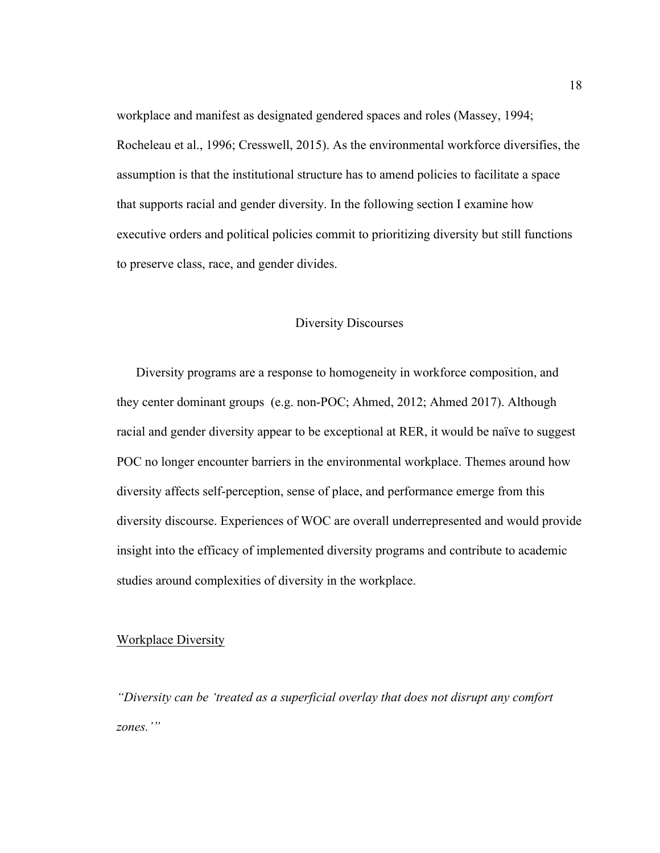workplace and manifest as designated gendered spaces and roles (Massey, 1994; Rocheleau et al., 1996; Cresswell, 2015). As the environmental workforce diversifies, the assumption is that the institutional structure has to amend policies to facilitate a space that supports racial and gender diversity. In the following section I examine how executive orders and political policies commit to prioritizing diversity but still functions to preserve class, race, and gender divides.

# Diversity Discourses

Diversity programs are a response to homogeneity in workforce composition, and they center dominant groups (e.g. non-POC; Ahmed, 2012; Ahmed 2017). Although racial and gender diversity appear to be exceptional at RER, it would be naïve to suggest POC no longer encounter barriers in the environmental workplace. Themes around how diversity affects self-perception, sense of place, and performance emerge from this diversity discourse. Experiences of WOC are overall underrepresented and would provide insight into the efficacy of implemented diversity programs and contribute to academic studies around complexities of diversity in the workplace.

## Workplace Diversity

*"Diversity can be 'treated as a superficial overlay that does not disrupt any comfort zones.'"*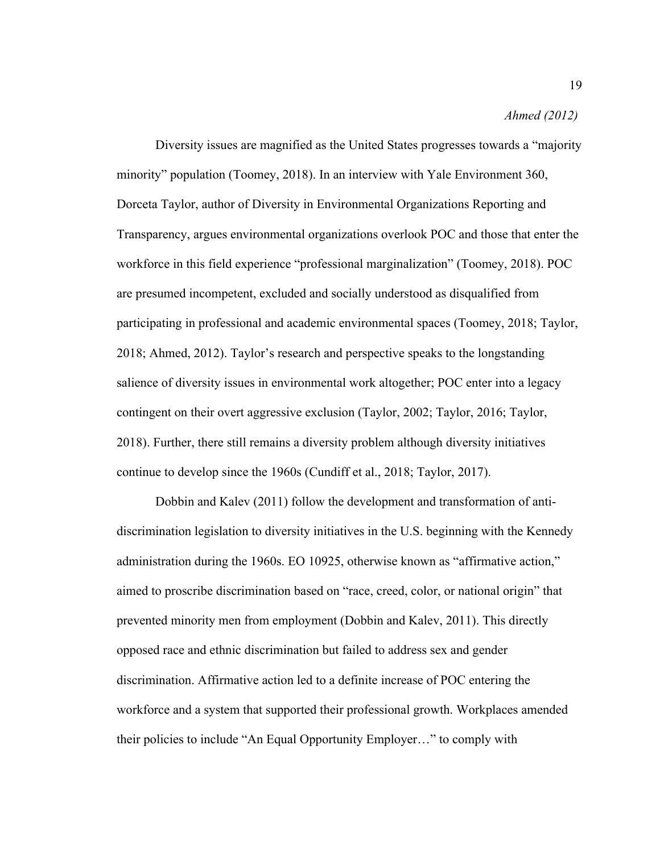#### *Ahmed (2012)*

Diversity issues are magnified as the United States progresses towards a "majority minority" population (Toomey, 2018). In an interview with Yale Environment 360, Dorceta Taylor, author of Diversity in Environmental Organizations Reporting and Transparency, argues environmental organizations overlook POC and those that enter the workforce in this field experience "professional marginalization" (Toomey, 2018). POC are presumed incompetent, excluded and socially understood as disqualified from participating in professional and academic environmental spaces (Toomey, 2018; Taylor, 2018; Ahmed, 2012). Taylor's research and perspective speaks to the longstanding salience of diversity issues in environmental work altogether; POC enter into a legacy contingent on their overt aggressive exclusion (Taylor, 2002; Taylor, 2016; Taylor, 2018). Further, there still remains a diversity problem although diversity initiatives continue to develop since the 1960s (Cundiff et al., 2018; Taylor, 2017).

Dobbin and Kalev (2011) follow the development and transformation of antidiscrimination legislation to diversity initiatives in the U.S. beginning with the Kennedy administration during the 1960s. EO 10925, otherwise known as "affirmative action," aimed to proscribe discrimination based on "race, creed, color, or national origin" that prevented minority men from employment (Dobbin and Kalev, 2011). This directly opposed race and ethnic discrimination but failed to address sex and gender discrimination. Affirmative action led to a definite increase of POC entering the workforce and a system that supported their professional growth. Workplaces amended their policies to include "An Equal Opportunity Employer…" to comply with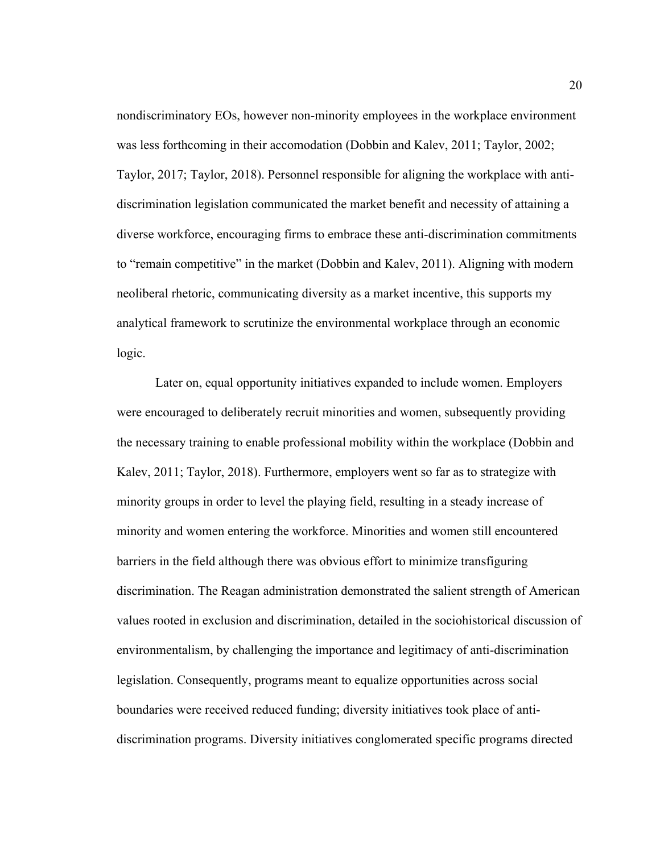nondiscriminatory EOs, however non-minority employees in the workplace environment was less forthcoming in their accomodation (Dobbin and Kalev, 2011; Taylor, 2002; Taylor, 2017; Taylor, 2018). Personnel responsible for aligning the workplace with antidiscrimination legislation communicated the market benefit and necessity of attaining a diverse workforce, encouraging firms to embrace these anti-discrimination commitments to "remain competitive" in the market (Dobbin and Kalev, 2011). Aligning with modern neoliberal rhetoric, communicating diversity as a market incentive, this supports my analytical framework to scrutinize the environmental workplace through an economic logic.

Later on, equal opportunity initiatives expanded to include women. Employers were encouraged to deliberately recruit minorities and women, subsequently providing the necessary training to enable professional mobility within the workplace (Dobbin and Kalev, 2011; Taylor, 2018). Furthermore, employers went so far as to strategize with minority groups in order to level the playing field, resulting in a steady increase of minority and women entering the workforce. Minorities and women still encountered barriers in the field although there was obvious effort to minimize transfiguring discrimination. The Reagan administration demonstrated the salient strength of American values rooted in exclusion and discrimination, detailed in the sociohistorical discussion of environmentalism, by challenging the importance and legitimacy of anti-discrimination legislation. Consequently, programs meant to equalize opportunities across social boundaries were received reduced funding; diversity initiatives took place of antidiscrimination programs. Diversity initiatives conglomerated specific programs directed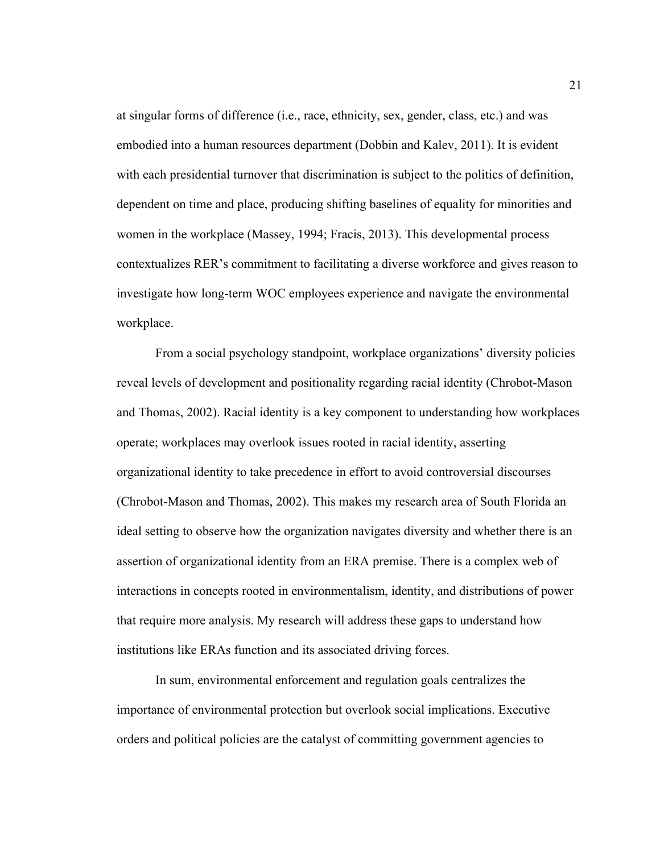at singular forms of difference (i.e., race, ethnicity, sex, gender, class, etc.) and was embodied into a human resources department (Dobbin and Kalev, 2011). It is evident with each presidential turnover that discrimination is subject to the politics of definition, dependent on time and place, producing shifting baselines of equality for minorities and women in the workplace (Massey, 1994; Fracis, 2013). This developmental process contextualizes RER's commitment to facilitating a diverse workforce and gives reason to investigate how long-term WOC employees experience and navigate the environmental workplace.

From a social psychology standpoint, workplace organizations' diversity policies reveal levels of development and positionality regarding racial identity (Chrobot-Mason and Thomas, 2002). Racial identity is a key component to understanding how workplaces operate; workplaces may overlook issues rooted in racial identity, asserting organizational identity to take precedence in effort to avoid controversial discourses (Chrobot-Mason and Thomas, 2002). This makes my research area of South Florida an ideal setting to observe how the organization navigates diversity and whether there is an assertion of organizational identity from an ERA premise. There is a complex web of interactions in concepts rooted in environmentalism, identity, and distributions of power that require more analysis. My research will address these gaps to understand how institutions like ERAs function and its associated driving forces.

In sum, environmental enforcement and regulation goals centralizes the importance of environmental protection but overlook social implications. Executive orders and political policies are the catalyst of committing government agencies to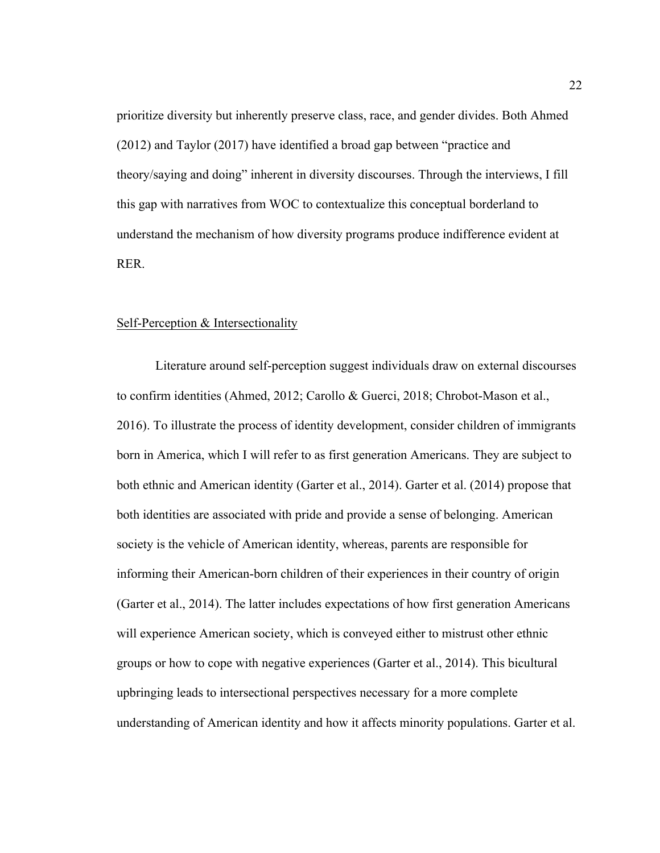prioritize diversity but inherently preserve class, race, and gender divides. Both Ahmed (2012) and Taylor (2017) have identified a broad gap between "practice and theory/saying and doing" inherent in diversity discourses. Through the interviews, I fill this gap with narratives from WOC to contextualize this conceptual borderland to understand the mechanism of how diversity programs produce indifference evident at RER.

#### Self-Perception & Intersectionality

Literature around self-perception suggest individuals draw on external discourses to confirm identities (Ahmed, 2012; Carollo & Guerci, 2018; Chrobot-Mason et al., 2016). To illustrate the process of identity development, consider children of immigrants born in America, which I will refer to as first generation Americans. They are subject to both ethnic and American identity (Garter et al., 2014). Garter et al. (2014) propose that both identities are associated with pride and provide a sense of belonging. American society is the vehicle of American identity, whereas, parents are responsible for informing their American-born children of their experiences in their country of origin (Garter et al., 2014). The latter includes expectations of how first generation Americans will experience American society, which is conveyed either to mistrust other ethnic groups or how to cope with negative experiences (Garter et al., 2014). This bicultural upbringing leads to intersectional perspectives necessary for a more complete understanding of American identity and how it affects minority populations. Garter et al.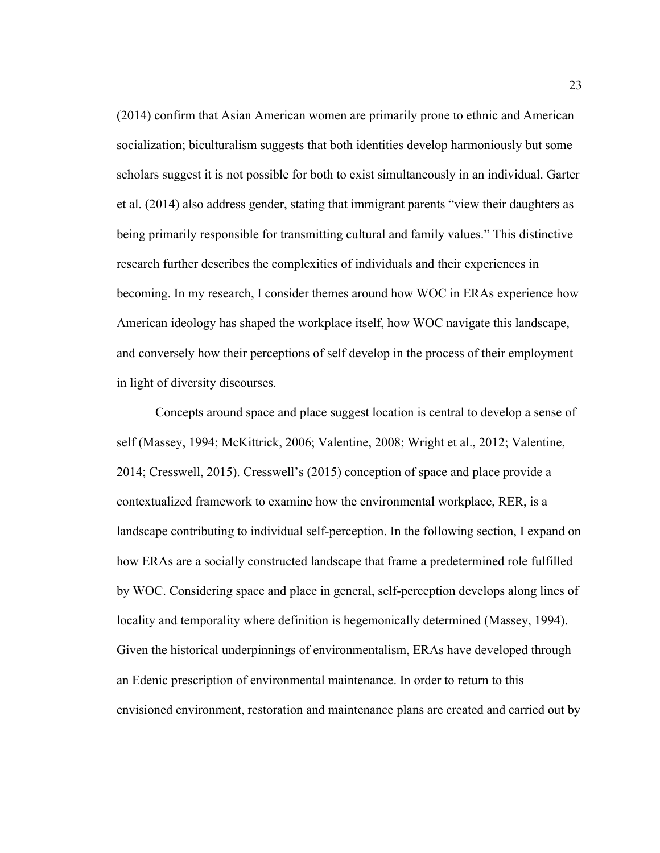(2014) confirm that Asian American women are primarily prone to ethnic and American socialization; biculturalism suggests that both identities develop harmoniously but some scholars suggest it is not possible for both to exist simultaneously in an individual. Garter et al. (2014) also address gender, stating that immigrant parents "view their daughters as being primarily responsible for transmitting cultural and family values." This distinctive research further describes the complexities of individuals and their experiences in becoming. In my research, I consider themes around how WOC in ERAs experience how American ideology has shaped the workplace itself, how WOC navigate this landscape, and conversely how their perceptions of self develop in the process of their employment in light of diversity discourses.

Concepts around space and place suggest location is central to develop a sense of self (Massey, 1994; McKittrick, 2006; Valentine, 2008; Wright et al., 2012; Valentine, 2014; Cresswell, 2015). Cresswell's (2015) conception of space and place provide a contextualized framework to examine how the environmental workplace, RER, is a landscape contributing to individual self-perception. In the following section, I expand on how ERAs are a socially constructed landscape that frame a predetermined role fulfilled by WOC. Considering space and place in general, self-perception develops along lines of locality and temporality where definition is hegemonically determined (Massey, 1994). Given the historical underpinnings of environmentalism, ERAs have developed through an Edenic prescription of environmental maintenance. In order to return to this envisioned environment, restoration and maintenance plans are created and carried out by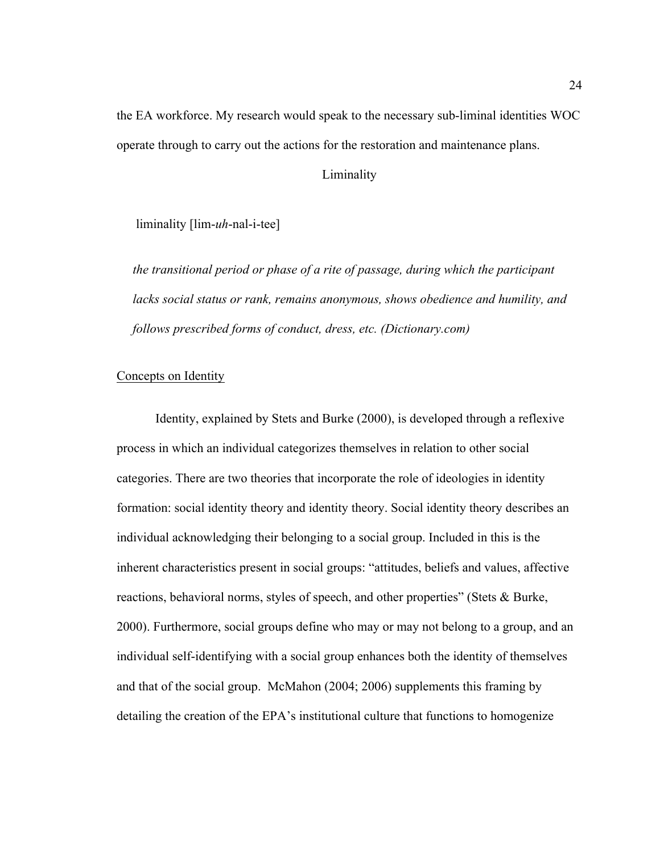the EA workforce. My research would speak to the necessary sub-liminal identities WOC operate through to carry out the actions for the restoration and maintenance plans.

Liminality

liminality [lim-*uh*-nal-i-tee]

*the transitional period or phase of a rite of passage, during which the participant lacks social status or rank, remains anonymous, shows obedience and humility, and follows prescribed forms of conduct, dress, etc. (Dictionary.com)*

# Concepts on Identity

Identity, explained by Stets and Burke (2000), is developed through a reflexive process in which an individual categorizes themselves in relation to other social categories. There are two theories that incorporate the role of ideologies in identity formation: social identity theory and identity theory. Social identity theory describes an individual acknowledging their belonging to a social group. Included in this is the inherent characteristics present in social groups: "attitudes, beliefs and values, affective reactions, behavioral norms, styles of speech, and other properties" (Stets & Burke, 2000). Furthermore, social groups define who may or may not belong to a group, and an individual self-identifying with a social group enhances both the identity of themselves and that of the social group. McMahon (2004; 2006) supplements this framing by detailing the creation of the EPA's institutional culture that functions to homogenize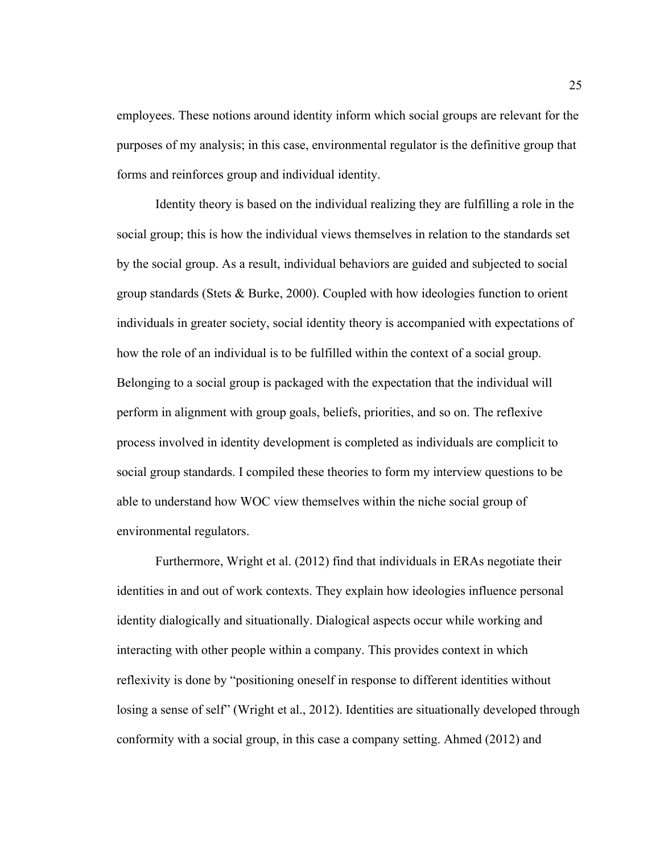employees. These notions around identity inform which social groups are relevant for the purposes of my analysis; in this case, environmental regulator is the definitive group that forms and reinforces group and individual identity.

Identity theory is based on the individual realizing they are fulfilling a role in the social group; this is how the individual views themselves in relation to the standards set by the social group. As a result, individual behaviors are guided and subjected to social group standards (Stets & Burke, 2000). Coupled with how ideologies function to orient individuals in greater society, social identity theory is accompanied with expectations of how the role of an individual is to be fulfilled within the context of a social group. Belonging to a social group is packaged with the expectation that the individual will perform in alignment with group goals, beliefs, priorities, and so on. The reflexive process involved in identity development is completed as individuals are complicit to social group standards. I compiled these theories to form my interview questions to be able to understand how WOC view themselves within the niche social group of environmental regulators.

Furthermore, Wright et al. (2012) find that individuals in ERAs negotiate their identities in and out of work contexts. They explain how ideologies influence personal identity dialogically and situationally. Dialogical aspects occur while working and interacting with other people within a company. This provides context in which reflexivity is done by "positioning oneself in response to different identities without losing a sense of self" (Wright et al., 2012). Identities are situationally developed through conformity with a social group, in this case a company setting. Ahmed (2012) and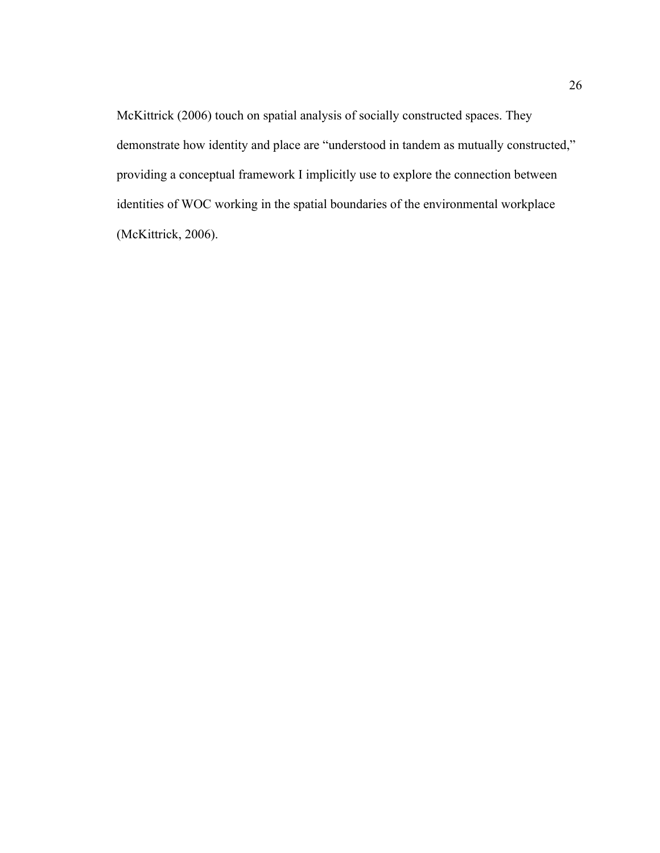McKittrick (2006) touch on spatial analysis of socially constructed spaces. They demonstrate how identity and place are "understood in tandem as mutually constructed," providing a conceptual framework I implicitly use to explore the connection between identities of WOC working in the spatial boundaries of the environmental workplace (McKittrick, 2006).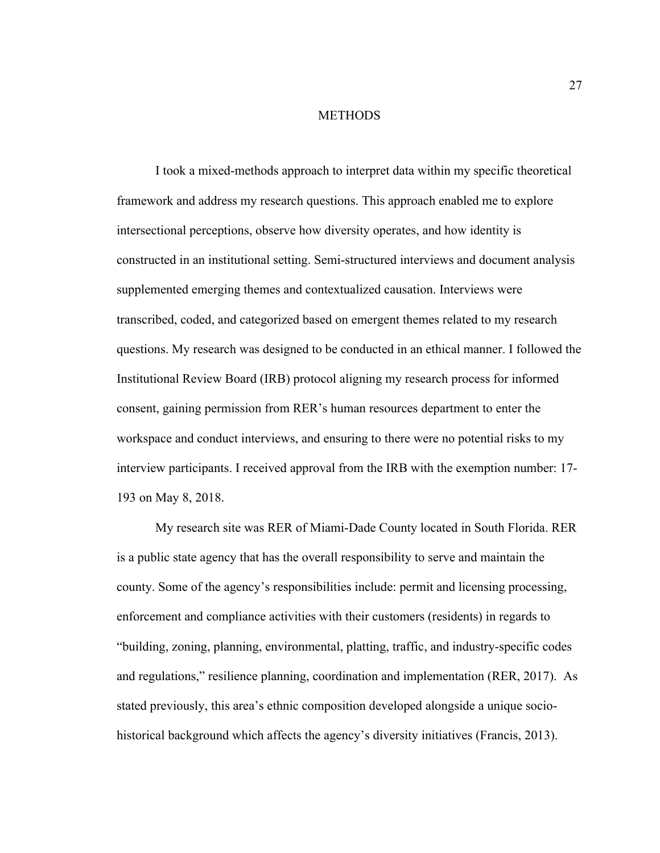#### **METHODS**

I took a mixed-methods approach to interpret data within my specific theoretical framework and address my research questions. This approach enabled me to explore intersectional perceptions, observe how diversity operates, and how identity is constructed in an institutional setting. Semi-structured interviews and document analysis supplemented emerging themes and contextualized causation. Interviews were transcribed, coded, and categorized based on emergent themes related to my research questions. My research was designed to be conducted in an ethical manner. I followed the Institutional Review Board (IRB) protocol aligning my research process for informed consent, gaining permission from RER's human resources department to enter the workspace and conduct interviews, and ensuring to there were no potential risks to my interview participants. I received approval from the IRB with the exemption number: 17- 193 on May 8, 2018.

My research site was RER of Miami-Dade County located in South Florida. RER is a public state agency that has the overall responsibility to serve and maintain the county. Some of the agency's responsibilities include: permit and licensing processing, enforcement and compliance activities with their customers (residents) in regards to "building, zoning, planning, environmental, platting, traffic, and industry-specific codes and regulations," resilience planning, coordination and implementation (RER, 2017). As stated previously, this area's ethnic composition developed alongside a unique sociohistorical background which affects the agency's diversity initiatives (Francis, 2013).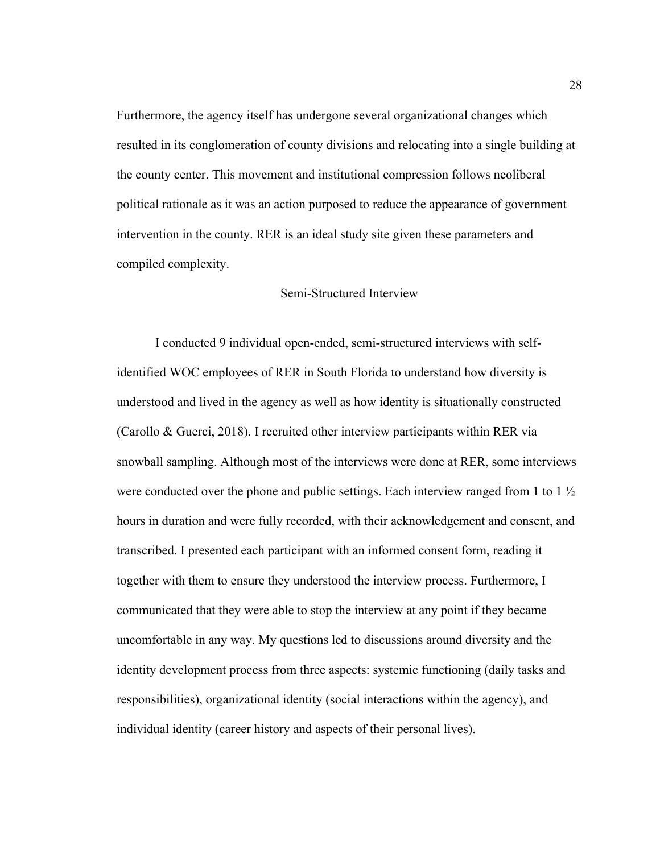Furthermore, the agency itself has undergone several organizational changes which resulted in its conglomeration of county divisions and relocating into a single building at the county center. This movement and institutional compression follows neoliberal political rationale as it was an action purposed to reduce the appearance of government intervention in the county. RER is an ideal study site given these parameters and compiled complexity.

## Semi-Structured Interview

I conducted 9 individual open-ended, semi-structured interviews with selfidentified WOC employees of RER in South Florida to understand how diversity is understood and lived in the agency as well as how identity is situationally constructed (Carollo & Guerci, 2018). I recruited other interview participants within RER via snowball sampling. Although most of the interviews were done at RER, some interviews were conducted over the phone and public settings. Each interview ranged from 1 to 1  $\frac{1}{2}$ hours in duration and were fully recorded, with their acknowledgement and consent, and transcribed. I presented each participant with an informed consent form, reading it together with them to ensure they understood the interview process. Furthermore, I communicated that they were able to stop the interview at any point if they became uncomfortable in any way. My questions led to discussions around diversity and the identity development process from three aspects: systemic functioning (daily tasks and responsibilities), organizational identity (social interactions within the agency), and individual identity (career history and aspects of their personal lives).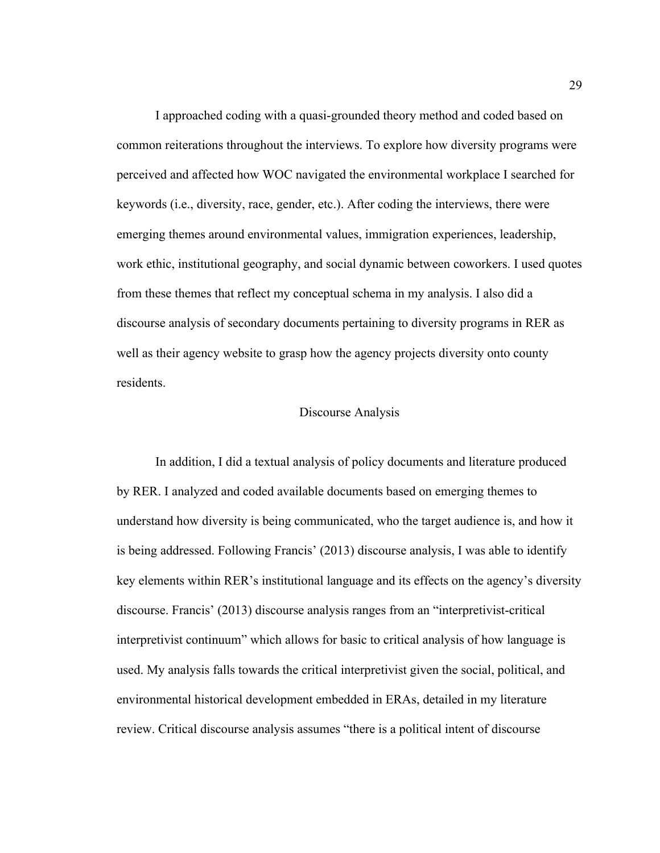I approached coding with a quasi-grounded theory method and coded based on common reiterations throughout the interviews. To explore how diversity programs were perceived and affected how WOC navigated the environmental workplace I searched for keywords (i.e., diversity, race, gender, etc.). After coding the interviews, there were emerging themes around environmental values, immigration experiences, leadership, work ethic, institutional geography, and social dynamic between coworkers. I used quotes from these themes that reflect my conceptual schema in my analysis. I also did a discourse analysis of secondary documents pertaining to diversity programs in RER as well as their agency website to grasp how the agency projects diversity onto county residents.

### Discourse Analysis

In addition, I did a textual analysis of policy documents and literature produced by RER. I analyzed and coded available documents based on emerging themes to understand how diversity is being communicated, who the target audience is, and how it is being addressed. Following Francis' (2013) discourse analysis, I was able to identify key elements within RER's institutional language and its effects on the agency's diversity discourse. Francis' (2013) discourse analysis ranges from an "interpretivist-critical interpretivist continuum" which allows for basic to critical analysis of how language is used. My analysis falls towards the critical interpretivist given the social, political, and environmental historical development embedded in ERAs, detailed in my literature review. Critical discourse analysis assumes "there is a political intent of discourse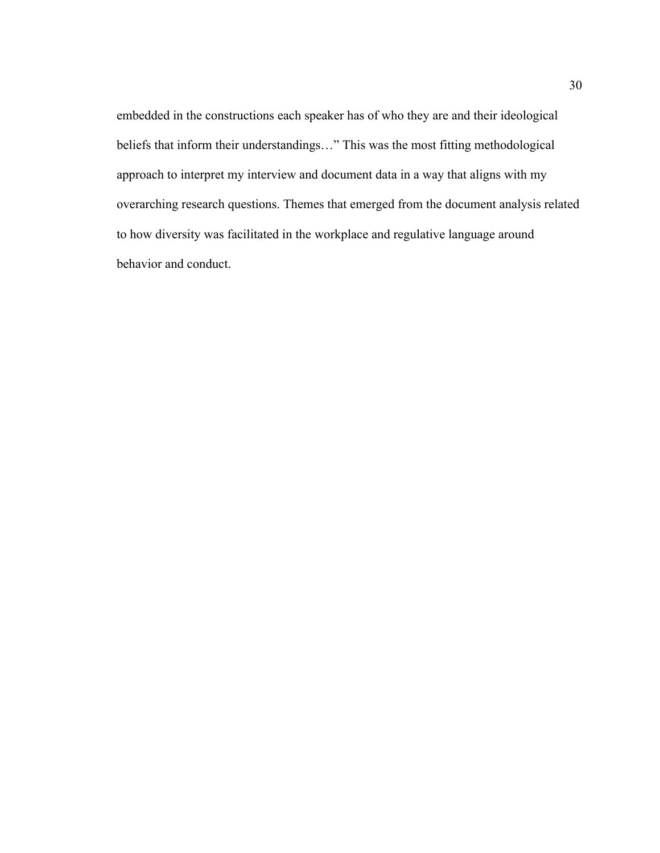embedded in the constructions each speaker has of who they are and their ideological beliefs that inform their understandings…" This was the most fitting methodological approach to interpret my interview and document data in a way that aligns with my overarching research questions. Themes that emerged from the document analysis related to how diversity was facilitated in the workplace and regulative language around behavior and conduct.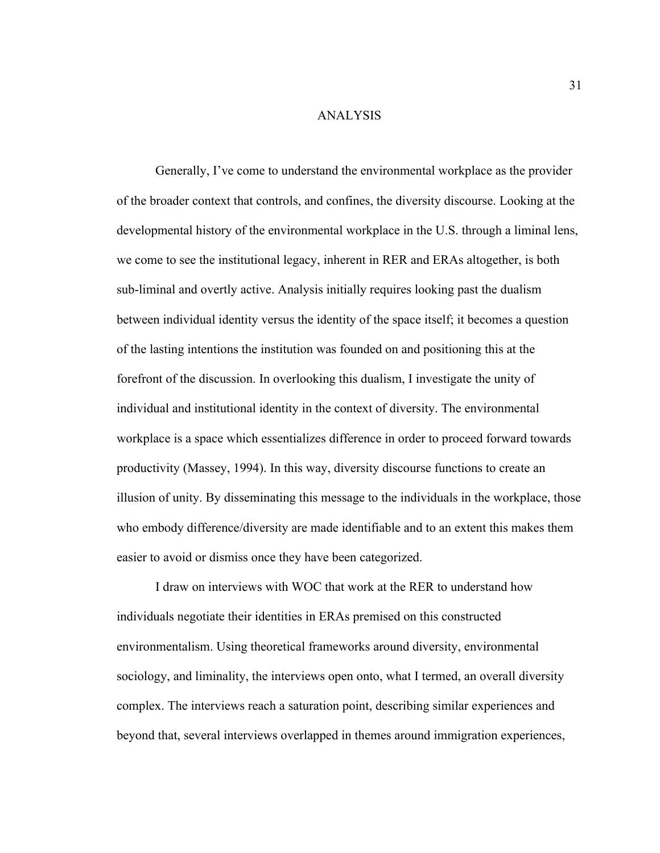#### ANALYSIS

Generally, I've come to understand the environmental workplace as the provider of the broader context that controls, and confines, the diversity discourse. Looking at the developmental history of the environmental workplace in the U.S. through a liminal lens, we come to see the institutional legacy, inherent in RER and ERAs altogether, is both sub-liminal and overtly active. Analysis initially requires looking past the dualism between individual identity versus the identity of the space itself; it becomes a question of the lasting intentions the institution was founded on and positioning this at the forefront of the discussion. In overlooking this dualism, I investigate the unity of individual and institutional identity in the context of diversity. The environmental workplace is a space which essentializes difference in order to proceed forward towards productivity (Massey, 1994). In this way, diversity discourse functions to create an illusion of unity. By disseminating this message to the individuals in the workplace, those who embody difference/diversity are made identifiable and to an extent this makes them easier to avoid or dismiss once they have been categorized.

I draw on interviews with WOC that work at the RER to understand how individuals negotiate their identities in ERAs premised on this constructed environmentalism. Using theoretical frameworks around diversity, environmental sociology, and liminality, the interviews open onto, what I termed, an overall diversity complex. The interviews reach a saturation point, describing similar experiences and beyond that, several interviews overlapped in themes around immigration experiences,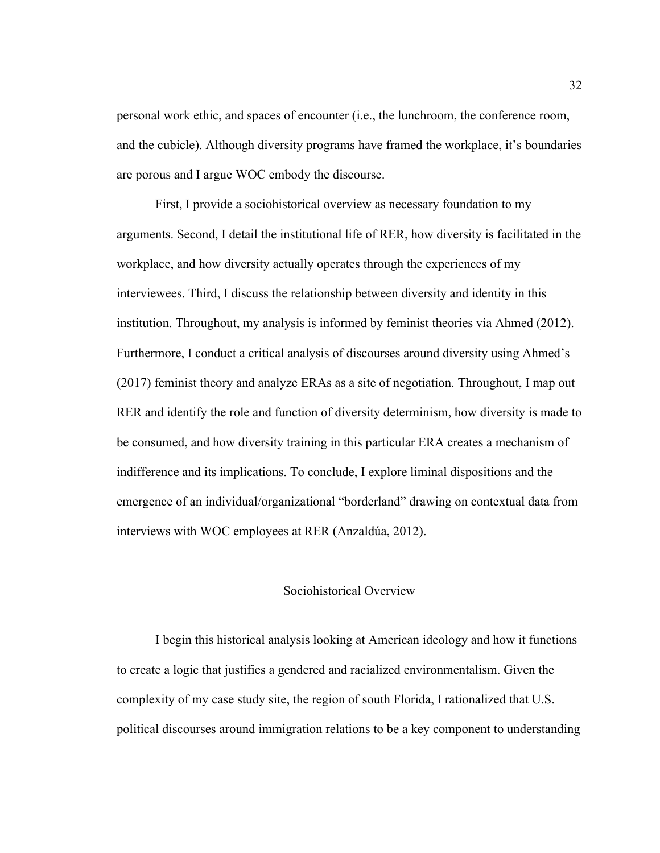personal work ethic, and spaces of encounter (i.e., the lunchroom, the conference room, and the cubicle). Although diversity programs have framed the workplace, it's boundaries are porous and I argue WOC embody the discourse.

First, I provide a sociohistorical overview as necessary foundation to my arguments. Second, I detail the institutional life of RER, how diversity is facilitated in the workplace, and how diversity actually operates through the experiences of my interviewees. Third, I discuss the relationship between diversity and identity in this institution. Throughout, my analysis is informed by feminist theories via Ahmed (2012). Furthermore, I conduct a critical analysis of discourses around diversity using Ahmed's (2017) feminist theory and analyze ERAs as a site of negotiation. Throughout, I map out RER and identify the role and function of diversity determinism, how diversity is made to be consumed, and how diversity training in this particular ERA creates a mechanism of indifference and its implications. To conclude, I explore liminal dispositions and the emergence of an individual/organizational "borderland" drawing on contextual data from interviews with WOC employees at RER (Anzaldúa, 2012).

## Sociohistorical Overview

I begin this historical analysis looking at American ideology and how it functions to create a logic that justifies a gendered and racialized environmentalism. Given the complexity of my case study site, the region of south Florida, I rationalized that U.S. political discourses around immigration relations to be a key component to understanding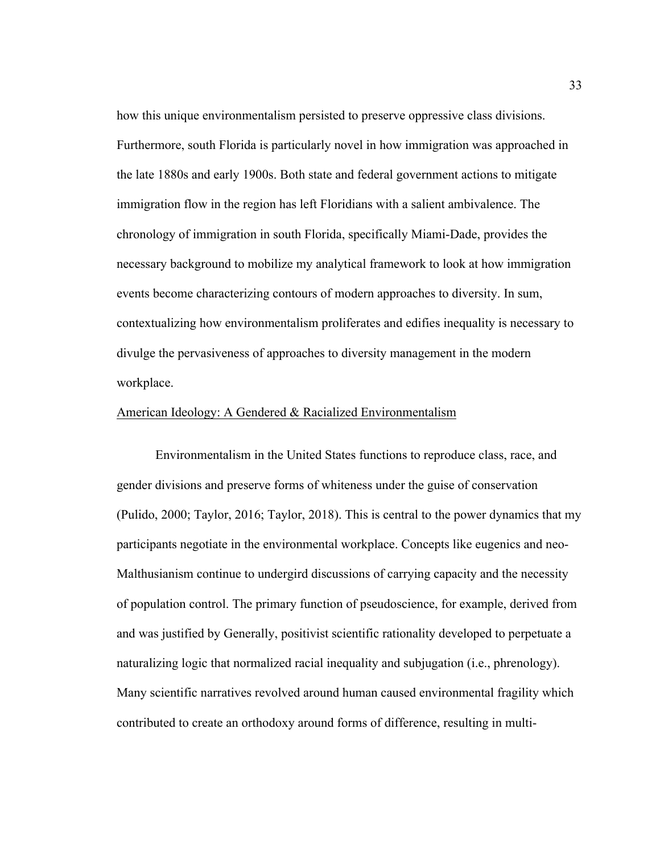how this unique environmentalism persisted to preserve oppressive class divisions. Furthermore, south Florida is particularly novel in how immigration was approached in the late 1880s and early 1900s. Both state and federal government actions to mitigate immigration flow in the region has left Floridians with a salient ambivalence. The chronology of immigration in south Florida, specifically Miami-Dade, provides the necessary background to mobilize my analytical framework to look at how immigration events become characterizing contours of modern approaches to diversity. In sum, contextualizing how environmentalism proliferates and edifies inequality is necessary to divulge the pervasiveness of approaches to diversity management in the modern workplace.

#### American Ideology: A Gendered & Racialized Environmentalism

Environmentalism in the United States functions to reproduce class, race, and gender divisions and preserve forms of whiteness under the guise of conservation (Pulido, 2000; Taylor, 2016; Taylor, 2018). This is central to the power dynamics that my participants negotiate in the environmental workplace. Concepts like eugenics and neo-Malthusianism continue to undergird discussions of carrying capacity and the necessity of population control. The primary function of pseudoscience, for example, derived from and was justified by Generally, positivist scientific rationality developed to perpetuate a naturalizing logic that normalized racial inequality and subjugation (i.e., phrenology). Many scientific narratives revolved around human caused environmental fragility which contributed to create an orthodoxy around forms of difference, resulting in multi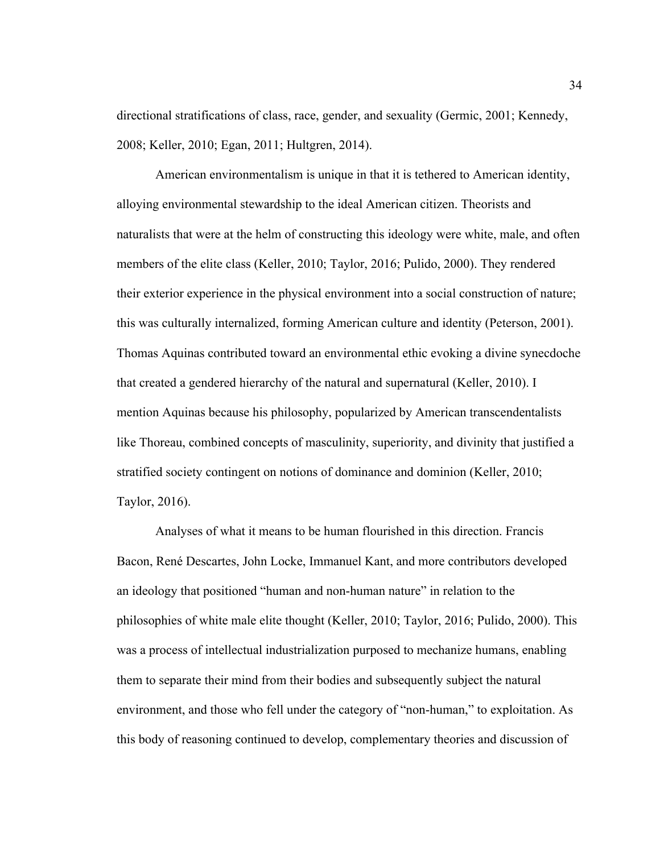directional stratifications of class, race, gender, and sexuality (Germic, 2001; Kennedy, 2008; Keller, 2010; Egan, 2011; Hultgren, 2014).

American environmentalism is unique in that it is tethered to American identity, alloying environmental stewardship to the ideal American citizen. Theorists and naturalists that were at the helm of constructing this ideology were white, male, and often members of the elite class (Keller, 2010; Taylor, 2016; Pulido, 2000). They rendered their exterior experience in the physical environment into a social construction of nature; this was culturally internalized, forming American culture and identity (Peterson, 2001). Thomas Aquinas contributed toward an environmental ethic evoking a divine synecdoche that created a gendered hierarchy of the natural and supernatural (Keller, 2010). I mention Aquinas because his philosophy, popularized by American transcendentalists like Thoreau, combined concepts of masculinity, superiority, and divinity that justified a stratified society contingent on notions of dominance and dominion (Keller, 2010; Taylor, 2016).

Analyses of what it means to be human flourished in this direction. Francis Bacon, René Descartes, John Locke, Immanuel Kant, and more contributors developed an ideology that positioned "human and non-human nature" in relation to the philosophies of white male elite thought (Keller, 2010; Taylor, 2016; Pulido, 2000). This was a process of intellectual industrialization purposed to mechanize humans, enabling them to separate their mind from their bodies and subsequently subject the natural environment, and those who fell under the category of "non-human," to exploitation. As this body of reasoning continued to develop, complementary theories and discussion of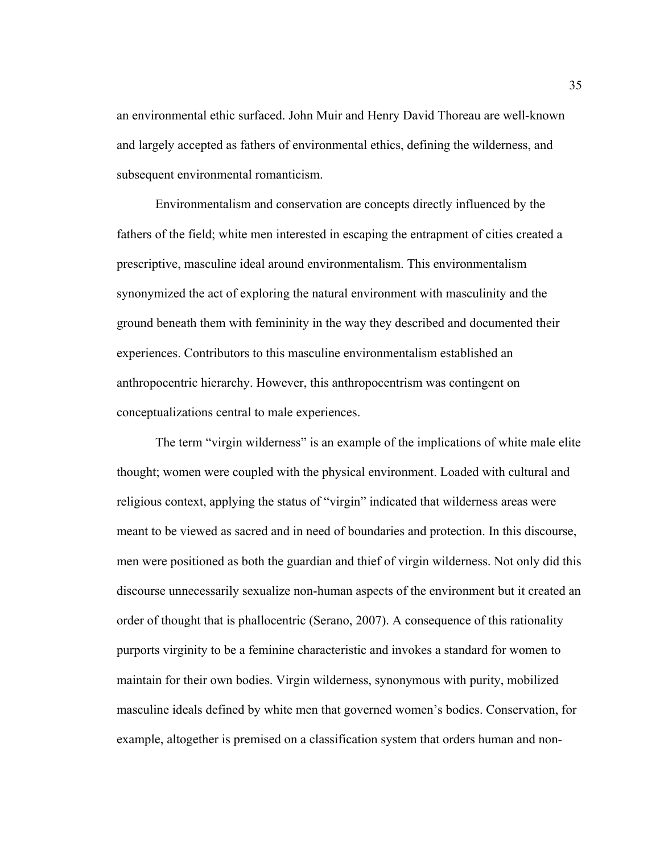an environmental ethic surfaced. John Muir and Henry David Thoreau are well-known and largely accepted as fathers of environmental ethics, defining the wilderness, and subsequent environmental romanticism.

Environmentalism and conservation are concepts directly influenced by the fathers of the field; white men interested in escaping the entrapment of cities created a prescriptive, masculine ideal around environmentalism. This environmentalism synonymized the act of exploring the natural environment with masculinity and the ground beneath them with femininity in the way they described and documented their experiences. Contributors to this masculine environmentalism established an anthropocentric hierarchy. However, this anthropocentrism was contingent on conceptualizations central to male experiences.

The term "virgin wilderness" is an example of the implications of white male elite thought; women were coupled with the physical environment. Loaded with cultural and religious context, applying the status of "virgin" indicated that wilderness areas were meant to be viewed as sacred and in need of boundaries and protection. In this discourse, men were positioned as both the guardian and thief of virgin wilderness. Not only did this discourse unnecessarily sexualize non-human aspects of the environment but it created an order of thought that is phallocentric (Serano, 2007). A consequence of this rationality purports virginity to be a feminine characteristic and invokes a standard for women to maintain for their own bodies. Virgin wilderness, synonymous with purity, mobilized masculine ideals defined by white men that governed women's bodies. Conservation, for example, altogether is premised on a classification system that orders human and non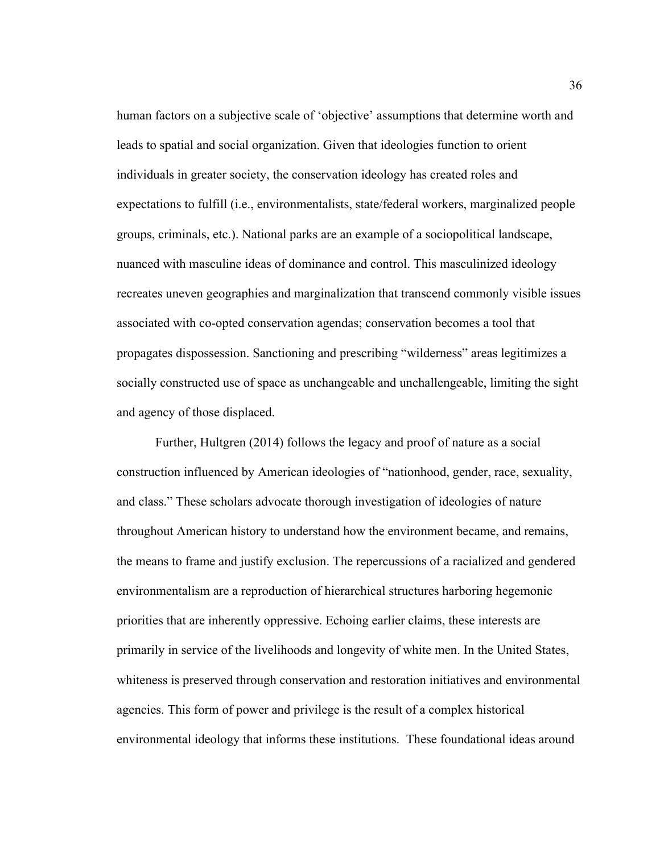human factors on a subjective scale of 'objective' assumptions that determine worth and leads to spatial and social organization. Given that ideologies function to orient individuals in greater society, the conservation ideology has created roles and expectations to fulfill (i.e., environmentalists, state/federal workers, marginalized people groups, criminals, etc.). National parks are an example of a sociopolitical landscape, nuanced with masculine ideas of dominance and control. This masculinized ideology recreates uneven geographies and marginalization that transcend commonly visible issues associated with co-opted conservation agendas; conservation becomes a tool that propagates dispossession. Sanctioning and prescribing "wilderness" areas legitimizes a socially constructed use of space as unchangeable and unchallengeable, limiting the sight and agency of those displaced.

Further, Hultgren (2014) follows the legacy and proof of nature as a social construction influenced by American ideologies of "nationhood, gender, race, sexuality, and class." These scholars advocate thorough investigation of ideologies of nature throughout American history to understand how the environment became, and remains, the means to frame and justify exclusion. The repercussions of a racialized and gendered environmentalism are a reproduction of hierarchical structures harboring hegemonic priorities that are inherently oppressive. Echoing earlier claims, these interests are primarily in service of the livelihoods and longevity of white men. In the United States, whiteness is preserved through conservation and restoration initiatives and environmental agencies. This form of power and privilege is the result of a complex historical environmental ideology that informs these institutions. These foundational ideas around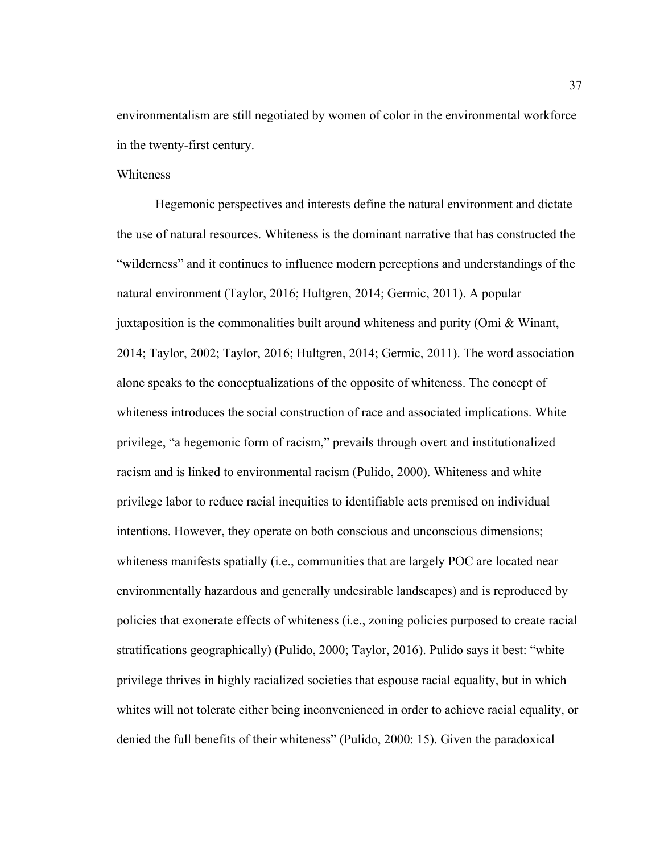environmentalism are still negotiated by women of color in the environmental workforce in the twenty-first century.

## Whiteness

Hegemonic perspectives and interests define the natural environment and dictate the use of natural resources. Whiteness is the dominant narrative that has constructed the "wilderness" and it continues to influence modern perceptions and understandings of the natural environment (Taylor, 2016; Hultgren, 2014; Germic, 2011). A popular juxtaposition is the commonalities built around whiteness and purity (Omi & Winant, 2014; Taylor, 2002; Taylor, 2016; Hultgren, 2014; Germic, 2011). The word association alone speaks to the conceptualizations of the opposite of whiteness. The concept of whiteness introduces the social construction of race and associated implications. White privilege, "a hegemonic form of racism," prevails through overt and institutionalized racism and is linked to environmental racism (Pulido, 2000). Whiteness and white privilege labor to reduce racial inequities to identifiable acts premised on individual intentions. However, they operate on both conscious and unconscious dimensions; whiteness manifests spatially (i.e., communities that are largely POC are located near environmentally hazardous and generally undesirable landscapes) and is reproduced by policies that exonerate effects of whiteness (i.e., zoning policies purposed to create racial stratifications geographically) (Pulido, 2000; Taylor, 2016). Pulido says it best: "white privilege thrives in highly racialized societies that espouse racial equality, but in which whites will not tolerate either being inconvenienced in order to achieve racial equality, or denied the full benefits of their whiteness" (Pulido, 2000: 15). Given the paradoxical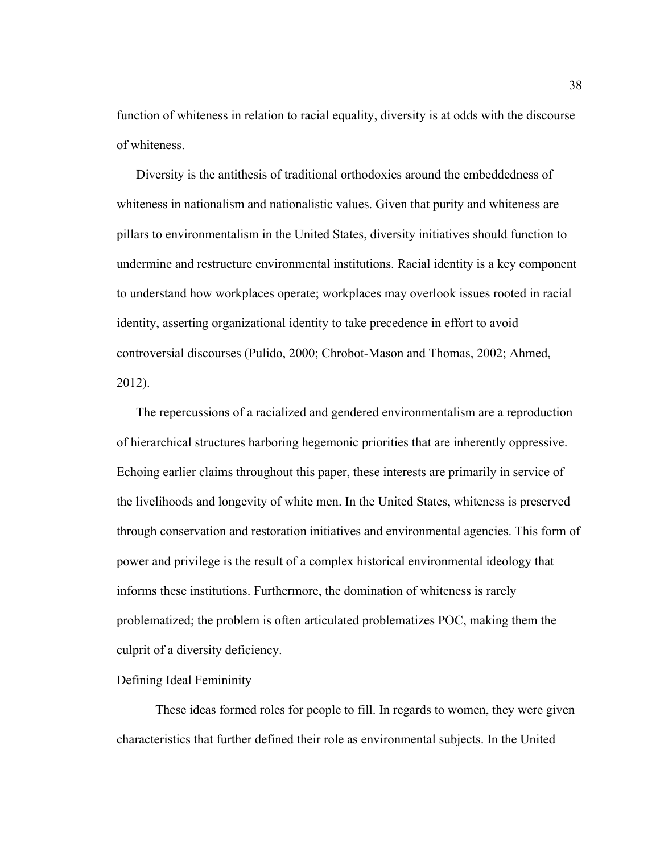function of whiteness in relation to racial equality, diversity is at odds with the discourse of whiteness.

Diversity is the antithesis of traditional orthodoxies around the embeddedness of whiteness in nationalism and nationalistic values. Given that purity and whiteness are pillars to environmentalism in the United States, diversity initiatives should function to undermine and restructure environmental institutions. Racial identity is a key component to understand how workplaces operate; workplaces may overlook issues rooted in racial identity, asserting organizational identity to take precedence in effort to avoid controversial discourses (Pulido, 2000; Chrobot-Mason and Thomas, 2002; Ahmed, 2012).

The repercussions of a racialized and gendered environmentalism are a reproduction of hierarchical structures harboring hegemonic priorities that are inherently oppressive. Echoing earlier claims throughout this paper, these interests are primarily in service of the livelihoods and longevity of white men. In the United States, whiteness is preserved through conservation and restoration initiatives and environmental agencies. This form of power and privilege is the result of a complex historical environmental ideology that informs these institutions. Furthermore, the domination of whiteness is rarely problematized; the problem is often articulated problematizes POC, making them the culprit of a diversity deficiency.

#### Defining Ideal Femininity

These ideas formed roles for people to fill. In regards to women, they were given characteristics that further defined their role as environmental subjects. In the United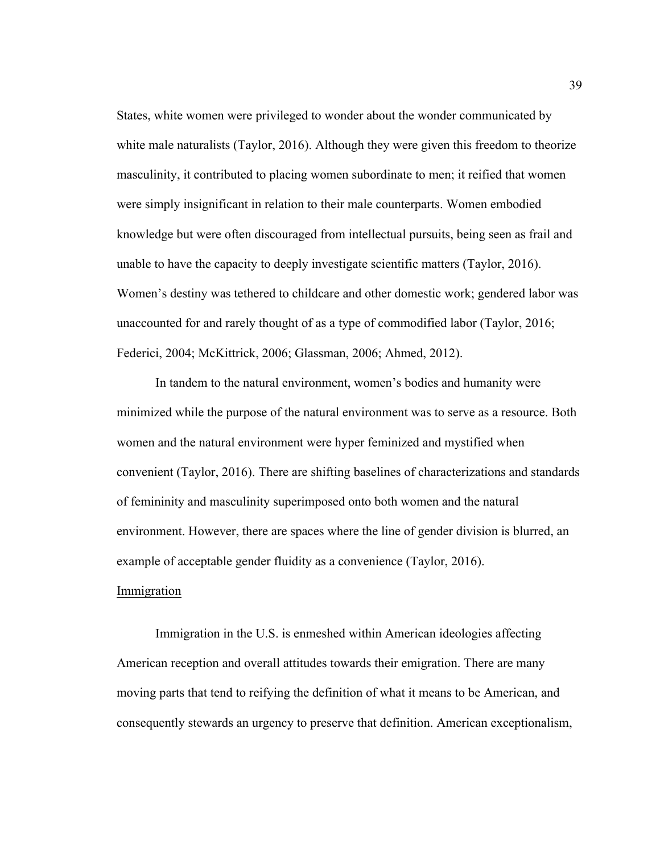States, white women were privileged to wonder about the wonder communicated by white male naturalists (Taylor, 2016). Although they were given this freedom to theorize masculinity, it contributed to placing women subordinate to men; it reified that women were simply insignificant in relation to their male counterparts. Women embodied knowledge but were often discouraged from intellectual pursuits, being seen as frail and unable to have the capacity to deeply investigate scientific matters (Taylor, 2016). Women's destiny was tethered to childcare and other domestic work; gendered labor was unaccounted for and rarely thought of as a type of commodified labor (Taylor, 2016; Federici, 2004; McKittrick, 2006; Glassman, 2006; Ahmed, 2012).

In tandem to the natural environment, women's bodies and humanity were minimized while the purpose of the natural environment was to serve as a resource. Both women and the natural environment were hyper feminized and mystified when convenient (Taylor, 2016). There are shifting baselines of characterizations and standards of femininity and masculinity superimposed onto both women and the natural environment. However, there are spaces where the line of gender division is blurred, an example of acceptable gender fluidity as a convenience (Taylor, 2016).

## Immigration

Immigration in the U.S. is enmeshed within American ideologies affecting American reception and overall attitudes towards their emigration. There are many moving parts that tend to reifying the definition of what it means to be American, and consequently stewards an urgency to preserve that definition. American exceptionalism,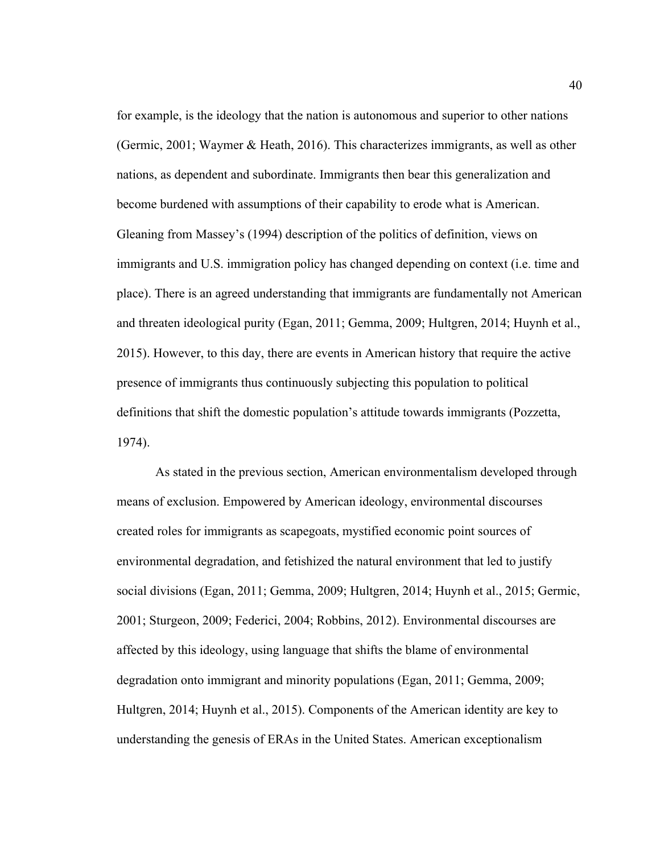for example, is the ideology that the nation is autonomous and superior to other nations (Germic, 2001; Waymer & Heath, 2016). This characterizes immigrants, as well as other nations, as dependent and subordinate. Immigrants then bear this generalization and become burdened with assumptions of their capability to erode what is American. Gleaning from Massey's (1994) description of the politics of definition, views on immigrants and U.S. immigration policy has changed depending on context (i.e. time and place). There is an agreed understanding that immigrants are fundamentally not American and threaten ideological purity (Egan, 2011; Gemma, 2009; Hultgren, 2014; Huynh et al., 2015). However, to this day, there are events in American history that require the active presence of immigrants thus continuously subjecting this population to political definitions that shift the domestic population's attitude towards immigrants (Pozzetta, 1974).

As stated in the previous section, American environmentalism developed through means of exclusion. Empowered by American ideology, environmental discourses created roles for immigrants as scapegoats, mystified economic point sources of environmental degradation, and fetishized the natural environment that led to justify social divisions (Egan, 2011; Gemma, 2009; Hultgren, 2014; Huynh et al., 2015; Germic, 2001; Sturgeon, 2009; Federici, 2004; Robbins, 2012). Environmental discourses are affected by this ideology, using language that shifts the blame of environmental degradation onto immigrant and minority populations (Egan, 2011; Gemma, 2009; Hultgren, 2014; Huynh et al., 2015). Components of the American identity are key to understanding the genesis of ERAs in the United States. American exceptionalism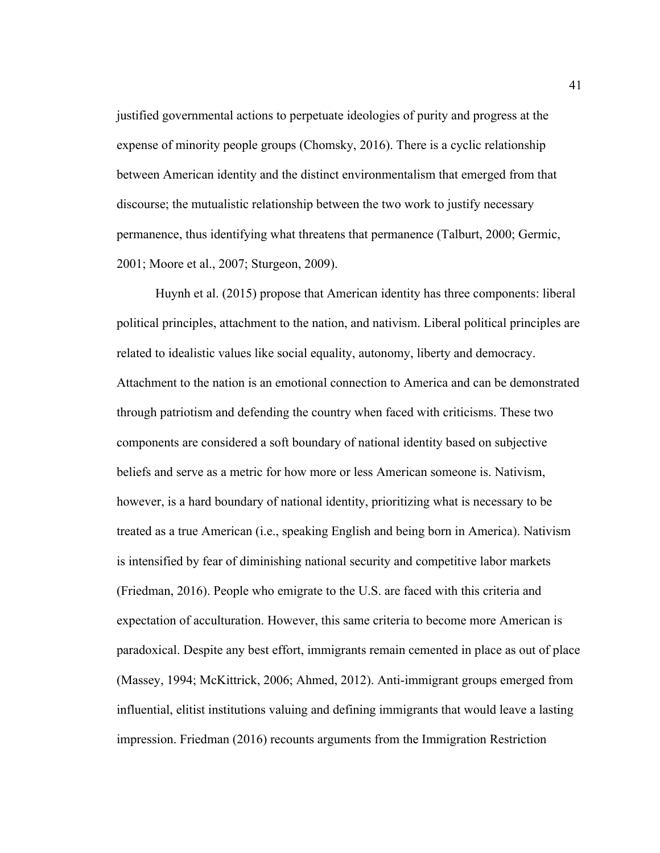justified governmental actions to perpetuate ideologies of purity and progress at the expense of minority people groups (Chomsky, 2016). There is a cyclic relationship between American identity and the distinct environmentalism that emerged from that discourse; the mutualistic relationship between the two work to justify necessary permanence, thus identifying what threatens that permanence (Talburt, 2000; Germic, 2001; Moore et al., 2007; Sturgeon, 2009).

Huynh et al. (2015) propose that American identity has three components: liberal political principles, attachment to the nation, and nativism. Liberal political principles are related to idealistic values like social equality, autonomy, liberty and democracy. Attachment to the nation is an emotional connection to America and can be demonstrated through patriotism and defending the country when faced with criticisms. These two components are considered a soft boundary of national identity based on subjective beliefs and serve as a metric for how more or less American someone is. Nativism, however, is a hard boundary of national identity, prioritizing what is necessary to be treated as a true American (i.e., speaking English and being born in America). Nativism is intensified by fear of diminishing national security and competitive labor markets (Friedman, 2016). People who emigrate to the U.S. are faced with this criteria and expectation of acculturation. However, this same criteria to become more American is paradoxical. Despite any best effort, immigrants remain cemented in place as out of place (Massey, 1994; McKittrick, 2006; Ahmed, 2012). Anti-immigrant groups emerged from influential, elitist institutions valuing and defining immigrants that would leave a lasting impression. Friedman (2016) recounts arguments from the Immigration Restriction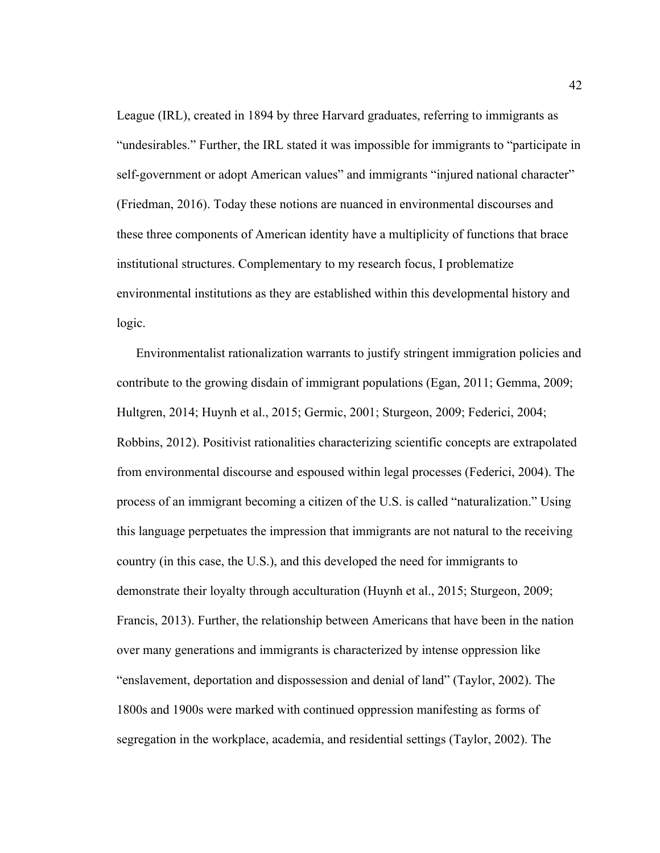League (IRL), created in 1894 by three Harvard graduates, referring to immigrants as "undesirables." Further, the IRL stated it was impossible for immigrants to "participate in self-government or adopt American values" and immigrants "injured national character" (Friedman, 2016). Today these notions are nuanced in environmental discourses and these three components of American identity have a multiplicity of functions that brace institutional structures. Complementary to my research focus, I problematize environmental institutions as they are established within this developmental history and logic.

Environmentalist rationalization warrants to justify stringent immigration policies and contribute to the growing disdain of immigrant populations (Egan, 2011; Gemma, 2009; Hultgren, 2014; Huynh et al., 2015; Germic, 2001; Sturgeon, 2009; Federici, 2004; Robbins, 2012). Positivist rationalities characterizing scientific concepts are extrapolated from environmental discourse and espoused within legal processes (Federici, 2004). The process of an immigrant becoming a citizen of the U.S. is called "naturalization." Using this language perpetuates the impression that immigrants are not natural to the receiving country (in this case, the U.S.), and this developed the need for immigrants to demonstrate their loyalty through acculturation (Huynh et al., 2015; Sturgeon, 2009; Francis, 2013). Further, the relationship between Americans that have been in the nation over many generations and immigrants is characterized by intense oppression like "enslavement, deportation and dispossession and denial of land" (Taylor, 2002). The 1800s and 1900s were marked with continued oppression manifesting as forms of segregation in the workplace, academia, and residential settings (Taylor, 2002). The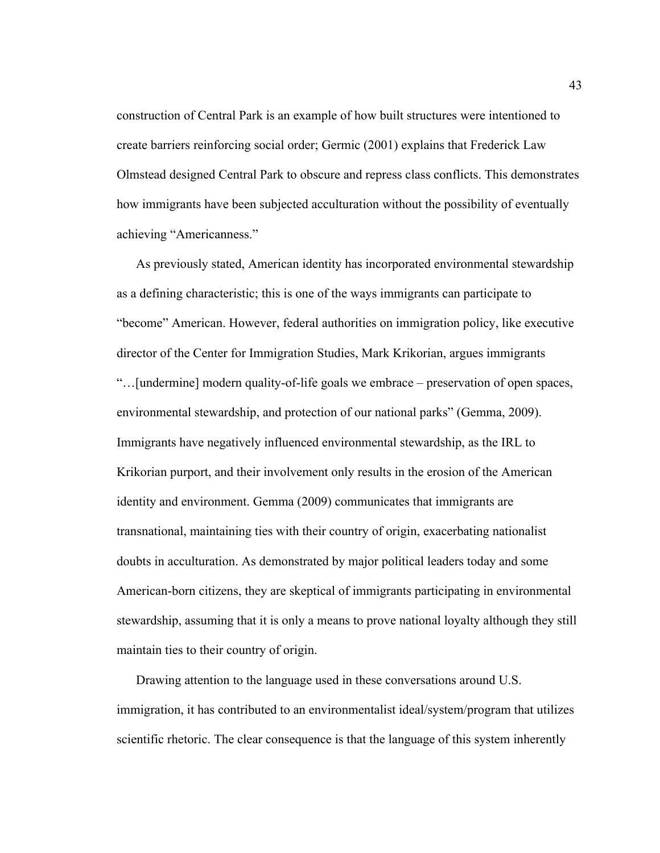construction of Central Park is an example of how built structures were intentioned to create barriers reinforcing social order; Germic (2001) explains that Frederick Law Olmstead designed Central Park to obscure and repress class conflicts. This demonstrates how immigrants have been subjected acculturation without the possibility of eventually achieving "Americanness."

As previously stated, American identity has incorporated environmental stewardship as a defining characteristic; this is one of the ways immigrants can participate to "become" American. However, federal authorities on immigration policy, like executive director of the Center for Immigration Studies, Mark Krikorian, argues immigrants "…[undermine] modern quality-of-life goals we embrace – preservation of open spaces, environmental stewardship, and protection of our national parks" (Gemma, 2009). Immigrants have negatively influenced environmental stewardship, as the IRL to Krikorian purport, and their involvement only results in the erosion of the American identity and environment. Gemma (2009) communicates that immigrants are transnational, maintaining ties with their country of origin, exacerbating nationalist doubts in acculturation. As demonstrated by major political leaders today and some American-born citizens, they are skeptical of immigrants participating in environmental stewardship, assuming that it is only a means to prove national loyalty although they still maintain ties to their country of origin.

Drawing attention to the language used in these conversations around U.S. immigration, it has contributed to an environmentalist ideal/system/program that utilizes scientific rhetoric. The clear consequence is that the language of this system inherently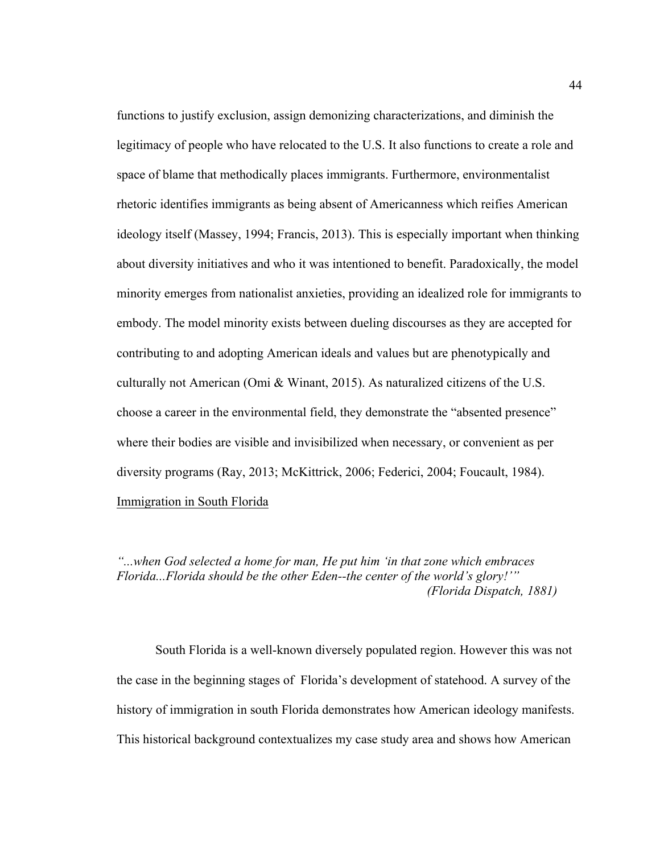functions to justify exclusion, assign demonizing characterizations, and diminish the legitimacy of people who have relocated to the U.S. It also functions to create a role and space of blame that methodically places immigrants. Furthermore, environmentalist rhetoric identifies immigrants as being absent of Americanness which reifies American ideology itself (Massey, 1994; Francis, 2013). This is especially important when thinking about diversity initiatives and who it was intentioned to benefit. Paradoxically, the model minority emerges from nationalist anxieties, providing an idealized role for immigrants to embody. The model minority exists between dueling discourses as they are accepted for contributing to and adopting American ideals and values but are phenotypically and culturally not American (Omi & Winant, 2015). As naturalized citizens of the U.S. choose a career in the environmental field, they demonstrate the "absented presence" where their bodies are visible and invisibilized when necessary, or convenient as per diversity programs (Ray, 2013; McKittrick, 2006; Federici, 2004; Foucault, 1984). Immigration in South Florida

*"...when God selected a home for man, He put him 'in that zone which embraces Florida...Florida should be the other Eden--the center of the world's glory!'" (Florida Dispatch, 1881)*

South Florida is a well-known diversely populated region. However this was not the case in the beginning stages of Florida's development of statehood. A survey of the history of immigration in south Florida demonstrates how American ideology manifests. This historical background contextualizes my case study area and shows how American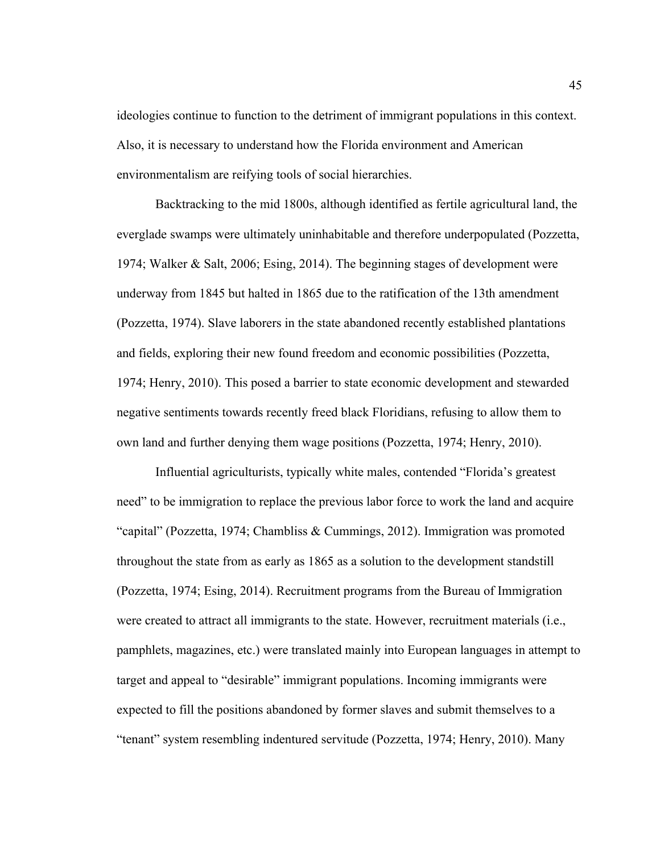ideologies continue to function to the detriment of immigrant populations in this context. Also, it is necessary to understand how the Florida environment and American environmentalism are reifying tools of social hierarchies.

Backtracking to the mid 1800s, although identified as fertile agricultural land, the everglade swamps were ultimately uninhabitable and therefore underpopulated (Pozzetta, 1974; Walker & Salt, 2006; Esing, 2014). The beginning stages of development were underway from 1845 but halted in 1865 due to the ratification of the 13th amendment (Pozzetta, 1974). Slave laborers in the state abandoned recently established plantations and fields, exploring their new found freedom and economic possibilities (Pozzetta, 1974; Henry, 2010). This posed a barrier to state economic development and stewarded negative sentiments towards recently freed black Floridians, refusing to allow them to own land and further denying them wage positions (Pozzetta, 1974; Henry, 2010).

Influential agriculturists, typically white males, contended "Florida's greatest need" to be immigration to replace the previous labor force to work the land and acquire "capital" (Pozzetta, 1974; Chambliss & Cummings, 2012). Immigration was promoted throughout the state from as early as 1865 as a solution to the development standstill (Pozzetta, 1974; Esing, 2014). Recruitment programs from the Bureau of Immigration were created to attract all immigrants to the state. However, recruitment materials (i.e., pamphlets, magazines, etc.) were translated mainly into European languages in attempt to target and appeal to "desirable" immigrant populations. Incoming immigrants were expected to fill the positions abandoned by former slaves and submit themselves to a "tenant" system resembling indentured servitude (Pozzetta, 1974; Henry, 2010). Many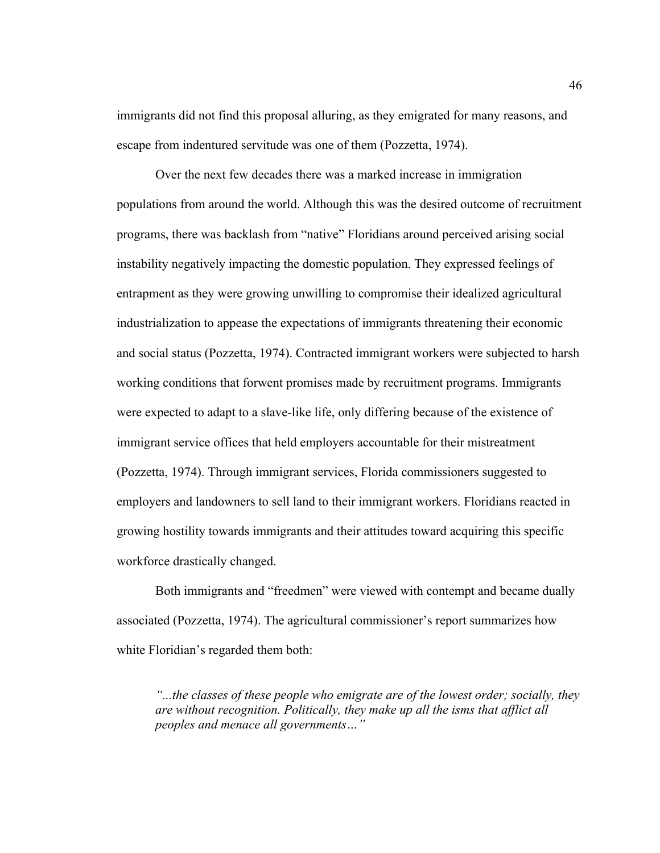immigrants did not find this proposal alluring, as they emigrated for many reasons, and escape from indentured servitude was one of them (Pozzetta, 1974).

Over the next few decades there was a marked increase in immigration populations from around the world. Although this was the desired outcome of recruitment programs, there was backlash from "native" Floridians around perceived arising social instability negatively impacting the domestic population. They expressed feelings of entrapment as they were growing unwilling to compromise their idealized agricultural industrialization to appease the expectations of immigrants threatening their economic and social status (Pozzetta, 1974). Contracted immigrant workers were subjected to harsh working conditions that forwent promises made by recruitment programs. Immigrants were expected to adapt to a slave-like life, only differing because of the existence of immigrant service offices that held employers accountable for their mistreatment (Pozzetta, 1974). Through immigrant services, Florida commissioners suggested to employers and landowners to sell land to their immigrant workers. Floridians reacted in growing hostility towards immigrants and their attitudes toward acquiring this specific workforce drastically changed.

Both immigrants and "freedmen" were viewed with contempt and became dually associated (Pozzetta, 1974). The agricultural commissioner's report summarizes how white Floridian's regarded them both:

*"...the classes of these people who emigrate are of the lowest order; socially, they are without recognition. Politically, they make up all the isms that afflict all peoples and menace all governments…"*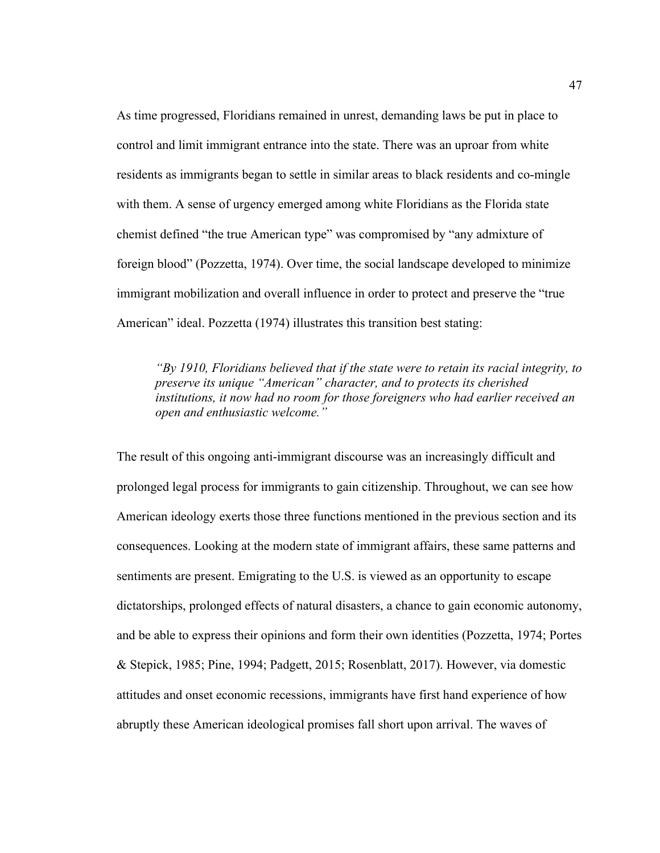As time progressed, Floridians remained in unrest, demanding laws be put in place to control and limit immigrant entrance into the state. There was an uproar from white residents as immigrants began to settle in similar areas to black residents and co-mingle with them. A sense of urgency emerged among white Floridians as the Florida state chemist defined "the true American type" was compromised by "any admixture of foreign blood" (Pozzetta, 1974). Over time, the social landscape developed to minimize immigrant mobilization and overall influence in order to protect and preserve the "true American" ideal. Pozzetta (1974) illustrates this transition best stating:

*"By 1910, Floridians believed that if the state were to retain its racial integrity, to preserve its unique "American" character, and to protects its cherished institutions, it now had no room for those foreigners who had earlier received an open and enthusiastic welcome."*

The result of this ongoing anti-immigrant discourse was an increasingly difficult and prolonged legal process for immigrants to gain citizenship. Throughout, we can see how American ideology exerts those three functions mentioned in the previous section and its consequences. Looking at the modern state of immigrant affairs, these same patterns and sentiments are present. Emigrating to the U.S. is viewed as an opportunity to escape dictatorships, prolonged effects of natural disasters, a chance to gain economic autonomy, and be able to express their opinions and form their own identities (Pozzetta, 1974; Portes & Stepick, 1985; Pine, 1994; Padgett, 2015; Rosenblatt, 2017). However, via domestic attitudes and onset economic recessions, immigrants have first hand experience of how abruptly these American ideological promises fall short upon arrival. The waves of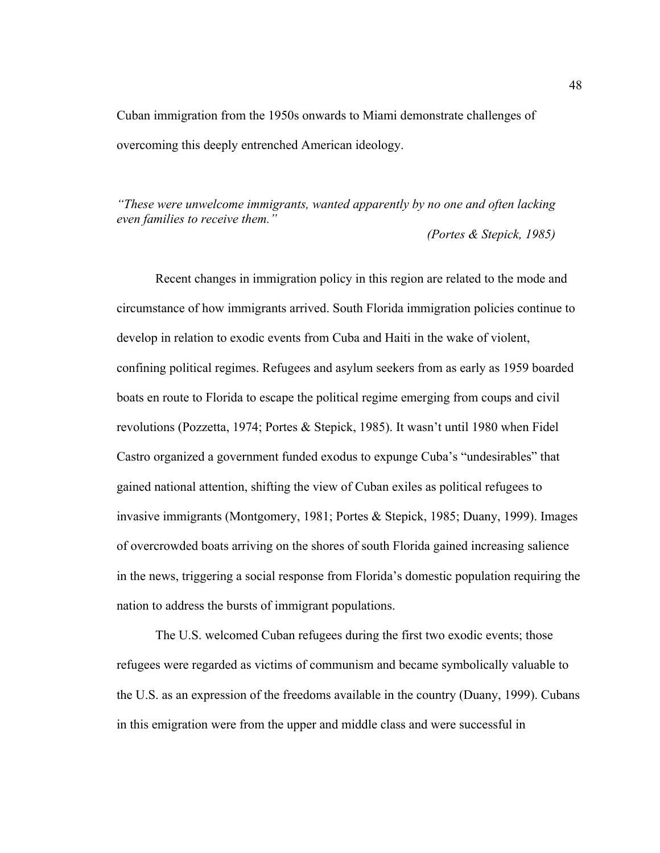Cuban immigration from the 1950s onwards to Miami demonstrate challenges of overcoming this deeply entrenched American ideology.

*"These were unwelcome immigrants, wanted apparently by no one and often lacking even families to receive them." (Portes & Stepick, 1985)*

Recent changes in immigration policy in this region are related to the mode and circumstance of how immigrants arrived. South Florida immigration policies continue to develop in relation to exodic events from Cuba and Haiti in the wake of violent, confining political regimes. Refugees and asylum seekers from as early as 1959 boarded boats en route to Florida to escape the political regime emerging from coups and civil revolutions (Pozzetta, 1974; Portes & Stepick, 1985). It wasn't until 1980 when Fidel Castro organized a government funded exodus to expunge Cuba's "undesirables" that gained national attention, shifting the view of Cuban exiles as political refugees to invasive immigrants (Montgomery, 1981; Portes & Stepick, 1985; Duany, 1999). Images of overcrowded boats arriving on the shores of south Florida gained increasing salience in the news, triggering a social response from Florida's domestic population requiring the nation to address the bursts of immigrant populations.

The U.S. welcomed Cuban refugees during the first two exodic events; those refugees were regarded as victims of communism and became symbolically valuable to the U.S. as an expression of the freedoms available in the country (Duany, 1999). Cubans in this emigration were from the upper and middle class and were successful in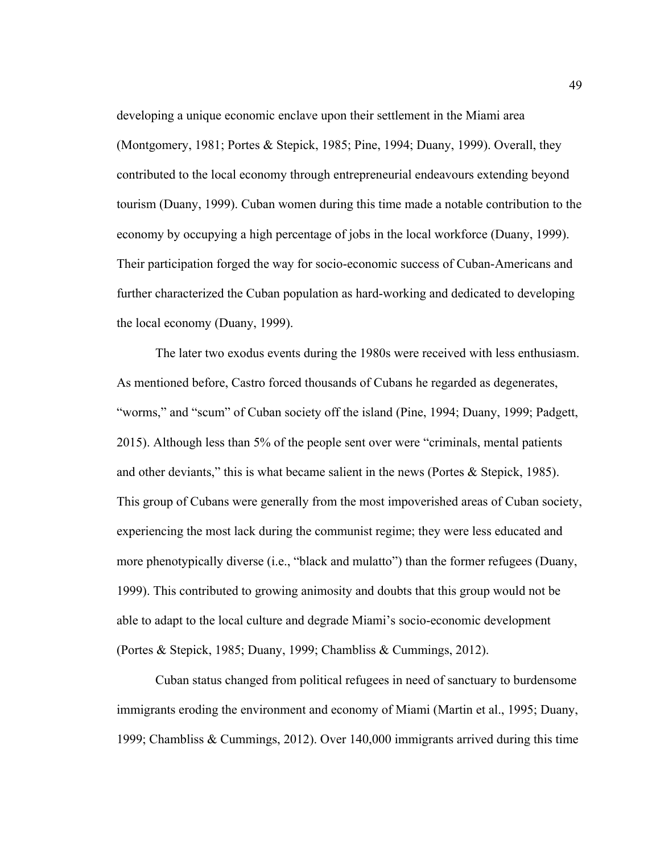developing a unique economic enclave upon their settlement in the Miami area (Montgomery, 1981; Portes & Stepick, 1985; Pine, 1994; Duany, 1999). Overall, they contributed to the local economy through entrepreneurial endeavours extending beyond tourism (Duany, 1999). Cuban women during this time made a notable contribution to the economy by occupying a high percentage of jobs in the local workforce (Duany, 1999). Their participation forged the way for socio-economic success of Cuban-Americans and further characterized the Cuban population as hard-working and dedicated to developing the local economy (Duany, 1999).

The later two exodus events during the 1980s were received with less enthusiasm. As mentioned before, Castro forced thousands of Cubans he regarded as degenerates, "worms," and "scum" of Cuban society off the island (Pine, 1994; Duany, 1999; Padgett, 2015). Although less than 5% of the people sent over were "criminals, mental patients and other deviants," this is what became salient in the news (Portes & Stepick, 1985). This group of Cubans were generally from the most impoverished areas of Cuban society, experiencing the most lack during the communist regime; they were less educated and more phenotypically diverse (i.e., "black and mulatto") than the former refugees (Duany, 1999). This contributed to growing animosity and doubts that this group would not be able to adapt to the local culture and degrade Miami's socio-economic development (Portes & Stepick, 1985; Duany, 1999; Chambliss & Cummings, 2012).

Cuban status changed from political refugees in need of sanctuary to burdensome immigrants eroding the environment and economy of Miami (Martin et al., 1995; Duany, 1999; Chambliss & Cummings, 2012). Over 140,000 immigrants arrived during this time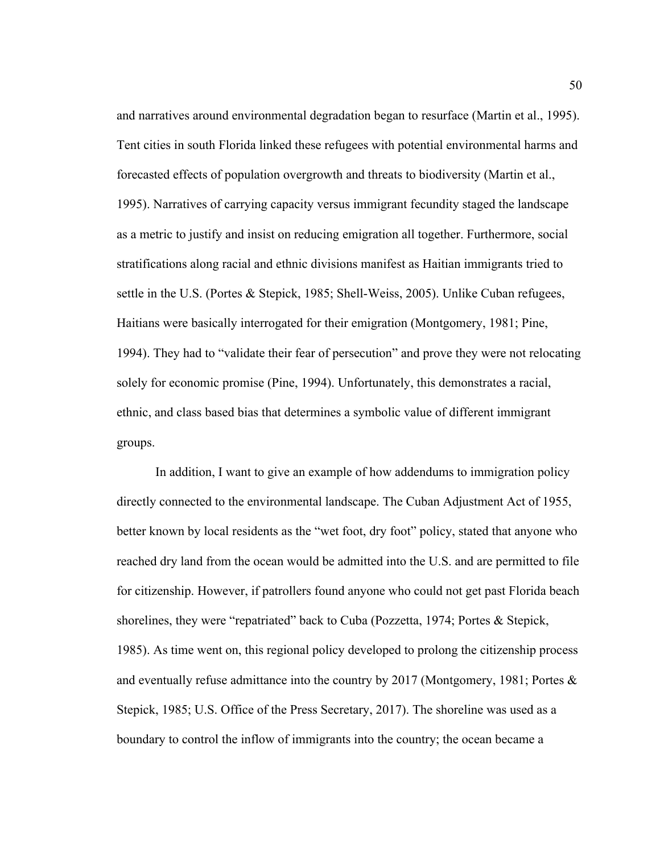and narratives around environmental degradation began to resurface (Martin et al., 1995). Tent cities in south Florida linked these refugees with potential environmental harms and forecasted effects of population overgrowth and threats to biodiversity (Martin et al., 1995). Narratives of carrying capacity versus immigrant fecundity staged the landscape as a metric to justify and insist on reducing emigration all together. Furthermore, social stratifications along racial and ethnic divisions manifest as Haitian immigrants tried to settle in the U.S. (Portes & Stepick, 1985; Shell-Weiss, 2005). Unlike Cuban refugees, Haitians were basically interrogated for their emigration (Montgomery, 1981; Pine, 1994). They had to "validate their fear of persecution" and prove they were not relocating solely for economic promise (Pine, 1994). Unfortunately, this demonstrates a racial, ethnic, and class based bias that determines a symbolic value of different immigrant groups.

In addition, I want to give an example of how addendums to immigration policy directly connected to the environmental landscape. The Cuban Adjustment Act of 1955, better known by local residents as the "wet foot, dry foot" policy, stated that anyone who reached dry land from the ocean would be admitted into the U.S. and are permitted to file for citizenship. However, if patrollers found anyone who could not get past Florida beach shorelines, they were "repatriated" back to Cuba (Pozzetta, 1974; Portes & Stepick, 1985). As time went on, this regional policy developed to prolong the citizenship process and eventually refuse admittance into the country by 2017 (Montgomery, 1981; Portes  $\&$ Stepick, 1985; U.S. Office of the Press Secretary, 2017). The shoreline was used as a boundary to control the inflow of immigrants into the country; the ocean became a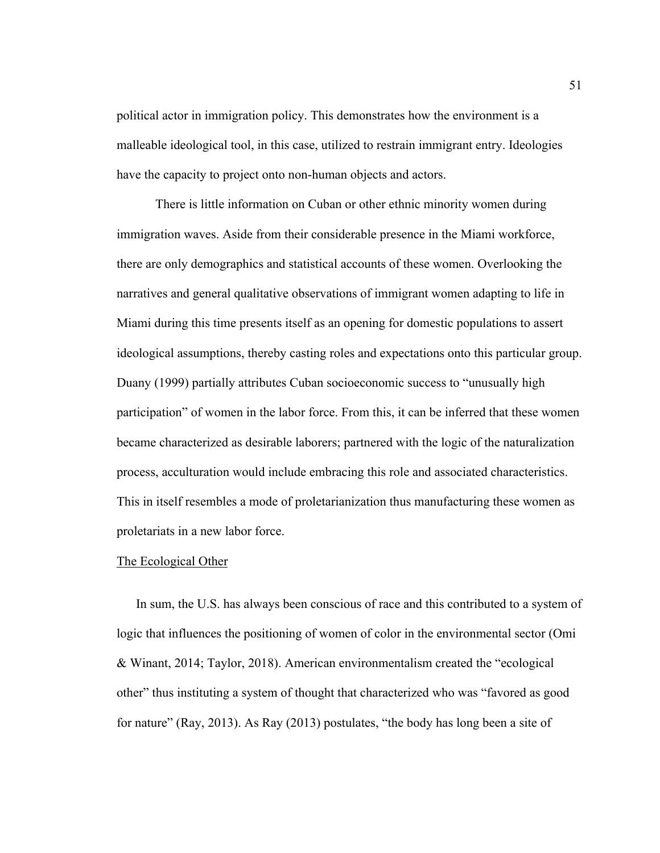political actor in immigration policy. This demonstrates how the environment is a malleable ideological tool, in this case, utilized to restrain immigrant entry. Ideologies have the capacity to project onto non-human objects and actors.

There is little information on Cuban or other ethnic minority women during immigration waves. Aside from their considerable presence in the Miami workforce, there are only demographics and statistical accounts of these women. Overlooking the narratives and general qualitative observations of immigrant women adapting to life in Miami during this time presents itself as an opening for domestic populations to assert ideological assumptions, thereby casting roles and expectations onto this particular group. Duany (1999) partially attributes Cuban socioeconomic success to "unusually high participation" of women in the labor force. From this, it can be inferred that these women became characterized as desirable laborers; partnered with the logic of the naturalization process, acculturation would include embracing this role and associated characteristics. This in itself resembles a mode of proletarianization thus manufacturing these women as proletariats in a new labor force.

#### The Ecological Other

In sum, the U.S. has always been conscious of race and this contributed to a system of logic that influences the positioning of women of color in the environmental sector (Omi & Winant, 2014; Taylor, 2018). American environmentalism created the "ecological other" thus instituting a system of thought that characterized who was "favored as good for nature" (Ray, 2013). As Ray (2013) postulates, "the body has long been a site of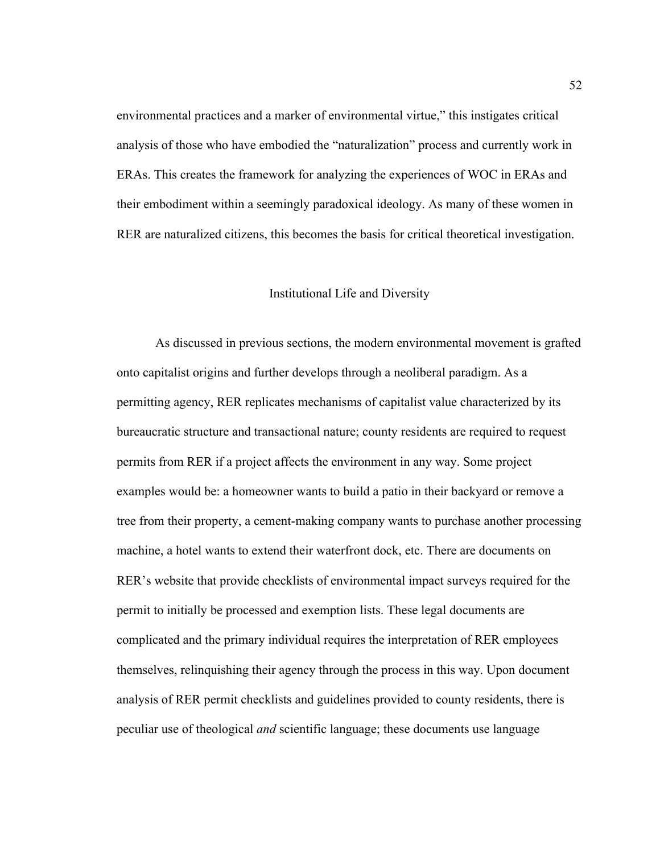environmental practices and a marker of environmental virtue," this instigates critical analysis of those who have embodied the "naturalization" process and currently work in ERAs. This creates the framework for analyzing the experiences of WOC in ERAs and their embodiment within a seemingly paradoxical ideology. As many of these women in RER are naturalized citizens, this becomes the basis for critical theoretical investigation.

## Institutional Life and Diversity

As discussed in previous sections, the modern environmental movement is grafted onto capitalist origins and further develops through a neoliberal paradigm. As a permitting agency, RER replicates mechanisms of capitalist value characterized by its bureaucratic structure and transactional nature; county residents are required to request permits from RER if a project affects the environment in any way. Some project examples would be: a homeowner wants to build a patio in their backyard or remove a tree from their property, a cement-making company wants to purchase another processing machine, a hotel wants to extend their waterfront dock, etc. There are documents on RER's website that provide checklists of environmental impact surveys required for the permit to initially be processed and exemption lists. These legal documents are complicated and the primary individual requires the interpretation of RER employees themselves, relinquishing their agency through the process in this way. Upon document analysis of RER permit checklists and guidelines provided to county residents, there is peculiar use of theological *and* scientific language; these documents use language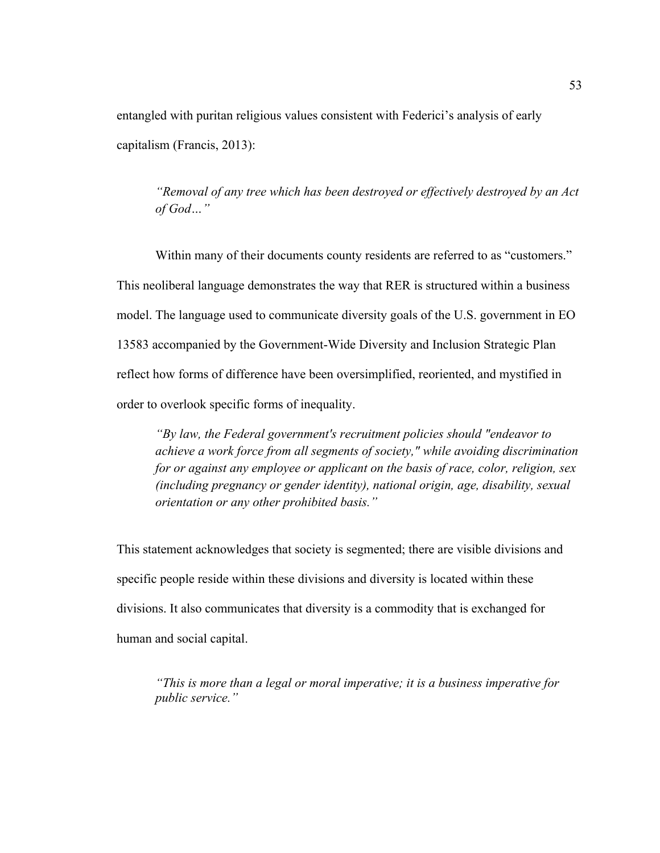entangled with puritan religious values consistent with Federici's analysis of early capitalism (Francis, 2013):

*"Removal of any tree which has been destroyed or effectively destroyed by an Act of God…"*

Within many of their documents county residents are referred to as "customers." This neoliberal language demonstrates the way that RER is structured within a business model. The language used to communicate diversity goals of the U.S. government in EO 13583 accompanied by the Government-Wide Diversity and Inclusion Strategic Plan reflect how forms of difference have been oversimplified, reoriented, and mystified in order to overlook specific forms of inequality.

*"By law, the Federal government's recruitment policies should "endeavor to achieve a work force from all segments of society," while avoiding discrimination for or against any employee or applicant on the basis of race, color, religion, sex (including pregnancy or gender identity), national origin, age, disability, sexual orientation or any other prohibited basis."* 

This statement acknowledges that society is segmented; there are visible divisions and specific people reside within these divisions and diversity is located within these divisions. It also communicates that diversity is a commodity that is exchanged for human and social capital.

*"This is more than a legal or moral imperative; it is a business imperative for public service."*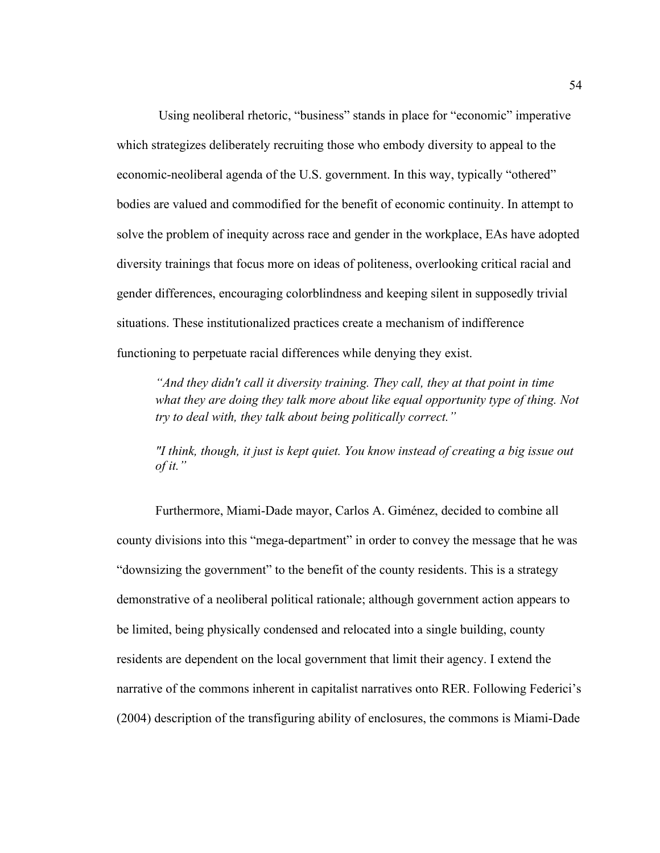Using neoliberal rhetoric, "business" stands in place for "economic" imperative which strategizes deliberately recruiting those who embody diversity to appeal to the economic-neoliberal agenda of the U.S. government. In this way, typically "othered" bodies are valued and commodified for the benefit of economic continuity. In attempt to solve the problem of inequity across race and gender in the workplace, EAs have adopted diversity trainings that focus more on ideas of politeness, overlooking critical racial and gender differences, encouraging colorblindness and keeping silent in supposedly trivial situations. These institutionalized practices create a mechanism of indifference functioning to perpetuate racial differences while denying they exist.

*"And they didn't call it diversity training. They call, they at that point in time what they are doing they talk more about like equal opportunity type of thing. Not try to deal with, they talk about being politically correct."*

*"I think, though, it just is kept quiet. You know instead of creating a big issue out of it."*

Furthermore, Miami-Dade mayor, Carlos A. Giménez, decided to combine all county divisions into this "mega-department" in order to convey the message that he was "downsizing the government" to the benefit of the county residents. This is a strategy demonstrative of a neoliberal political rationale; although government action appears to be limited, being physically condensed and relocated into a single building, county residents are dependent on the local government that limit their agency. I extend the narrative of the commons inherent in capitalist narratives onto RER. Following Federici's (2004) description of the transfiguring ability of enclosures, the commons is Miami-Dade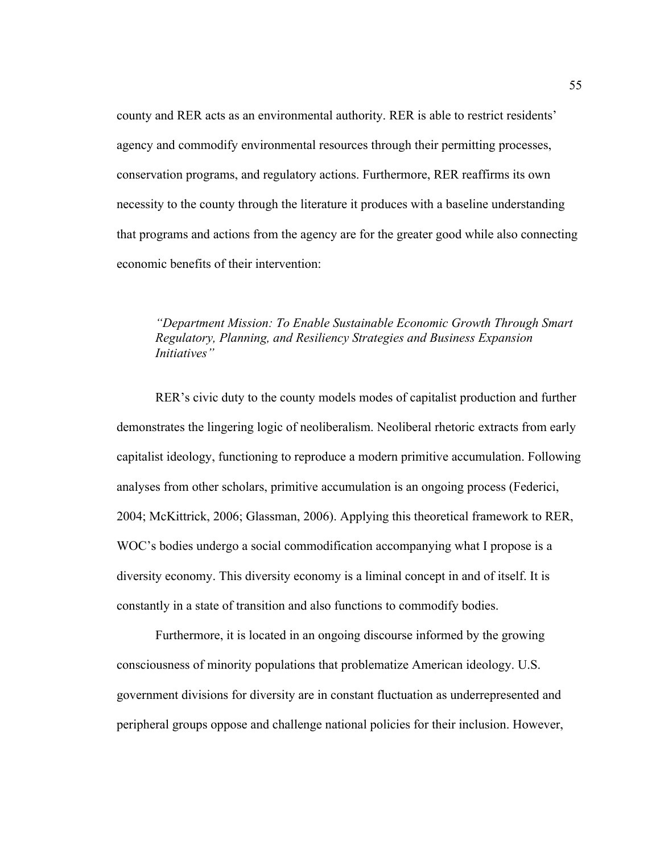county and RER acts as an environmental authority. RER is able to restrict residents' agency and commodify environmental resources through their permitting processes, conservation programs, and regulatory actions. Furthermore, RER reaffirms its own necessity to the county through the literature it produces with a baseline understanding that programs and actions from the agency are for the greater good while also connecting economic benefits of their intervention:

## *"Department Mission: To Enable Sustainable Economic Growth Through Smart Regulatory, Planning, and Resiliency Strategies and Business Expansion Initiatives"*

RER's civic duty to the county models modes of capitalist production and further demonstrates the lingering logic of neoliberalism. Neoliberal rhetoric extracts from early capitalist ideology, functioning to reproduce a modern primitive accumulation. Following analyses from other scholars, primitive accumulation is an ongoing process (Federici, 2004; McKittrick, 2006; Glassman, 2006). Applying this theoretical framework to RER, WOC's bodies undergo a social commodification accompanying what I propose is a diversity economy. This diversity economy is a liminal concept in and of itself. It is constantly in a state of transition and also functions to commodify bodies.

Furthermore, it is located in an ongoing discourse informed by the growing consciousness of minority populations that problematize American ideology. U.S. government divisions for diversity are in constant fluctuation as underrepresented and peripheral groups oppose and challenge national policies for their inclusion. However,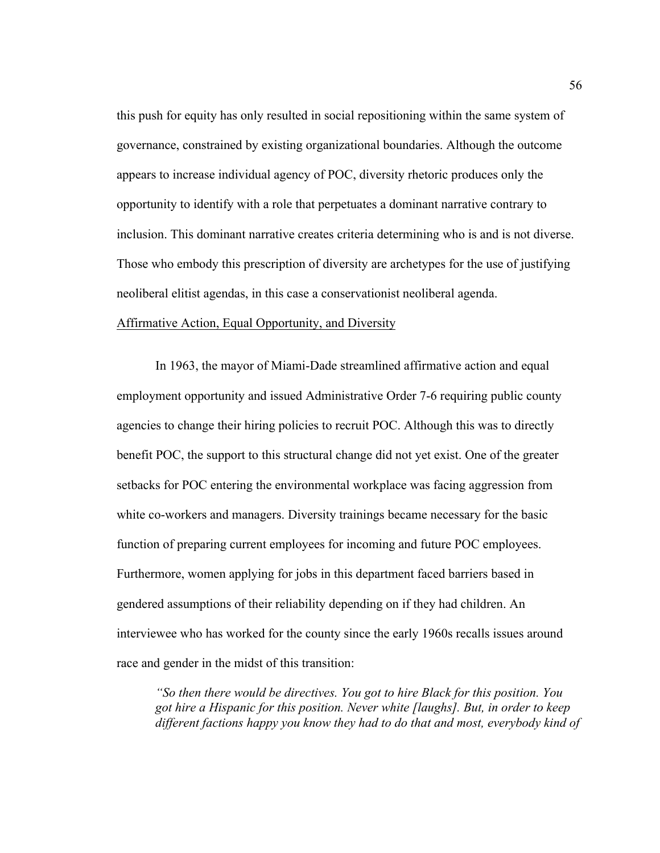this push for equity has only resulted in social repositioning within the same system of governance, constrained by existing organizational boundaries. Although the outcome appears to increase individual agency of POC, diversity rhetoric produces only the opportunity to identify with a role that perpetuates a dominant narrative contrary to inclusion. This dominant narrative creates criteria determining who is and is not diverse. Those who embody this prescription of diversity are archetypes for the use of justifying neoliberal elitist agendas, in this case a conservationist neoliberal agenda.

## Affirmative Action, Equal Opportunity, and Diversity

In 1963, the mayor of Miami-Dade streamlined affirmative action and equal employment opportunity and issued Administrative Order 7-6 requiring public county agencies to change their hiring policies to recruit POC. Although this was to directly benefit POC, the support to this structural change did not yet exist. One of the greater setbacks for POC entering the environmental workplace was facing aggression from white co-workers and managers. Diversity trainings became necessary for the basic function of preparing current employees for incoming and future POC employees. Furthermore, women applying for jobs in this department faced barriers based in gendered assumptions of their reliability depending on if they had children. An interviewee who has worked for the county since the early 1960s recalls issues around race and gender in the midst of this transition:

*"So then there would be directives. You got to hire Black for this position. You got hire a Hispanic for this position. Never white [laughs]. But, in order to keep different factions happy you know they had to do that and most, everybody kind of*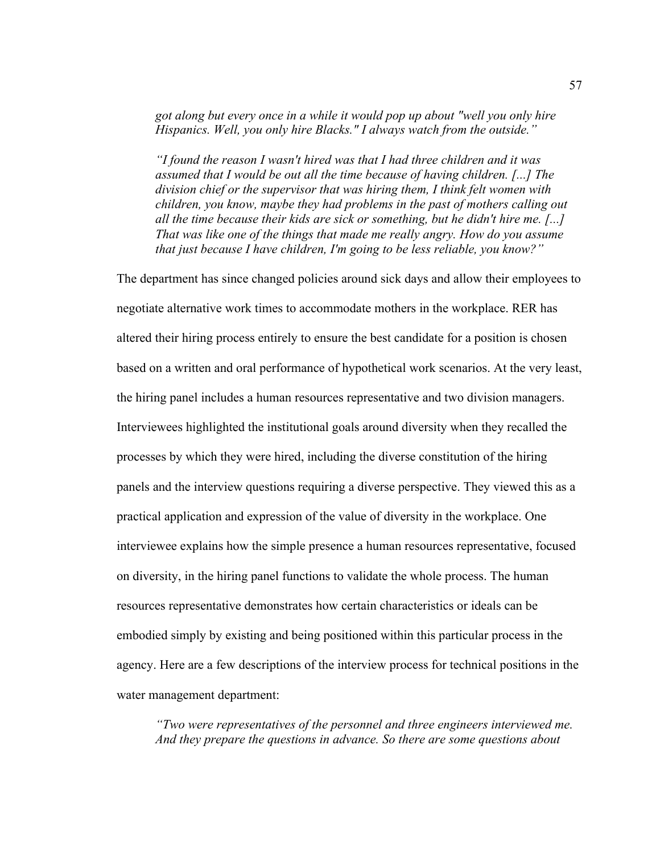*got along but every once in a while it would pop up about "well you only hire Hispanics. Well, you only hire Blacks." I always watch from the outside."*

*"I found the reason I wasn't hired was that I had three children and it was assumed that I would be out all the time because of having children. [...] The division chief or the supervisor that was hiring them, I think felt women with children, you know, maybe they had problems in the past of mothers calling out all the time because their kids are sick or something, but he didn't hire me. [...] That was like one of the things that made me really angry. How do you assume that just because I have children, I'm going to be less reliable, you know?"*

The department has since changed policies around sick days and allow their employees to negotiate alternative work times to accommodate mothers in the workplace. RER has altered their hiring process entirely to ensure the best candidate for a position is chosen based on a written and oral performance of hypothetical work scenarios. At the very least, the hiring panel includes a human resources representative and two division managers. Interviewees highlighted the institutional goals around diversity when they recalled the processes by which they were hired, including the diverse constitution of the hiring panels and the interview questions requiring a diverse perspective. They viewed this as a practical application and expression of the value of diversity in the workplace. One interviewee explains how the simple presence a human resources representative, focused on diversity, in the hiring panel functions to validate the whole process. The human resources representative demonstrates how certain characteristics or ideals can be embodied simply by existing and being positioned within this particular process in the agency. Here are a few descriptions of the interview process for technical positions in the water management department:

*"Two were representatives of the personnel and three engineers interviewed me. And they prepare the questions in advance. So there are some questions about*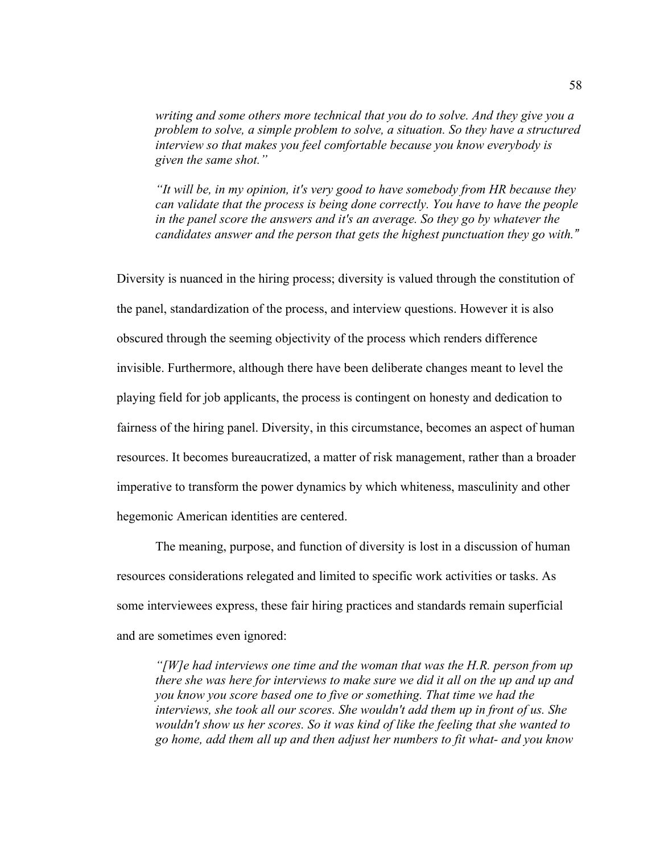*writing and some others more technical that you do to solve. And they give you a problem to solve, a simple problem to solve, a situation. So they have a structured interview so that makes you feel comfortable because you know everybody is given the same shot."*

*"It will be, in my opinion, it's very good to have somebody from HR because they can validate that the process is being done correctly. You have to have the people in the panel score the answers and it's an average. So they go by whatever the candidates answer and the person that gets the highest punctuation they go with."*

Diversity is nuanced in the hiring process; diversity is valued through the constitution of the panel, standardization of the process, and interview questions. However it is also obscured through the seeming objectivity of the process which renders difference invisible. Furthermore, although there have been deliberate changes meant to level the playing field for job applicants, the process is contingent on honesty and dedication to fairness of the hiring panel. Diversity, in this circumstance, becomes an aspect of human resources. It becomes bureaucratized, a matter of risk management, rather than a broader imperative to transform the power dynamics by which whiteness, masculinity and other hegemonic American identities are centered.

The meaning, purpose, and function of diversity is lost in a discussion of human resources considerations relegated and limited to specific work activities or tasks. As some interviewees express, these fair hiring practices and standards remain superficial and are sometimes even ignored:

*"[W]e had interviews one time and the woman that was the H.R. person from up there she was here for interviews to make sure we did it all on the up and up and you know you score based one to five or something. That time we had the interviews, she took all our scores. She wouldn't add them up in front of us. She wouldn't show us her scores. So it was kind of like the feeling that she wanted to go home, add them all up and then adjust her numbers to fit what- and you know*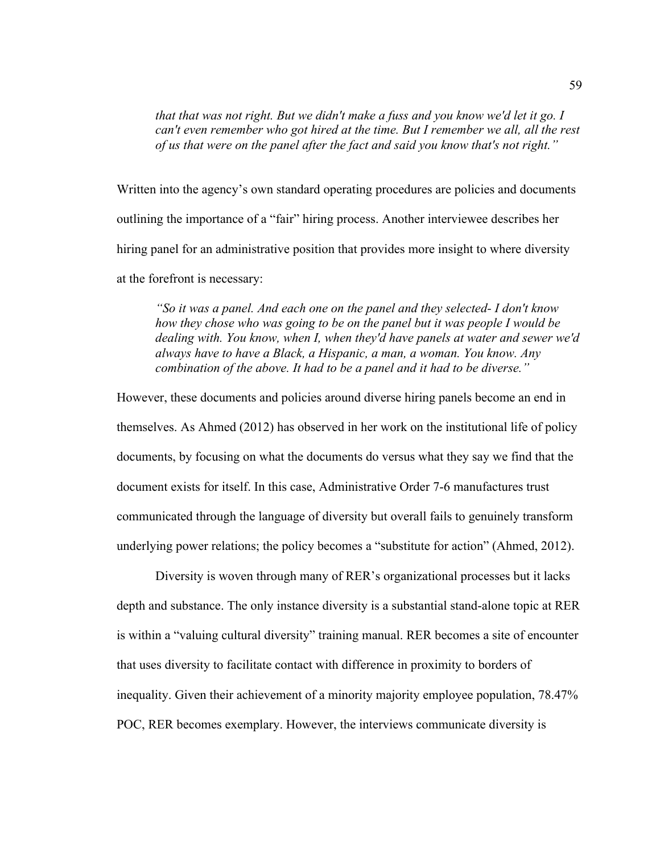*that that was not right. But we didn't make a fuss and you know we'd let it go. I can't even remember who got hired at the time. But I remember we all, all the rest of us that were on the panel after the fact and said you know that's not right."*

Written into the agency's own standard operating procedures are policies and documents outlining the importance of a "fair" hiring process. Another interviewee describes her hiring panel for an administrative position that provides more insight to where diversity at the forefront is necessary:

*"So it was a panel. And each one on the panel and they selected- I don't know how they chose who was going to be on the panel but it was people I would be dealing with. You know, when I, when they'd have panels at water and sewer we'd always have to have a Black, a Hispanic, a man, a woman. You know. Any combination of the above. It had to be a panel and it had to be diverse."*

However, these documents and policies around diverse hiring panels become an end in themselves. As Ahmed (2012) has observed in her work on the institutional life of policy documents, by focusing on what the documents do versus what they say we find that the document exists for itself. In this case, Administrative Order 7-6 manufactures trust communicated through the language of diversity but overall fails to genuinely transform underlying power relations; the policy becomes a "substitute for action" (Ahmed, 2012).

Diversity is woven through many of RER's organizational processes but it lacks depth and substance. The only instance diversity is a substantial stand-alone topic at RER is within a "valuing cultural diversity" training manual. RER becomes a site of encounter that uses diversity to facilitate contact with difference in proximity to borders of inequality. Given their achievement of a minority majority employee population, 78.47% POC, RER becomes exemplary. However, the interviews communicate diversity is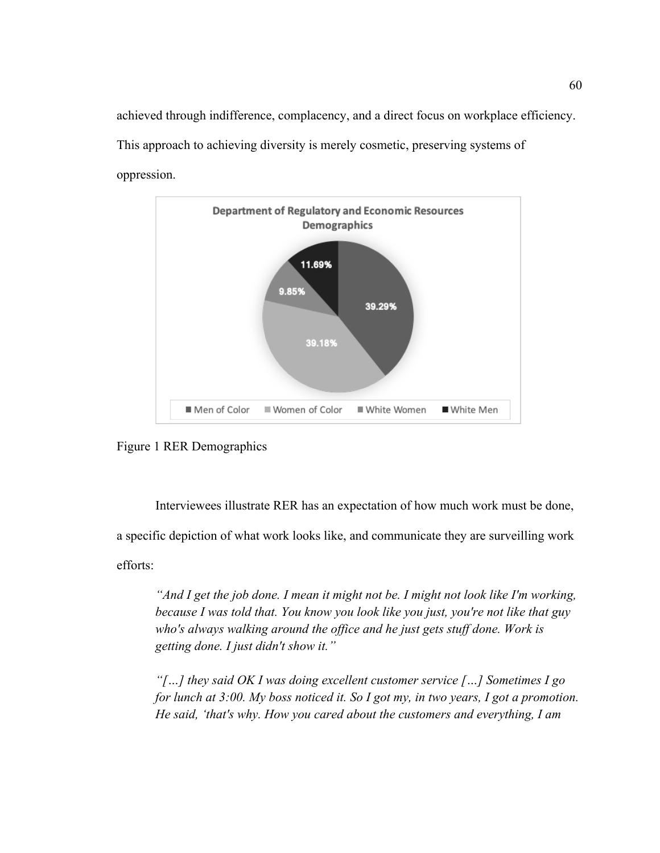achieved through indifference, complacency, and a direct focus on workplace efficiency. This approach to achieving diversity is merely cosmetic, preserving systems of oppression.



Figure 1 RER Demographics

Interviewees illustrate RER has an expectation of how much work must be done, a specific depiction of what work looks like, and communicate they are surveilling work efforts:

*"And I get the job done. I mean it might not be. I might not look like I'm working, because I was told that. You know you look like you just, you're not like that guy who's always walking around the office and he just gets stuff done. Work is getting done. I just didn't show it."* 

*"[…] they said OK I was doing excellent customer service […] Sometimes I go for lunch at 3:00. My boss noticed it. So I got my, in two years, I got a promotion. He said, 'that's why. How you cared about the customers and everything, I am*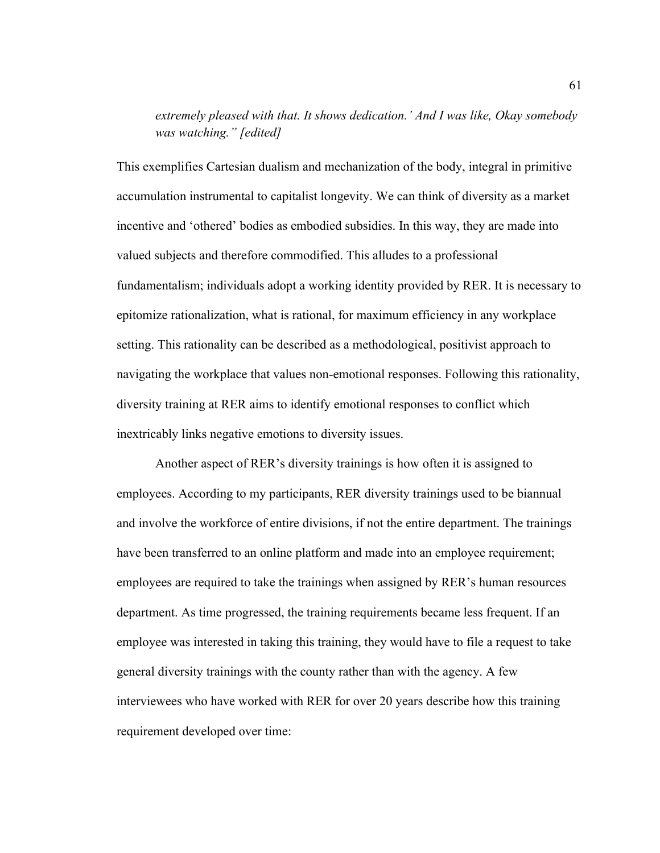# *extremely pleased with that. It shows dedication.' And I was like, Okay somebody was watching." [edited]*

This exemplifies Cartesian dualism and mechanization of the body, integral in primitive accumulation instrumental to capitalist longevity. We can think of diversity as a market incentive and 'othered' bodies as embodied subsidies. In this way, they are made into valued subjects and therefore commodified. This alludes to a professional fundamentalism; individuals adopt a working identity provided by RER. It is necessary to epitomize rationalization, what is rational, for maximum efficiency in any workplace setting. This rationality can be described as a methodological, positivist approach to navigating the workplace that values non-emotional responses. Following this rationality, diversity training at RER aims to identify emotional responses to conflict which inextricably links negative emotions to diversity issues.

Another aspect of RER's diversity trainings is how often it is assigned to employees. According to my participants, RER diversity trainings used to be biannual and involve the workforce of entire divisions, if not the entire department. The trainings have been transferred to an online platform and made into an employee requirement; employees are required to take the trainings when assigned by RER's human resources department. As time progressed, the training requirements became less frequent. If an employee was interested in taking this training, they would have to file a request to take general diversity trainings with the county rather than with the agency. A few interviewees who have worked with RER for over 20 years describe how this training requirement developed over time: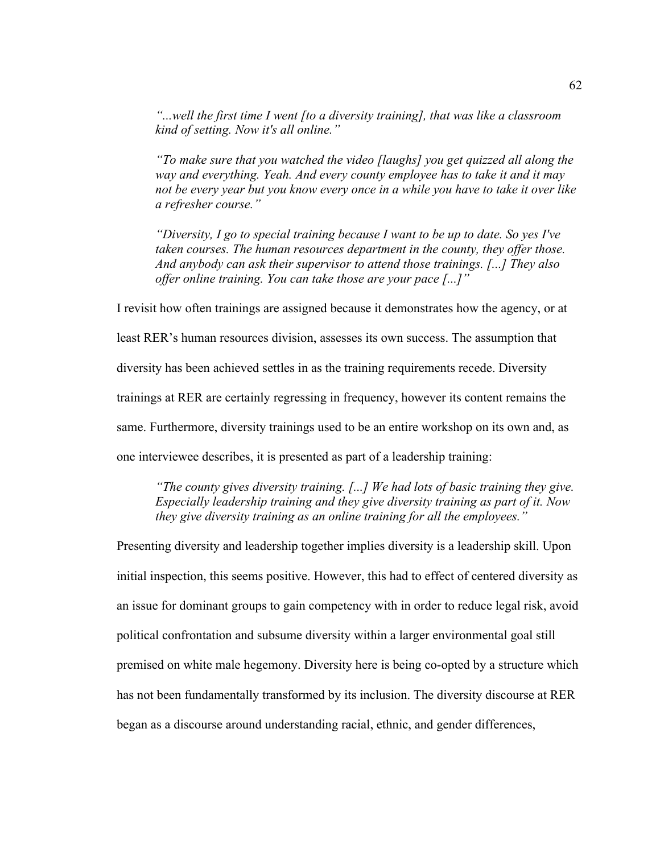*"...well the first time I went [to a diversity training], that was like a classroom kind of setting. Now it's all online."*

*"To make sure that you watched the video [laughs] you get quizzed all along the way and everything. Yeah. And every county employee has to take it and it may not be every year but you know every once in a while you have to take it over like a refresher course."*

*"Diversity, I go to special training because I want to be up to date. So yes I've taken courses. The human resources department in the county, they offer those. And anybody can ask their supervisor to attend those trainings. [...] They also offer online training. You can take those are your pace [...]"*

I revisit how often trainings are assigned because it demonstrates how the agency, or at

least RER's human resources division, assesses its own success. The assumption that

diversity has been achieved settles in as the training requirements recede. Diversity

trainings at RER are certainly regressing in frequency, however its content remains the

same. Furthermore, diversity trainings used to be an entire workshop on its own and, as

one interviewee describes, it is presented as part of a leadership training:

*"The county gives diversity training. [...] We had lots of basic training they give. Especially leadership training and they give diversity training as part of it. Now they give diversity training as an online training for all the employees."*

Presenting diversity and leadership together implies diversity is a leadership skill. Upon initial inspection, this seems positive. However, this had to effect of centered diversity as an issue for dominant groups to gain competency with in order to reduce legal risk, avoid political confrontation and subsume diversity within a larger environmental goal still premised on white male hegemony. Diversity here is being co-opted by a structure which has not been fundamentally transformed by its inclusion. The diversity discourse at RER began as a discourse around understanding racial, ethnic, and gender differences,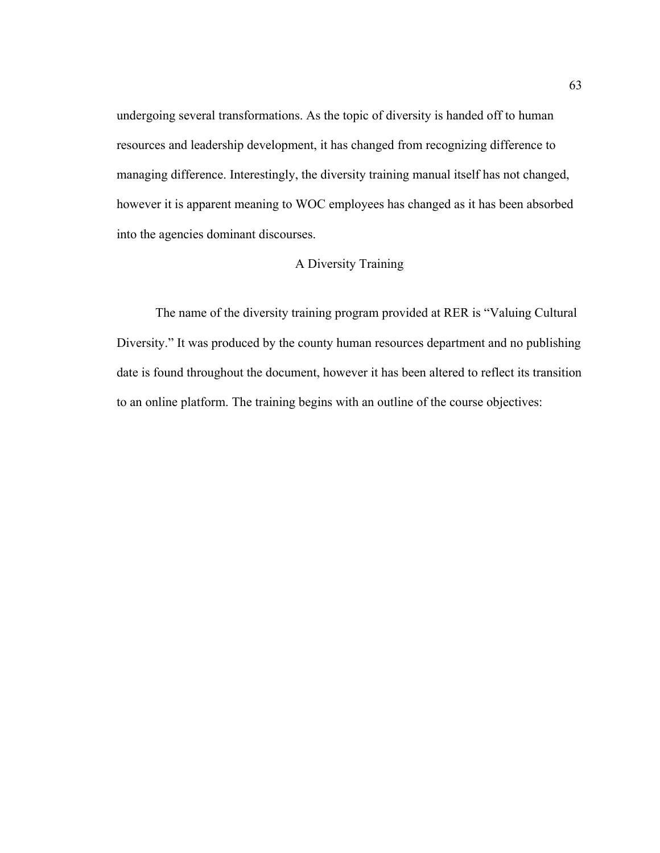undergoing several transformations. As the topic of diversity is handed off to human resources and leadership development, it has changed from recognizing difference to managing difference. Interestingly, the diversity training manual itself has not changed, however it is apparent meaning to WOC employees has changed as it has been absorbed into the agencies dominant discourses.

## A Diversity Training

The name of the diversity training program provided at RER is "Valuing Cultural Diversity." It was produced by the county human resources department and no publishing date is found throughout the document, however it has been altered to reflect its transition to an online platform. The training begins with an outline of the course objectives: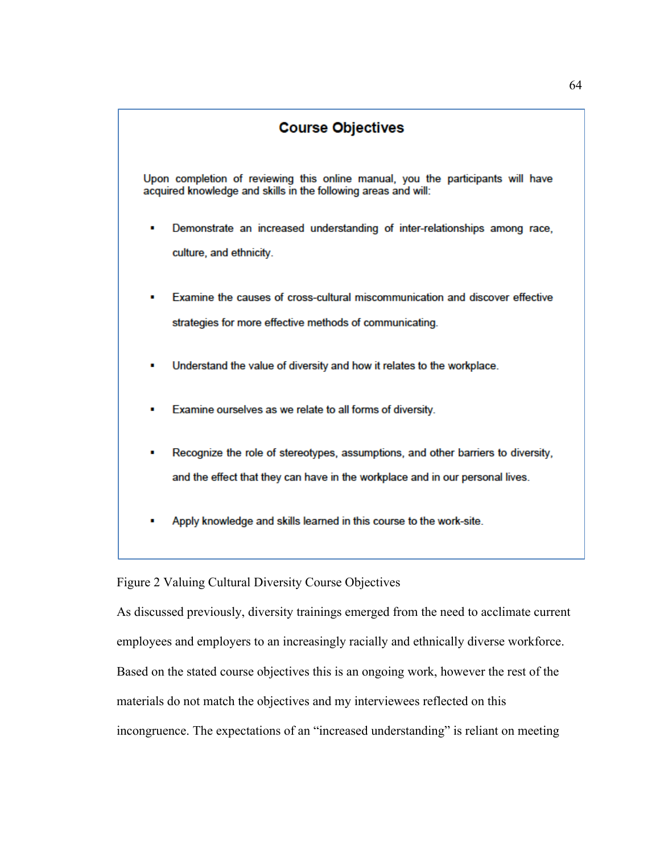# **Course Objectives**

Upon completion of reviewing this online manual, you the participants will have acquired knowledge and skills in the following areas and will:

- Demonstrate an increased understanding of inter-relationships among race. culture, and ethnicity.
- Examine the causes of cross-cultural miscommunication and discover effective strategies for more effective methods of communicating.
- Understand the value of diversity and how it relates to the workplace.
- Examine ourselves as we relate to all forms of diversity.
- Recognize the role of stereotypes, assumptions, and other barriers to diversity, and the effect that they can have in the workplace and in our personal lives.
- Apply knowledge and skills learned in this course to the work-site.

Figure 2 Valuing Cultural Diversity Course Objectives

As discussed previously, diversity trainings emerged from the need to acclimate current employees and employers to an increasingly racially and ethnically diverse workforce. Based on the stated course objectives this is an ongoing work, however the rest of the materials do not match the objectives and my interviewees reflected on this incongruence. The expectations of an "increased understanding" is reliant on meeting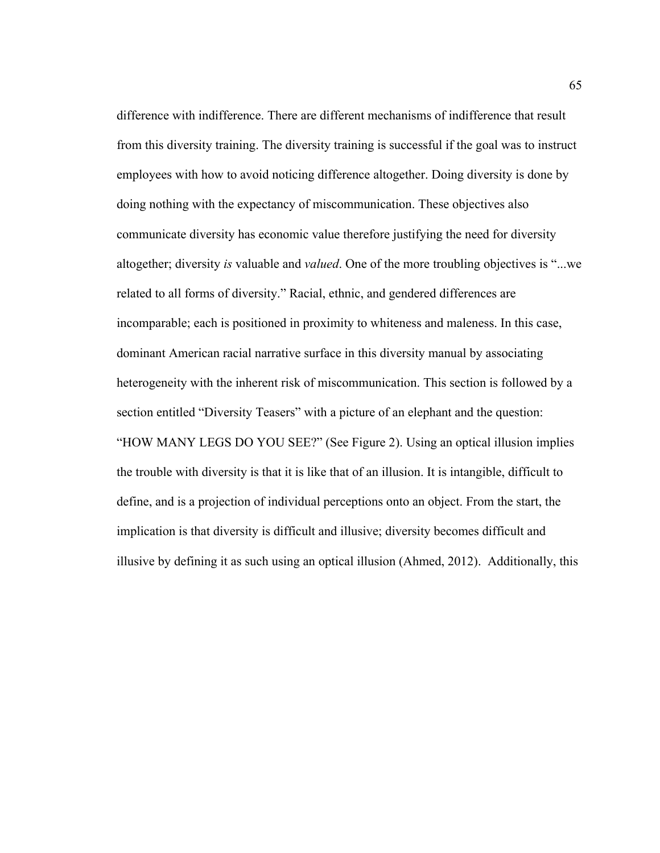difference with indifference. There are different mechanisms of indifference that result from this diversity training. The diversity training is successful if the goal was to instruct employees with how to avoid noticing difference altogether. Doing diversity is done by doing nothing with the expectancy of miscommunication. These objectives also communicate diversity has economic value therefore justifying the need for diversity altogether; diversity *is* valuable and *valued*. One of the more troubling objectives is "...we related to all forms of diversity." Racial, ethnic, and gendered differences are incomparable; each is positioned in proximity to whiteness and maleness. In this case, dominant American racial narrative surface in this diversity manual by associating heterogeneity with the inherent risk of miscommunication. This section is followed by a section entitled "Diversity Teasers" with a picture of an elephant and the question: "HOW MANY LEGS DO YOU SEE?" (See Figure 2). Using an optical illusion implies the trouble with diversity is that it is like that of an illusion. It is intangible, difficult to define, and is a projection of individual perceptions onto an object. From the start, the implication is that diversity is difficult and illusive; diversity becomes difficult and illusive by defining it as such using an optical illusion (Ahmed, 2012). Additionally, this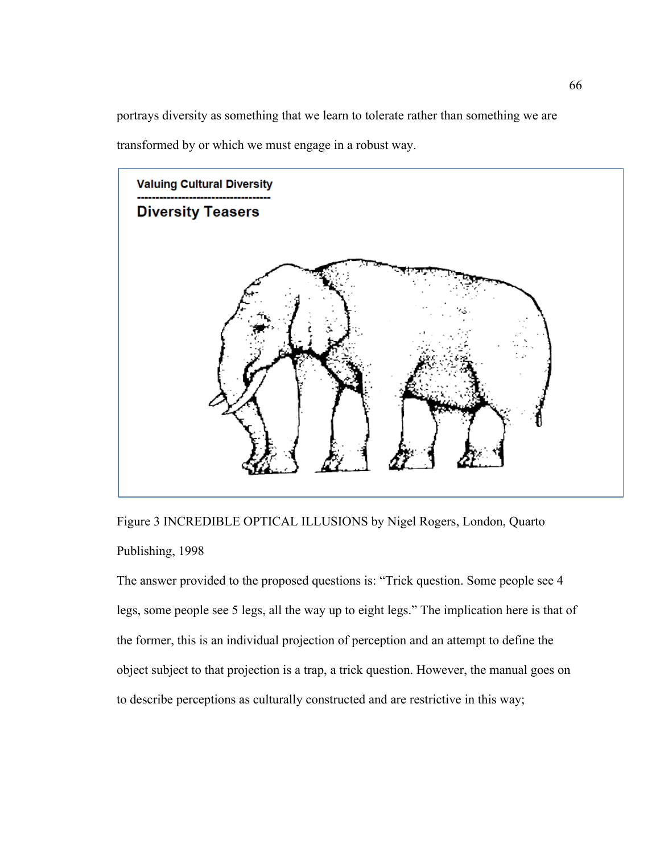portrays diversity as something that we learn to tolerate rather than something we are transformed by or which we must engage in a robust way.



Figure 3 INCREDIBLE OPTICAL ILLUSIONS by Nigel Rogers, London, Quarto Publishing, 1998

The answer provided to the proposed questions is: "Trick question. Some people see 4 legs, some people see 5 legs, all the way up to eight legs." The implication here is that of the former, this is an individual projection of perception and an attempt to define the object subject to that projection is a trap, a trick question. However, the manual goes on to describe perceptions as culturally constructed and are restrictive in this way;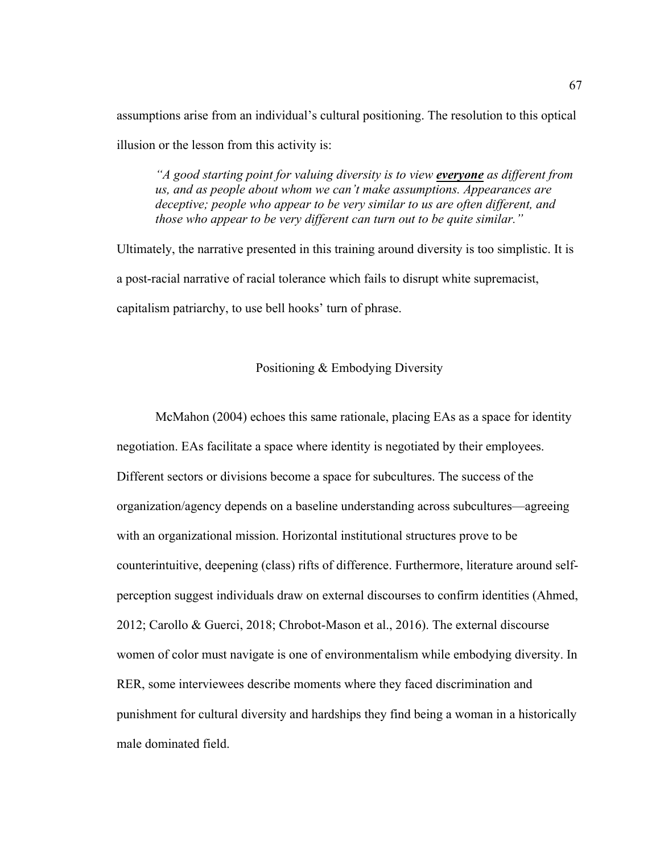assumptions arise from an individual's cultural positioning. The resolution to this optical illusion or the lesson from this activity is:

*"A good starting point for valuing diversity is to view everyone as different from us, and as people about whom we can't make assumptions. Appearances are deceptive; people who appear to be very similar to us are often different, and those who appear to be very different can turn out to be quite similar."*

Ultimately, the narrative presented in this training around diversity is too simplistic. It is a post-racial narrative of racial tolerance which fails to disrupt white supremacist, capitalism patriarchy, to use bell hooks' turn of phrase.

#### Positioning & Embodying Diversity

McMahon (2004) echoes this same rationale, placing EAs as a space for identity negotiation. EAs facilitate a space where identity is negotiated by their employees. Different sectors or divisions become a space for subcultures. The success of the organization/agency depends on a baseline understanding across subcultures—agreeing with an organizational mission. Horizontal institutional structures prove to be counterintuitive, deepening (class) rifts of difference. Furthermore, literature around selfperception suggest individuals draw on external discourses to confirm identities (Ahmed, 2012; Carollo & Guerci, 2018; Chrobot-Mason et al., 2016). The external discourse women of color must navigate is one of environmentalism while embodying diversity. In RER, some interviewees describe moments where they faced discrimination and punishment for cultural diversity and hardships they find being a woman in a historically male dominated field.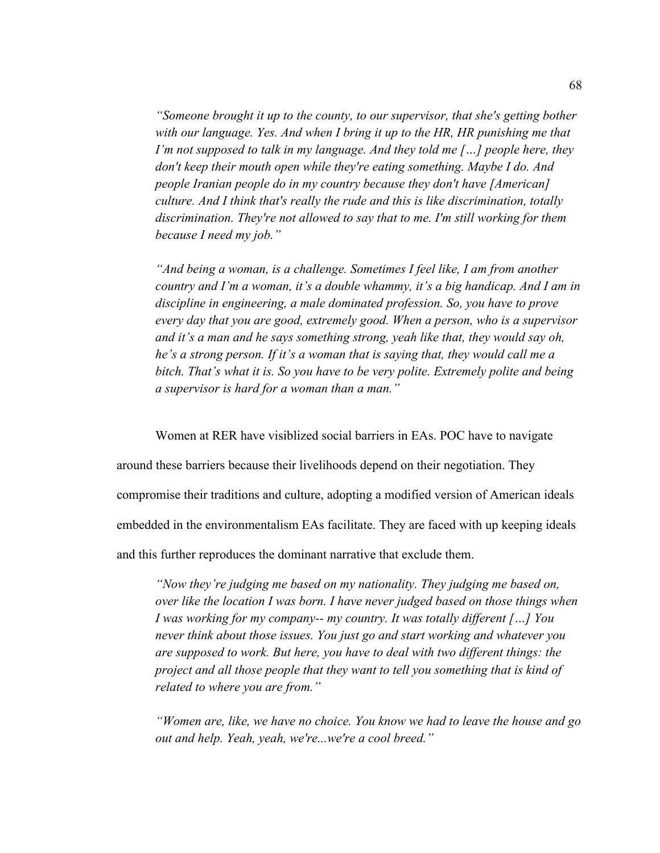*"Someone brought it up to the county, to our supervisor, that she's getting bother with our language. Yes. And when I bring it up to the HR, HR punishing me that I'm not supposed to talk in my language. And they told me [...] people here, they don't keep their mouth open while they're eating something. Maybe I do. And people Iranian people do in my country because they don't have [American] culture. And I think that's really the rude and this is like discrimination, totally discrimination. They're not allowed to say that to me. I'm still working for them because I need my job."*

*"And being a woman, is a challenge. Sometimes I feel like, I am from another country and I'm a woman, it's a double whammy, it's a big handicap. And I am in discipline in engineering, a male dominated profession. So, you have to prove every day that you are good, extremely good. When a person, who is a supervisor and it's a man and he says something strong, yeah like that, they would say oh, he's a strong person. If it's a woman that is saying that, they would call me a bitch. That's what it is. So you have to be very polite. Extremely polite and being a supervisor is hard for a woman than a man."*

Women at RER have visiblized social barriers in EAs. POC have to navigate

around these barriers because their livelihoods depend on their negotiation. They

compromise their traditions and culture, adopting a modified version of American ideals

embedded in the environmentalism EAs facilitate. They are faced with up keeping ideals

and this further reproduces the dominant narrative that exclude them.

*"Now they're judging me based on my nationality. They judging me based on, over like the location I was born. I have never judged based on those things when I was working for my company-- my country. It was totally different […] You never think about those issues. You just go and start working and whatever you are supposed to work. But here, you have to deal with two different things: the project and all those people that they want to tell you something that is kind of related to where you are from."*

*"Women are, like, we have no choice. You know we had to leave the house and go out and help. Yeah, yeah, we're...we're a cool breed."*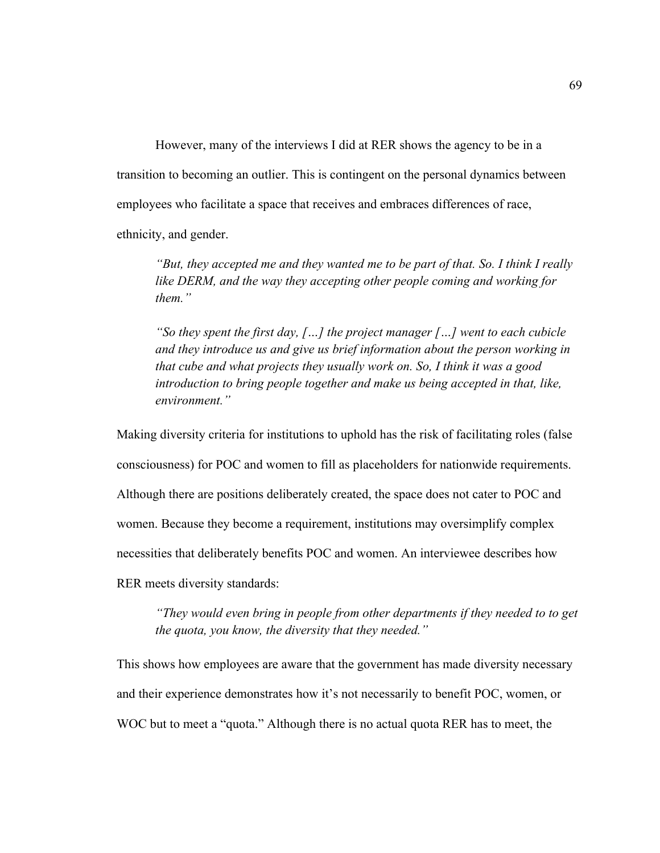However, many of the interviews I did at RER shows the agency to be in a transition to becoming an outlier. This is contingent on the personal dynamics between employees who facilitate a space that receives and embraces differences of race, ethnicity, and gender.

*"But, they accepted me and they wanted me to be part of that. So. I think I really like DERM, and the way they accepting other people coming and working for them."*

*"So they spent the first day, […] the project manager […] went to each cubicle and they introduce us and give us brief information about the person working in that cube and what projects they usually work on. So, I think it was a good introduction to bring people together and make us being accepted in that, like, environment."*

Making diversity criteria for institutions to uphold has the risk of facilitating roles (false consciousness) for POC and women to fill as placeholders for nationwide requirements. Although there are positions deliberately created, the space does not cater to POC and women. Because they become a requirement, institutions may oversimplify complex necessities that deliberately benefits POC and women. An interviewee describes how RER meets diversity standards:

*"They would even bring in people from other departments if they needed to to get the quota, you know, the diversity that they needed."*

This shows how employees are aware that the government has made diversity necessary and their experience demonstrates how it's not necessarily to benefit POC, women, or WOC but to meet a "quota." Although there is no actual quota RER has to meet, the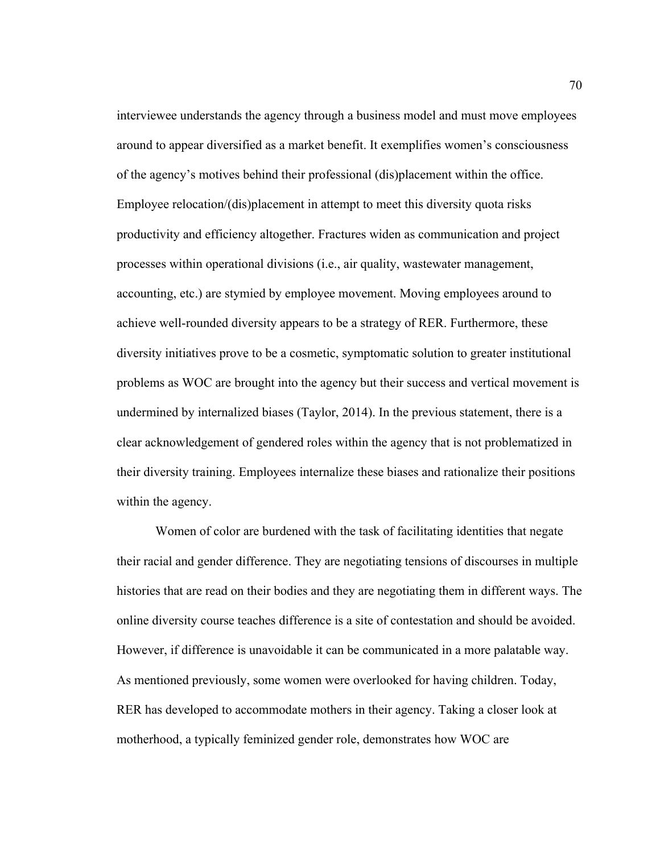interviewee understands the agency through a business model and must move employees around to appear diversified as a market benefit. It exemplifies women's consciousness of the agency's motives behind their professional (dis)placement within the office. Employee relocation/(dis)placement in attempt to meet this diversity quota risks productivity and efficiency altogether. Fractures widen as communication and project processes within operational divisions (i.e., air quality, wastewater management, accounting, etc.) are stymied by employee movement. Moving employees around to achieve well-rounded diversity appears to be a strategy of RER. Furthermore, these diversity initiatives prove to be a cosmetic, symptomatic solution to greater institutional problems as WOC are brought into the agency but their success and vertical movement is undermined by internalized biases (Taylor, 2014). In the previous statement, there is a clear acknowledgement of gendered roles within the agency that is not problematized in their diversity training. Employees internalize these biases and rationalize their positions within the agency.

Women of color are burdened with the task of facilitating identities that negate their racial and gender difference. They are negotiating tensions of discourses in multiple histories that are read on their bodies and they are negotiating them in different ways. The online diversity course teaches difference is a site of contestation and should be avoided. However, if difference is unavoidable it can be communicated in a more palatable way. As mentioned previously, some women were overlooked for having children. Today, RER has developed to accommodate mothers in their agency. Taking a closer look at motherhood, a typically feminized gender role, demonstrates how WOC are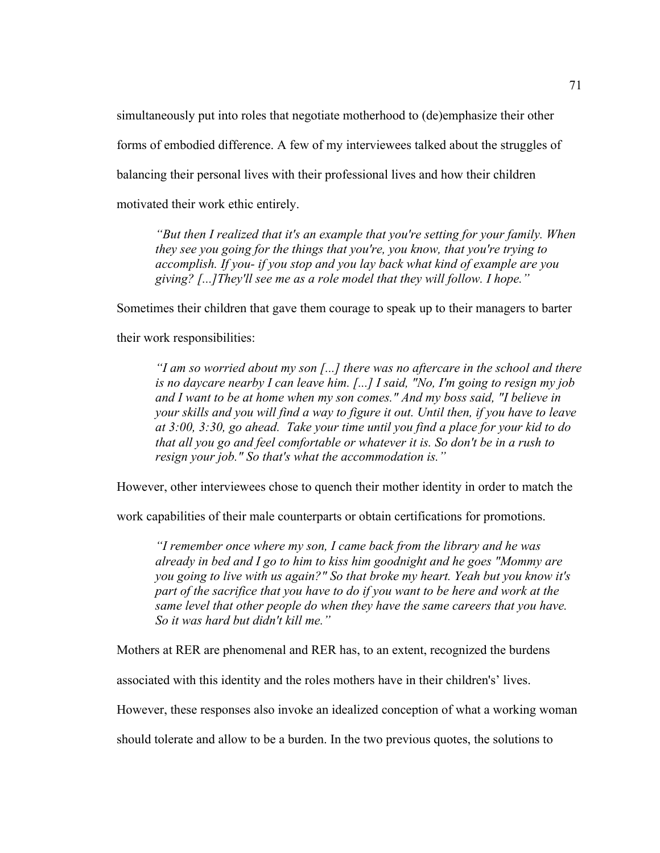simultaneously put into roles that negotiate motherhood to (de)emphasize their other forms of embodied difference. A few of my interviewees talked about the struggles of balancing their personal lives with their professional lives and how their children motivated their work ethic entirely.

*"But then I realized that it's an example that you're setting for your family. When they see you going for the things that you're, you know, that you're trying to accomplish. If you- if you stop and you lay back what kind of example are you giving? [...]They'll see me as a role model that they will follow. I hope."*

Sometimes their children that gave them courage to speak up to their managers to barter

their work responsibilities:

*"I am so worried about my son [...] there was no aftercare in the school and there is no daycare nearby I can leave him. [...] I said, "No, I'm going to resign my job and I want to be at home when my son comes." And my boss said, "I believe in your skills and you will find a way to figure it out. Until then, if you have to leave at 3:00, 3:30, go ahead. Take your time until you find a place for your kid to do that all you go and feel comfortable or whatever it is. So don't be in a rush to resign your job." So that's what the accommodation is."*

However, other interviewees chose to quench their mother identity in order to match the

work capabilities of their male counterparts or obtain certifications for promotions.

*"I remember once where my son, I came back from the library and he was already in bed and I go to him to kiss him goodnight and he goes "Mommy are you going to live with us again?" So that broke my heart. Yeah but you know it's part of the sacrifice that you have to do if you want to be here and work at the same level that other people do when they have the same careers that you have. So it was hard but didn't kill me."*

Mothers at RER are phenomenal and RER has, to an extent, recognized the burdens

associated with this identity and the roles mothers have in their children's' lives.

However, these responses also invoke an idealized conception of what a working woman

should tolerate and allow to be a burden. In the two previous quotes, the solutions to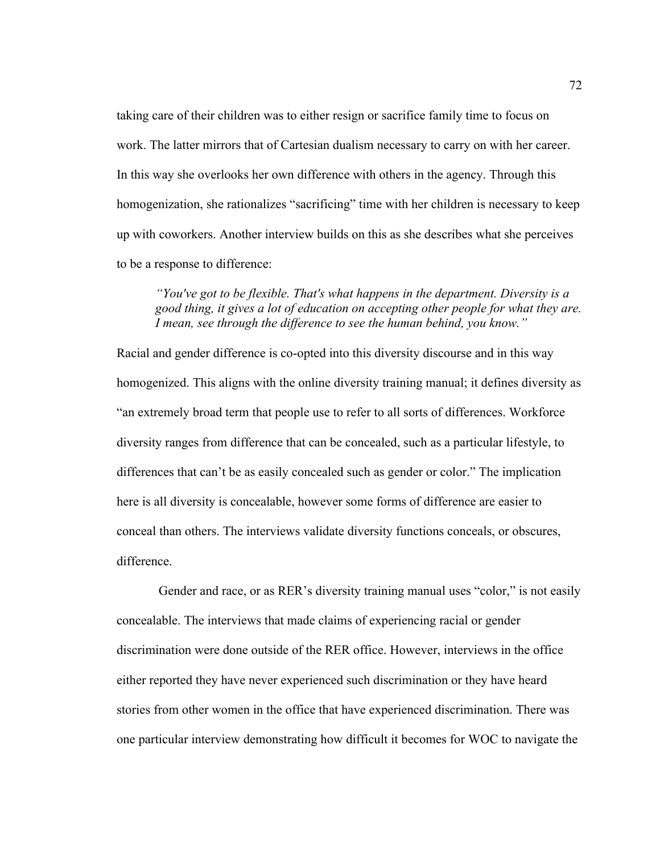taking care of their children was to either resign or sacrifice family time to focus on work. The latter mirrors that of Cartesian dualism necessary to carry on with her career. In this way she overlooks her own difference with others in the agency. Through this homogenization, she rationalizes "sacrificing" time with her children is necessary to keep up with coworkers. Another interview builds on this as she describes what she perceives to be a response to difference:

*"You've got to be flexible. That's what happens in the department. Diversity is a good thing, it gives a lot of education on accepting other people for what they are. I mean, see through the difference to see the human behind, you know."*

Racial and gender difference is co-opted into this diversity discourse and in this way homogenized. This aligns with the online diversity training manual; it defines diversity as "an extremely broad term that people use to refer to all sorts of differences. Workforce diversity ranges from difference that can be concealed, such as a particular lifestyle, to differences that can't be as easily concealed such as gender or color." The implication here is all diversity is concealable, however some forms of difference are easier to conceal than others. The interviews validate diversity functions conceals, or obscures, difference.

Gender and race, or as RER's diversity training manual uses "color," is not easily concealable. The interviews that made claims of experiencing racial or gender discrimination were done outside of the RER office. However, interviews in the office either reported they have never experienced such discrimination or they have heard stories from other women in the office that have experienced discrimination. There was one particular interview demonstrating how difficult it becomes for WOC to navigate the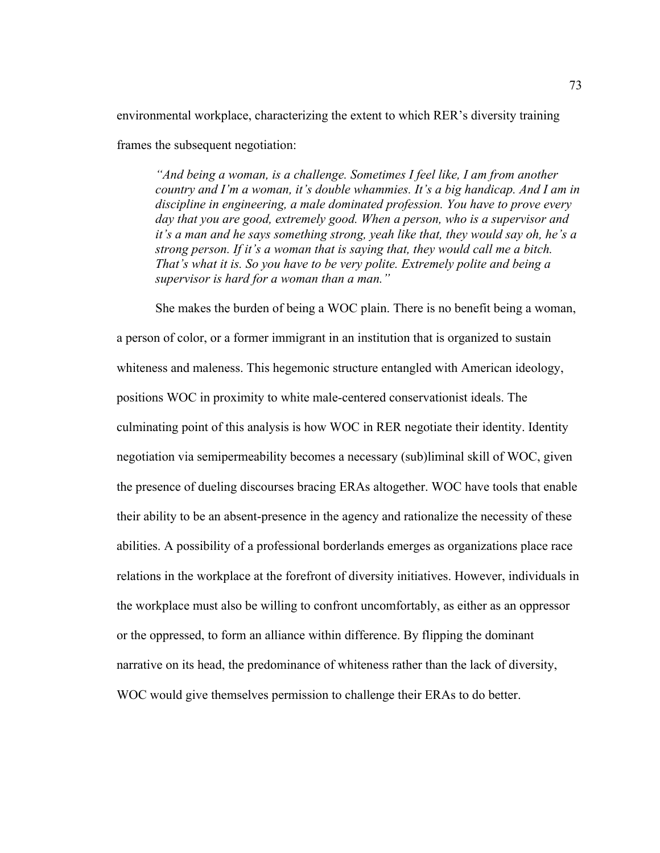environmental workplace, characterizing the extent to which RER's diversity training

frames the subsequent negotiation:

*"And being a woman, is a challenge. Sometimes I feel like, I am from another country and I'm a woman, it's double whammies. It's a big handicap. And I am in discipline in engineering, a male dominated profession. You have to prove every day that you are good, extremely good. When a person, who is a supervisor and it's a man and he says something strong, yeah like that, they would say oh, he's a strong person. If it's a woman that is saying that, they would call me a bitch. That's what it is. So you have to be very polite. Extremely polite and being a supervisor is hard for a woman than a man."*

She makes the burden of being a WOC plain. There is no benefit being a woman, a person of color, or a former immigrant in an institution that is organized to sustain whiteness and maleness. This hegemonic structure entangled with American ideology, positions WOC in proximity to white male-centered conservationist ideals. The culminating point of this analysis is how WOC in RER negotiate their identity. Identity negotiation via semipermeability becomes a necessary (sub)liminal skill of WOC, given the presence of dueling discourses bracing ERAs altogether. WOC have tools that enable their ability to be an absent-presence in the agency and rationalize the necessity of these abilities. A possibility of a professional borderlands emerges as organizations place race relations in the workplace at the forefront of diversity initiatives. However, individuals in the workplace must also be willing to confront uncomfortably, as either as an oppressor or the oppressed, to form an alliance within difference. By flipping the dominant narrative on its head, the predominance of whiteness rather than the lack of diversity, WOC would give themselves permission to challenge their ERAs to do better.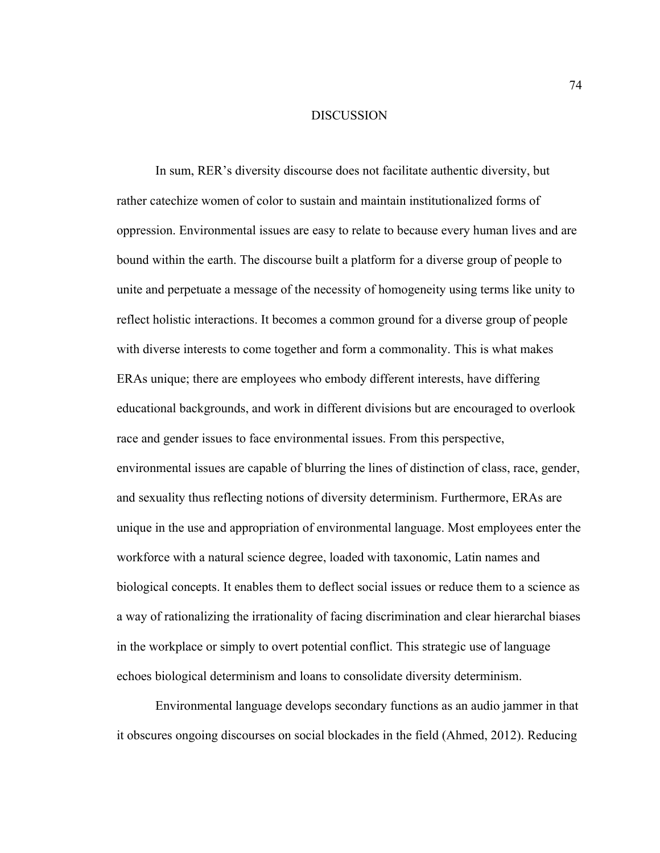#### DISCUSSION

In sum, RER's diversity discourse does not facilitate authentic diversity, but rather catechize women of color to sustain and maintain institutionalized forms of oppression. Environmental issues are easy to relate to because every human lives and are bound within the earth. The discourse built a platform for a diverse group of people to unite and perpetuate a message of the necessity of homogeneity using terms like unity to reflect holistic interactions. It becomes a common ground for a diverse group of people with diverse interests to come together and form a commonality. This is what makes ERAs unique; there are employees who embody different interests, have differing educational backgrounds, and work in different divisions but are encouraged to overlook race and gender issues to face environmental issues. From this perspective, environmental issues are capable of blurring the lines of distinction of class, race, gender, and sexuality thus reflecting notions of diversity determinism. Furthermore, ERAs are unique in the use and appropriation of environmental language. Most employees enter the workforce with a natural science degree, loaded with taxonomic, Latin names and biological concepts. It enables them to deflect social issues or reduce them to a science as a way of rationalizing the irrationality of facing discrimination and clear hierarchal biases in the workplace or simply to overt potential conflict. This strategic use of language echoes biological determinism and loans to consolidate diversity determinism.

Environmental language develops secondary functions as an audio jammer in that it obscures ongoing discourses on social blockades in the field (Ahmed, 2012). Reducing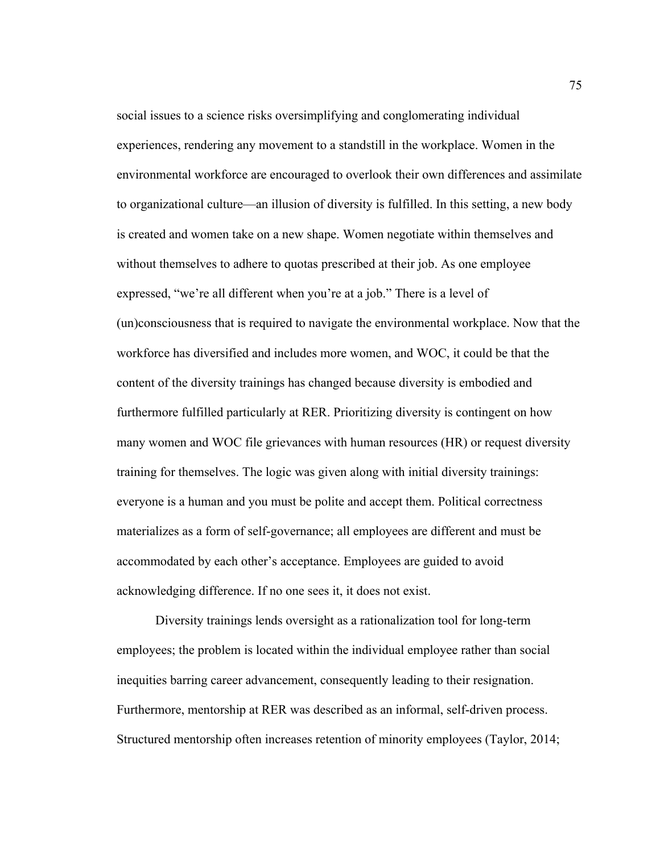social issues to a science risks oversimplifying and conglomerating individual experiences, rendering any movement to a standstill in the workplace. Women in the environmental workforce are encouraged to overlook their own differences and assimilate to organizational culture—an illusion of diversity is fulfilled. In this setting, a new body is created and women take on a new shape. Women negotiate within themselves and without themselves to adhere to quotas prescribed at their job. As one employee expressed, "we're all different when you're at a job." There is a level of (un)consciousness that is required to navigate the environmental workplace. Now that the workforce has diversified and includes more women, and WOC, it could be that the content of the diversity trainings has changed because diversity is embodied and furthermore fulfilled particularly at RER. Prioritizing diversity is contingent on how many women and WOC file grievances with human resources (HR) or request diversity training for themselves. The logic was given along with initial diversity trainings: everyone is a human and you must be polite and accept them. Political correctness materializes as a form of self-governance; all employees are different and must be accommodated by each other's acceptance. Employees are guided to avoid acknowledging difference. If no one sees it, it does not exist.

Diversity trainings lends oversight as a rationalization tool for long-term employees; the problem is located within the individual employee rather than social inequities barring career advancement, consequently leading to their resignation. Furthermore, mentorship at RER was described as an informal, self-driven process. Structured mentorship often increases retention of minority employees (Taylor, 2014;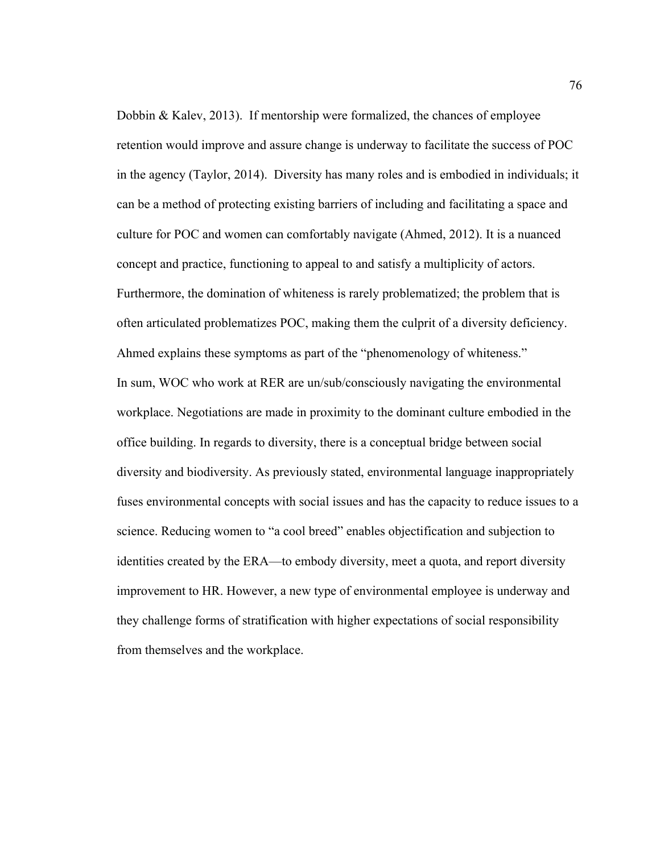Dobbin & Kalev, 2013). If mentorship were formalized, the chances of employee retention would improve and assure change is underway to facilitate the success of POC in the agency (Taylor, 2014). Diversity has many roles and is embodied in individuals; it can be a method of protecting existing barriers of including and facilitating a space and culture for POC and women can comfortably navigate (Ahmed, 2012). It is a nuanced concept and practice, functioning to appeal to and satisfy a multiplicity of actors. Furthermore, the domination of whiteness is rarely problematized; the problem that is often articulated problematizes POC, making them the culprit of a diversity deficiency. Ahmed explains these symptoms as part of the "phenomenology of whiteness." In sum, WOC who work at RER are un/sub/consciously navigating the environmental workplace. Negotiations are made in proximity to the dominant culture embodied in the office building. In regards to diversity, there is a conceptual bridge between social diversity and biodiversity. As previously stated, environmental language inappropriately fuses environmental concepts with social issues and has the capacity to reduce issues to a science. Reducing women to "a cool breed" enables objectification and subjection to identities created by the ERA—to embody diversity, meet a quota, and report diversity improvement to HR. However, a new type of environmental employee is underway and they challenge forms of stratification with higher expectations of social responsibility from themselves and the workplace.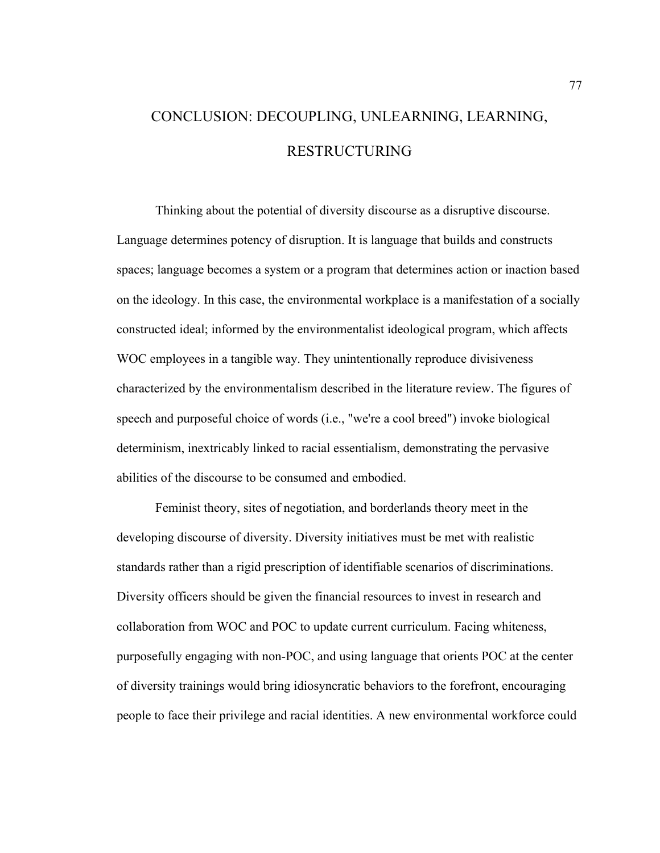# CONCLUSION: DECOUPLING, UNLEARNING, LEARNING, RESTRUCTURING

Thinking about the potential of diversity discourse as a disruptive discourse. Language determines potency of disruption. It is language that builds and constructs spaces; language becomes a system or a program that determines action or inaction based on the ideology. In this case, the environmental workplace is a manifestation of a socially constructed ideal; informed by the environmentalist ideological program, which affects WOC employees in a tangible way. They unintentionally reproduce divisiveness characterized by the environmentalism described in the literature review. The figures of speech and purposeful choice of words (i.e., "we're a cool breed") invoke biological determinism, inextricably linked to racial essentialism, demonstrating the pervasive abilities of the discourse to be consumed and embodied.

Feminist theory, sites of negotiation, and borderlands theory meet in the developing discourse of diversity. Diversity initiatives must be met with realistic standards rather than a rigid prescription of identifiable scenarios of discriminations. Diversity officers should be given the financial resources to invest in research and collaboration from WOC and POC to update current curriculum. Facing whiteness, purposefully engaging with non-POC, and using language that orients POC at the center of diversity trainings would bring idiosyncratic behaviors to the forefront, encouraging people to face their privilege and racial identities. A new environmental workforce could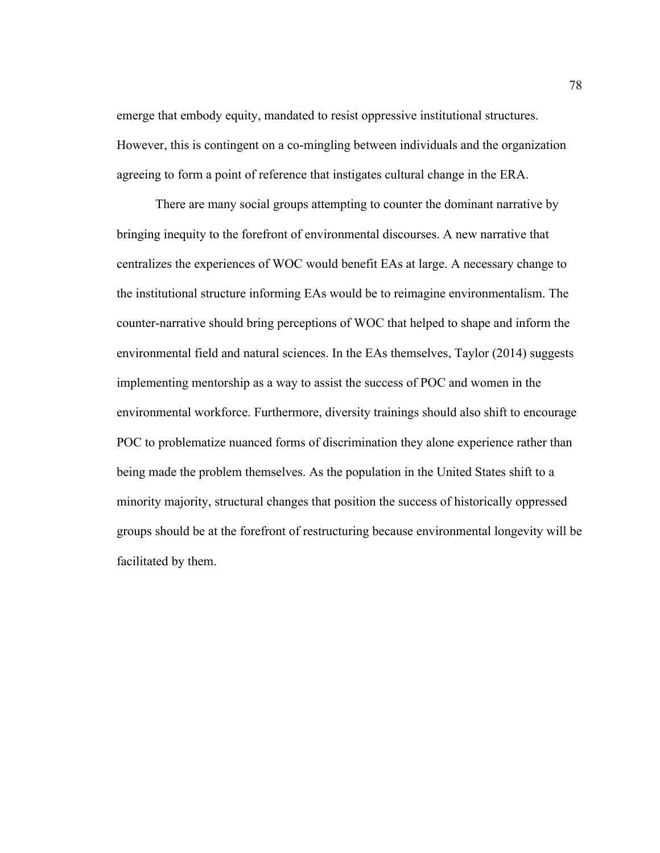emerge that embody equity, mandated to resist oppressive institutional structures. However, this is contingent on a co-mingling between individuals and the organization agreeing to form a point of reference that instigates cultural change in the ERA.

There are many social groups attempting to counter the dominant narrative by bringing inequity to the forefront of environmental discourses. A new narrative that centralizes the experiences of WOC would benefit EAs at large. A necessary change to the institutional structure informing EAs would be to reimagine environmentalism. The counter-narrative should bring perceptions of WOC that helped to shape and inform the environmental field and natural sciences. In the EAs themselves, Taylor (2014) suggests implementing mentorship as a way to assist the success of POC and women in the environmental workforce. Furthermore, diversity trainings should also shift to encourage POC to problematize nuanced forms of discrimination they alone experience rather than being made the problem themselves. As the population in the United States shift to a minority majority, structural changes that position the success of historically oppressed groups should be at the forefront of restructuring because environmental longevity will be facilitated by them.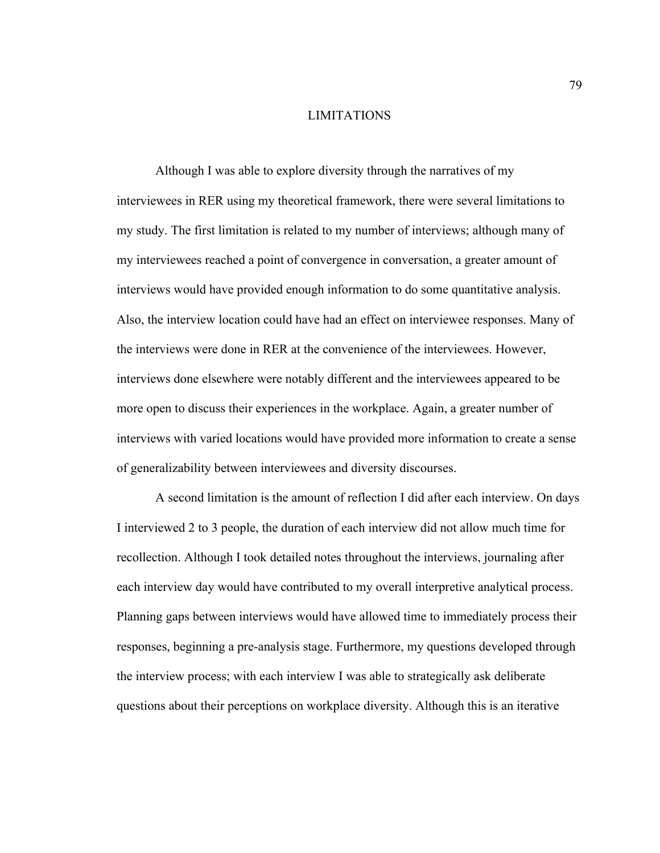## LIMITATIONS

Although I was able to explore diversity through the narratives of my interviewees in RER using my theoretical framework, there were several limitations to my study. The first limitation is related to my number of interviews; although many of my interviewees reached a point of convergence in conversation, a greater amount of interviews would have provided enough information to do some quantitative analysis. Also, the interview location could have had an effect on interviewee responses. Many of the interviews were done in RER at the convenience of the interviewees. However, interviews done elsewhere were notably different and the interviewees appeared to be more open to discuss their experiences in the workplace. Again, a greater number of interviews with varied locations would have provided more information to create a sense of generalizability between interviewees and diversity discourses.

A second limitation is the amount of reflection I did after each interview. On days I interviewed 2 to 3 people, the duration of each interview did not allow much time for recollection. Although I took detailed notes throughout the interviews, journaling after each interview day would have contributed to my overall interpretive analytical process. Planning gaps between interviews would have allowed time to immediately process their responses, beginning a pre-analysis stage. Furthermore, my questions developed through the interview process; with each interview I was able to strategically ask deliberate questions about their perceptions on workplace diversity. Although this is an iterative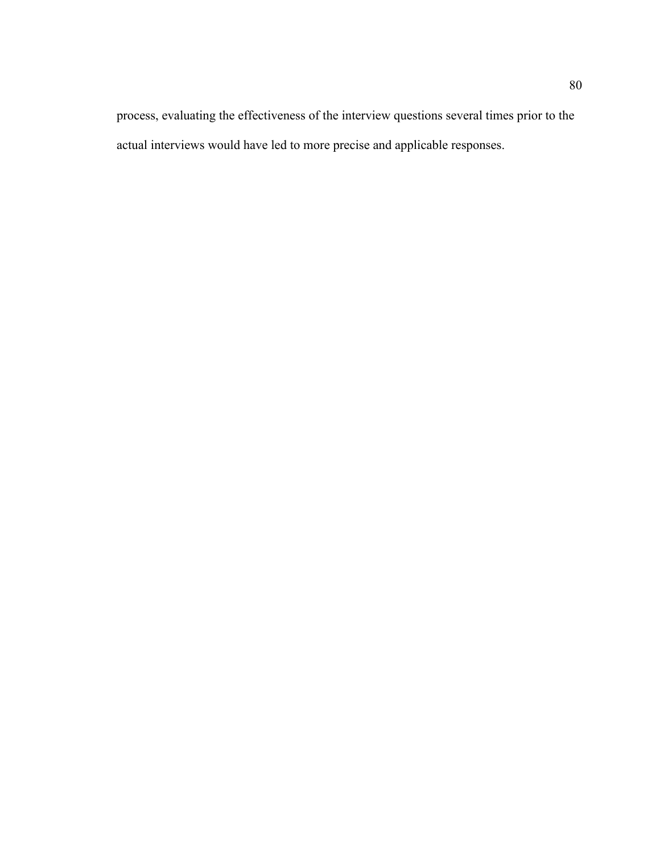process, evaluating the effectiveness of the interview questions several times prior to the actual interviews would have led to more precise and applicable responses.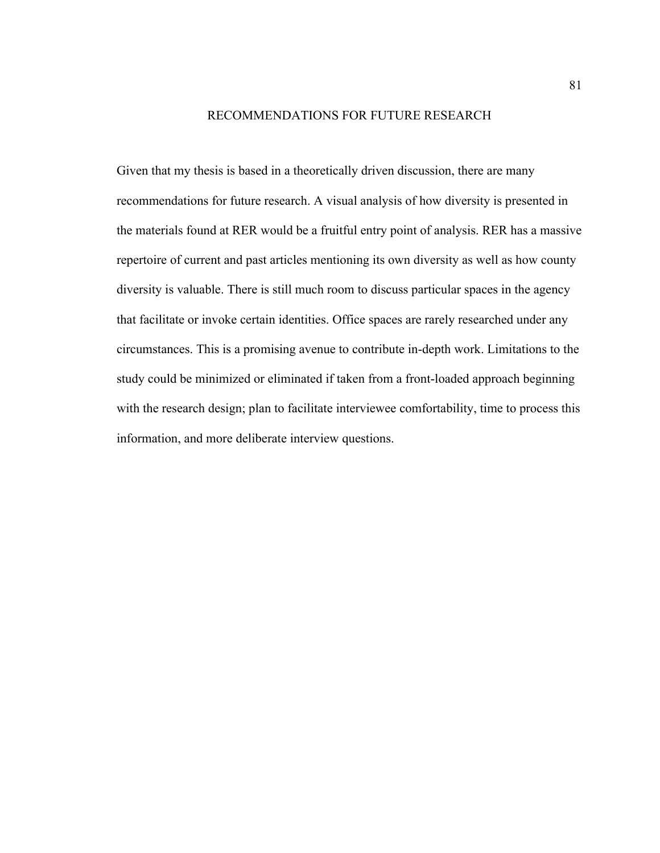### RECOMMENDATIONS FOR FUTURE RESEARCH

Given that my thesis is based in a theoretically driven discussion, there are many recommendations for future research. A visual analysis of how diversity is presented in the materials found at RER would be a fruitful entry point of analysis. RER has a massive repertoire of current and past articles mentioning its own diversity as well as how county diversity is valuable. There is still much room to discuss particular spaces in the agency that facilitate or invoke certain identities. Office spaces are rarely researched under any circumstances. This is a promising avenue to contribute in-depth work. Limitations to the study could be minimized or eliminated if taken from a front-loaded approach beginning with the research design; plan to facilitate interviewee comfortability, time to process this information, and more deliberate interview questions.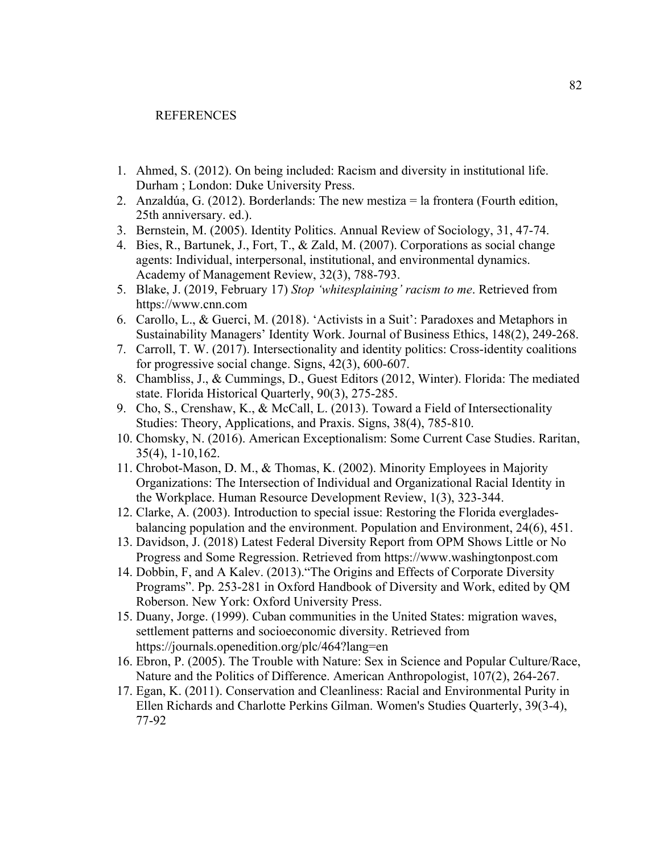#### REFERENCES

- 1. Ahmed, S. (2012). On being included: Racism and diversity in institutional life. Durham ; London: Duke University Press.
- 2. Anzaldúa, G. (2012). Borderlands: The new mestiza = la frontera (Fourth edition, 25th anniversary. ed.).
- 3. Bernstein, M. (2005). Identity Politics. Annual Review of Sociology, 31, 47-74.
- 4. Bies, R., Bartunek, J., Fort, T., & Zald, M. (2007). Corporations as social change agents: Individual, interpersonal, institutional, and environmental dynamics. Academy of Management Review, 32(3), 788-793.
- 5. Blake, J. (2019, February 17) *Stop 'whitesplaining' racism to me*. Retrieved from https://www.cnn.com
- 6. Carollo, L., & Guerci, M. (2018). 'Activists in a Suit': Paradoxes and Metaphors in Sustainability Managers' Identity Work. Journal of Business Ethics, 148(2), 249-268.
- 7. Carroll, T. W. (2017). Intersectionality and identity politics: Cross-identity coalitions for progressive social change. Signs, 42(3), 600-607.
- 8. Chambliss, J., & Cummings, D., Guest Editors (2012, Winter). Florida: The mediated state. Florida Historical Quarterly, 90(3), 275-285.
- 9. Cho, S., Crenshaw, K., & McCall, L. (2013). Toward a Field of Intersectionality Studies: Theory, Applications, and Praxis. Signs, 38(4), 785-810.
- 10. Chomsky, N. (2016). American Exceptionalism: Some Current Case Studies. Raritan, 35(4), 1-10,162.
- 11. Chrobot-Mason, D. M., & Thomas, K. (2002). Minority Employees in Majority Organizations: The Intersection of Individual and Organizational Racial Identity in the Workplace. Human Resource Development Review, 1(3), 323-344.
- 12. Clarke, A. (2003). Introduction to special issue: Restoring the Florida evergladesbalancing population and the environment. Population and Environment, 24(6), 451.
- 13. Davidson, J. (2018) Latest Federal Diversity Report from OPM Shows Little or No Progress and Some Regression. Retrieved from https://www.washingtonpost.com
- 14. Dobbin, F, and A Kalev. (2013)."The Origins and Effects of Corporate Diversity Programs". Pp. 253-281 in Oxford Handbook of Diversity and Work, edited by QM Roberson. New York: Oxford University Press.
- 15. Duany, Jorge. (1999). Cuban communities in the United States: migration waves, settlement patterns and socioeconomic diversity. Retrieved from https://journals.openedition.org/plc/464?lang=en
- 16. Ebron, P. (2005). The Trouble with Nature: Sex in Science and Popular Culture/Race, Nature and the Politics of Difference. American Anthropologist, 107(2), 264-267.
- 17. Egan, K. (2011). Conservation and Cleanliness: Racial and Environmental Purity in Ellen Richards and Charlotte Perkins Gilman. Women's Studies Quarterly, 39(3-4), 77-92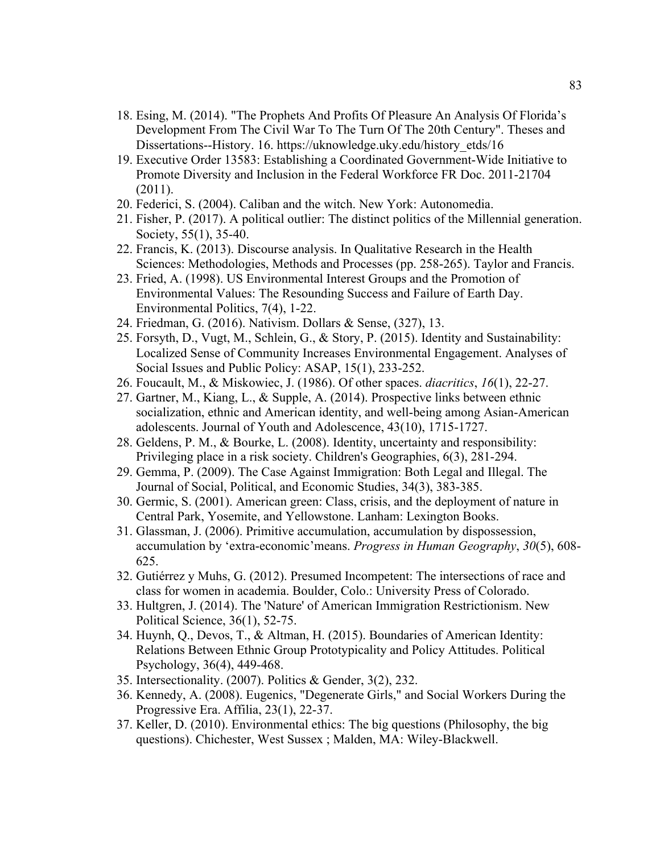- 18. Esing, M. (2014). "The Prophets And Profits Of Pleasure An Analysis Of Florida's Development From The Civil War To The Turn Of The 20th Century". Theses and Dissertations--History. 16. https://uknowledge.uky.edu/history\_etds/16
- 19. Executive Order 13583: Establishing a Coordinated Government-Wide Initiative to Promote Diversity and Inclusion in the Federal Workforce FR Doc. 2011-21704 (2011).
- 20. Federici, S. (2004). Caliban and the witch. New York: Autonomedia.
- 21. Fisher, P. (2017). A political outlier: The distinct politics of the Millennial generation. Society, 55(1), 35-40.
- 22. Francis, K. (2013). Discourse analysis. In Qualitative Research in the Health Sciences: Methodologies, Methods and Processes (pp. 258-265). Taylor and Francis.
- 23. Fried, A. (1998). US Environmental Interest Groups and the Promotion of Environmental Values: The Resounding Success and Failure of Earth Day. Environmental Politics, 7(4), 1-22.
- 24. Friedman, G. (2016). Nativism. Dollars & Sense, (327), 13.
- 25. Forsyth, D., Vugt, M., Schlein, G., & Story, P. (2015). Identity and Sustainability: Localized Sense of Community Increases Environmental Engagement. Analyses of Social Issues and Public Policy: ASAP, 15(1), 233-252.
- 26. Foucault, M., & Miskowiec, J. (1986). Of other spaces. *diacritics*, *16*(1), 22-27.
- 27. Gartner, M., Kiang, L., & Supple, A. (2014). Prospective links between ethnic socialization, ethnic and American identity, and well-being among Asian-American adolescents. Journal of Youth and Adolescence, 43(10), 1715-1727.
- 28. Geldens, P. M., & Bourke, L. (2008). Identity, uncertainty and responsibility: Privileging place in a risk society. Children's Geographies, 6(3), 281-294.
- 29. Gemma, P. (2009). The Case Against Immigration: Both Legal and Illegal. The Journal of Social, Political, and Economic Studies, 34(3), 383-385.
- 30. Germic, S. (2001). American green: Class, crisis, and the deployment of nature in Central Park, Yosemite, and Yellowstone. Lanham: Lexington Books.
- 31. Glassman, J. (2006). Primitive accumulation, accumulation by dispossession, accumulation by 'extra-economic'means. *Progress in Human Geography*, *30*(5), 608- 625.
- 32. Gutiérrez y Muhs, G. (2012). Presumed Incompetent: The intersections of race and class for women in academia. Boulder, Colo.: University Press of Colorado.
- 33. Hultgren, J. (2014). The 'Nature' of American Immigration Restrictionism. New Political Science, 36(1), 52-75.
- 34. Huynh, Q., Devos, T., & Altman, H. (2015). Boundaries of American Identity: Relations Between Ethnic Group Prototypicality and Policy Attitudes. Political Psychology, 36(4), 449-468.
- 35. Intersectionality. (2007). Politics & Gender, 3(2), 232.
- 36. Kennedy, A. (2008). Eugenics, "Degenerate Girls," and Social Workers During the Progressive Era. Affilia, 23(1), 22-37.
- 37. Keller, D. (2010). Environmental ethics: The big questions (Philosophy, the big questions). Chichester, West Sussex ; Malden, MA: Wiley-Blackwell.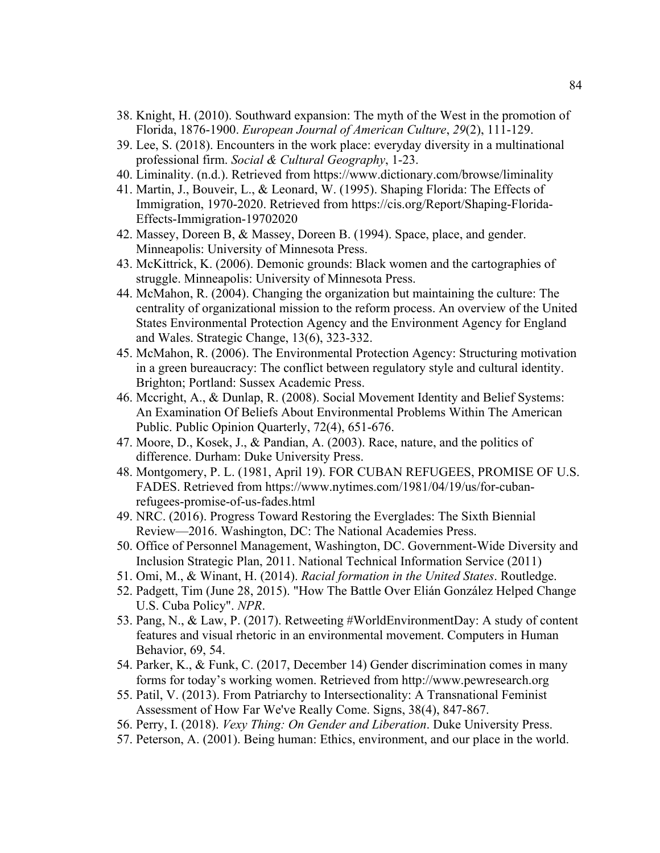- 38. Knight, H. (2010). Southward expansion: The myth of the West in the promotion of Florida, 1876-1900. *European Journal of American Culture*, *29*(2), 111-129.
- 39. Lee, S. (2018). Encounters in the work place: everyday diversity in a multinational professional firm. *Social & Cultural Geography*, 1-23.
- 40. Liminality. (n.d.). Retrieved from https://www.dictionary.com/browse/liminality
- 41. Martin, J., Bouveir, L., & Leonard, W. (1995). Shaping Florida: The Effects of Immigration, 1970-2020. Retrieved from https://cis.org/Report/Shaping-Florida-Effects-Immigration-19702020
- 42. Massey, Doreen B, & Massey, Doreen B. (1994). Space, place, and gender. Minneapolis: University of Minnesota Press.
- 43. McKittrick, K. (2006). Demonic grounds: Black women and the cartographies of struggle. Minneapolis: University of Minnesota Press.
- 44. McMahon, R. (2004). Changing the organization but maintaining the culture: The centrality of organizational mission to the reform process. An overview of the United States Environmental Protection Agency and the Environment Agency for England and Wales. Strategic Change, 13(6), 323-332.
- 45. McMahon, R. (2006). The Environmental Protection Agency: Structuring motivation in a green bureaucracy: The conflict between regulatory style and cultural identity. Brighton; Portland: Sussex Academic Press.
- 46. Mccright, A., & Dunlap, R. (2008). Social Movement Identity and Belief Systems: An Examination Of Beliefs About Environmental Problems Within The American Public. Public Opinion Quarterly, 72(4), 651-676.
- 47. Moore, D., Kosek, J., & Pandian, A. (2003). Race, nature, and the politics of difference. Durham: Duke University Press.
- 48. Montgomery, P. L. (1981, April 19). FOR CUBAN REFUGEES, PROMISE OF U.S. FADES. Retrieved from https://www.nytimes.com/1981/04/19/us/for-cubanrefugees-promise-of-us-fades.html
- 49. NRC. (2016). Progress Toward Restoring the Everglades: The Sixth Biennial Review—2016. Washington, DC: The National Academies Press.
- 50. Office of Personnel Management, Washington, DC. Government-Wide Diversity and Inclusion Strategic Plan, 2011. National Technical Information Service (2011)
- 51. Omi, M., & Winant, H. (2014). *Racial formation in the United States*. Routledge.
- 52. Padgett, Tim (June 28, 2015). "How The Battle Over Elián González Helped Change U.S. Cuba Policy". *NPR*.
- 53. Pang, N., & Law, P. (2017). Retweeting #WorldEnvironmentDay: A study of content features and visual rhetoric in an environmental movement. Computers in Human Behavior, 69, 54.
- 54. Parker, K., & Funk, C. (2017, December 14) Gender discrimination comes in many forms for today's working women. Retrieved from http://www.pewresearch.org
- 55. Patil, V. (2013). From Patriarchy to Intersectionality: A Transnational Feminist Assessment of How Far We've Really Come. Signs, 38(4), 847-867.
- 56. Perry, I. (2018). *Vexy Thing: On Gender and Liberation*. Duke University Press.
- 57. Peterson, A. (2001). Being human: Ethics, environment, and our place in the world.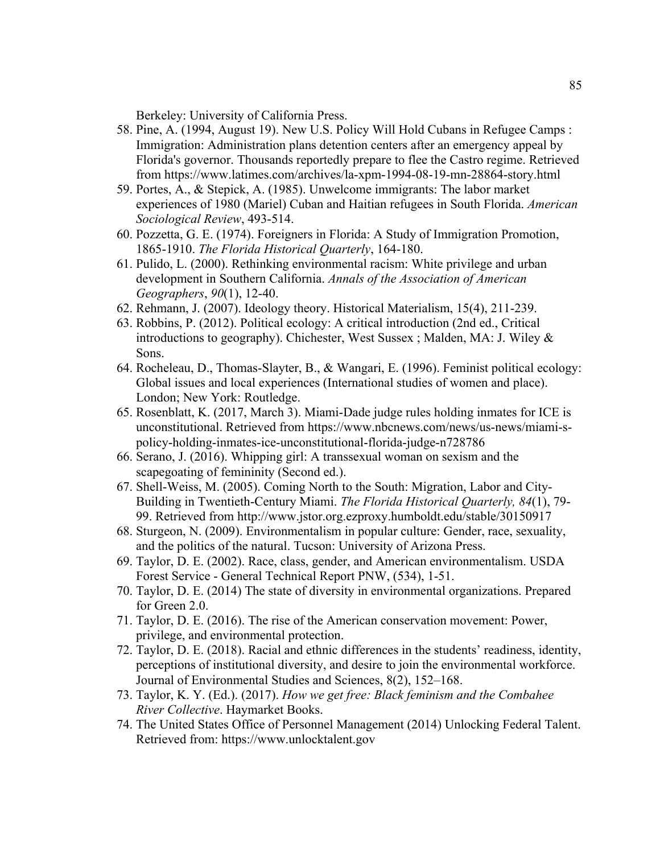Berkeley: University of California Press.

- 58. Pine, A. (1994, August 19). New U.S. Policy Will Hold Cubans in Refugee Camps : Immigration: Administration plans detention centers after an emergency appeal by Florida's governor. Thousands reportedly prepare to flee the Castro regime. Retrieved from https://www.latimes.com/archives/la-xpm-1994-08-19-mn-28864-story.html
- 59. Portes, A., & Stepick, A. (1985). Unwelcome immigrants: The labor market experiences of 1980 (Mariel) Cuban and Haitian refugees in South Florida. *American Sociological Review*, 493-514.
- 60. Pozzetta, G. E. (1974). Foreigners in Florida: A Study of Immigration Promotion, 1865-1910. *The Florida Historical Quarterly*, 164-180.
- 61. Pulido, L. (2000). Rethinking environmental racism: White privilege and urban development in Southern California. *Annals of the Association of American Geographers*, *90*(1), 12-40.
- 62. Rehmann, J. (2007). Ideology theory. Historical Materialism, 15(4), 211-239.
- 63. Robbins, P. (2012). Political ecology: A critical introduction (2nd ed., Critical introductions to geography). Chichester, West Sussex ; Malden, MA: J. Wiley & Sons.
- 64. Rocheleau, D., Thomas-Slayter, B., & Wangari, E. (1996). Feminist political ecology: Global issues and local experiences (International studies of women and place). London; New York: Routledge.
- 65. Rosenblatt, K. (2017, March 3). Miami-Dade judge rules holding inmates for ICE is unconstitutional. Retrieved from https://www.nbcnews.com/news/us-news/miami-spolicy-holding-inmates-ice-unconstitutional-florida-judge-n728786
- 66. Serano, J. (2016). Whipping girl: A transsexual woman on sexism and the scapegoating of femininity (Second ed.).
- 67. Shell-Weiss, M. (2005). Coming North to the South: Migration, Labor and City-Building in Twentieth-Century Miami. *The Florida Historical Quarterly, 84*(1), 79- 99. Retrieved from http://www.jstor.org.ezproxy.humboldt.edu/stable/30150917
- 68. Sturgeon, N. (2009). Environmentalism in popular culture: Gender, race, sexuality, and the politics of the natural. Tucson: University of Arizona Press.
- 69. Taylor, D. E. (2002). Race, class, gender, and American environmentalism. USDA Forest Service - General Technical Report PNW, (534), 1-51.
- 70. Taylor, D. E. (2014) The state of diversity in environmental organizations. Prepared for Green 2.0.
- 71. Taylor, D. E. (2016). The rise of the American conservation movement: Power, privilege, and environmental protection.
- 72. Taylor, D. E. (2018). Racial and ethnic differences in the students' readiness, identity, perceptions of institutional diversity, and desire to join the environmental workforce. Journal of Environmental Studies and Sciences, 8(2), 152–168.
- 73. Taylor, K. Y. (Ed.). (2017). *How we get free: Black feminism and the Combahee River Collective*. Haymarket Books.
- 74. The United States Office of Personnel Management (2014) Unlocking Federal Talent. Retrieved from: https://www.unlocktalent.gov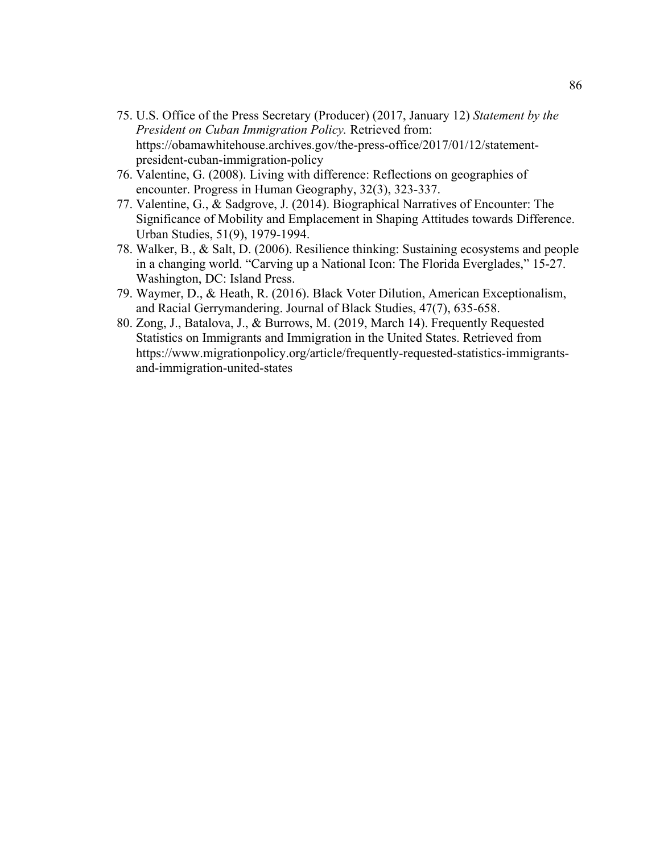- 75. U.S. Office of the Press Secretary (Producer) (2017, January 12) *Statement by the President on Cuban Immigration Policy.* Retrieved from: https://obamawhitehouse.archives.gov/the-press-office/2017/01/12/statementpresident-cuban-immigration-policy
- 76. Valentine, G. (2008). Living with difference: Reflections on geographies of encounter. Progress in Human Geography, 32(3), 323-337.
- 77. Valentine, G., & Sadgrove, J. (2014). Biographical Narratives of Encounter: The Significance of Mobility and Emplacement in Shaping Attitudes towards Difference. Urban Studies, 51(9), 1979-1994.
- 78. Walker, B., & Salt, D. (2006). Resilience thinking: Sustaining ecosystems and people in a changing world. "Carving up a National Icon: The Florida Everglades," 15-27. Washington, DC: Island Press.
- 79. Waymer, D., & Heath, R. (2016). Black Voter Dilution, American Exceptionalism, and Racial Gerrymandering. Journal of Black Studies, 47(7), 635-658.
- 80. Zong, J., Batalova, J., & Burrows, M. (2019, March 14). Frequently Requested Statistics on Immigrants and Immigration in the United States. Retrieved from https://www.migrationpolicy.org/article/frequently-requested-statistics-immigrantsand-immigration-united-states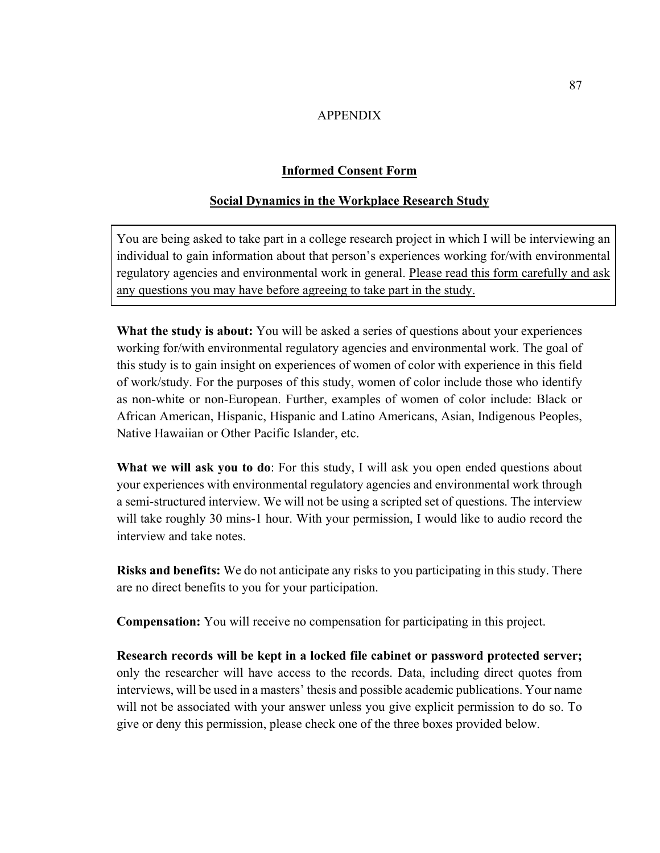# APPENDIX

## **Informed Consent Form**

## **Social Dynamics in the Workplace Research Study**

You are being asked to take part in a college research project in which I will be interviewing an individual to gain information about that person's experiences working for/with environmental regulatory agencies and environmental work in general. Please read this form carefully and ask any questions you may have before agreeing to take part in the study.

**What the study is about:** You will be asked a series of questions about your experiences working for/with environmental regulatory agencies and environmental work. The goal of this study is to gain insight on experiences of women of color with experience in this field of work/study. For the purposes of this study, women of color include those who identify as non-white or non-European. Further, examples of women of color include: Black or African American, Hispanic, Hispanic and Latino Americans, Asian, Indigenous Peoples, Native Hawaiian or Other Pacific Islander, etc.

**What we will ask you to do**: For this study, I will ask you open ended questions about your experiences with environmental regulatory agencies and environmental work through a semi-structured interview. We will not be using a scripted set of questions. The interview will take roughly 30 mins-1 hour. With your permission, I would like to audio record the interview and take notes.

**Risks and benefits:** We do not anticipate any risks to you participating in this study. There are no direct benefits to you for your participation.

**Compensation:** You will receive no compensation for participating in this project.

**Research records will be kept in a locked file cabinet or password protected server;** only the researcher will have access to the records. Data, including direct quotes from interviews, will be used in a masters' thesis and possible academic publications. Your name will not be associated with your answer unless you give explicit permission to do so. To give or deny this permission, please check one of the three boxes provided below.